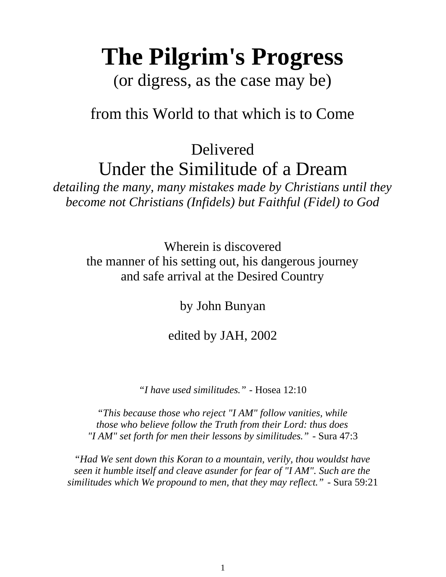# **The Pilgrim's Progress**

(or digress, as the case may be)

# from this World to that which is to Come

Delivered Under the Similitude of a Dream

*detailing the many, many mistakes made by Christians until they become not Christians (Infidels) but Faithful (Fidel) to God*

> Wherein is discovered the manner of his setting out, his dangerous journey and safe arrival at the Desired Country

> > by John Bunyan

edited by JAH, 2002

*"I have used similitudes."* - Hosea 12:10

*"This because those who reject "I AM" follow vanities, while those who believe follow the Truth from their Lord: thus does "I AM" set forth for men their lessons by similitudes."* - Sura 47:3

*"Had We sent down this Koran to a mountain, verily, thou wouldst have seen it humble itself and cleave asunder for fear of "I AM". Such are the similitudes which We propound to men, that they may reflect."* - Sura 59:21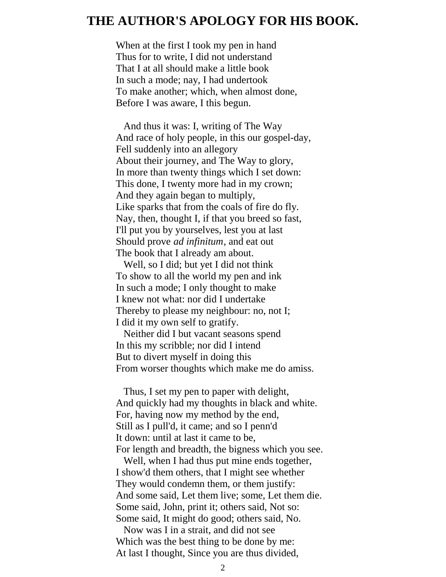# **THE AUTHOR'S APOLOGY FOR HIS BOOK.**

When at the first I took my pen in hand Thus for to write, I did not understand That I at all should make a little book In such a mode; nay, I had undertook To make another; which, when almost done, Before I was aware, I this begun.

 And thus it was: I, writing of The Way And race of holy people, in this our gospel-day, Fell suddenly into an allegory About their journey, and The Way to glory, In more than twenty things which I set down: This done, I twenty more had in my crown; And they again began to multiply, Like sparks that from the coals of fire do fly. Nay, then, thought I, if that you breed so fast, I'll put you by yourselves, lest you at last Should prove *ad infinitum*, and eat out The book that I already am about.

 Well, so I did; but yet I did not think To show to all the world my pen and ink In such a mode; I only thought to make I knew not what: nor did I undertake Thereby to please my neighbour: no, not I; I did it my own self to gratify.

 Neither did I but vacant seasons spend In this my scribble; nor did I intend But to divert myself in doing this From worser thoughts which make me do amiss.

 Thus, I set my pen to paper with delight, And quickly had my thoughts in black and white. For, having now my method by the end, Still as I pull'd, it came; and so I penn'd It down: until at last it came to be, For length and breadth, the bigness which you see.

 Well, when I had thus put mine ends together, I show'd them others, that I might see whether They would condemn them, or them justify: And some said, Let them live; some, Let them die. Some said, John, print it; others said, Not so: Some said, It might do good; others said, No.

 Now was I in a strait, and did not see Which was the best thing to be done by me: At last I thought, Since you are thus divided,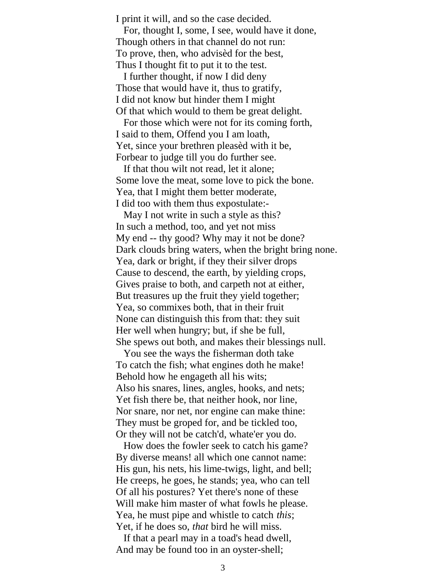I print it will, and so the case decided.

 For, thought I, some, I see, would have it done, Though others in that channel do not run: To prove, then, who advisèd for the best, Thus I thought fit to put it to the test.

 I further thought, if now I did deny Those that would have it, thus to gratify, I did not know but hinder them I might Of that which would to them be great delight.

 For those which were not for its coming forth, I said to them, Offend you I am loath, Yet, since your brethren pleasèd with it be, Forbear to judge till you do further see.

 If that thou wilt not read, let it alone; Some love the meat, some love to pick the bone. Yea, that I might them better moderate, I did too with them thus expostulate:-

 May I not write in such a style as this? In such a method, too, and yet not miss My end -- thy good? Why may it not be done? Dark clouds bring waters, when the bright bring none. Yea, dark or bright, if they their silver drops Cause to descend, the earth, by yielding crops, Gives praise to both, and carpeth not at either, But treasures up the fruit they yield together; Yea, so commixes both, that in their fruit None can distinguish this from that: they suit Her well when hungry; but, if she be full, She spews out both, and makes their blessings null.

 You see the ways the fisherman doth take To catch the fish; what engines doth he make! Behold how he engageth all his wits; Also his snares, lines, angles, hooks, and nets; Yet fish there be, that neither hook, nor line, Nor snare, nor net, nor engine can make thine: They must be groped for, and be tickled too, Or they will not be catch'd, whate'er you do.

 How does the fowler seek to catch his game? By diverse means! all which one cannot name: His gun, his nets, his lime-twigs, light, and bell; He creeps, he goes, he stands; yea, who can tell Of all his postures? Yet there's none of these Will make him master of what fowls he please. Yea, he must pipe and whistle to catch *this*; Yet, if he does so, *that* bird he will miss.

 If that a pearl may in a toad's head dwell, And may be found too in an oyster-shell;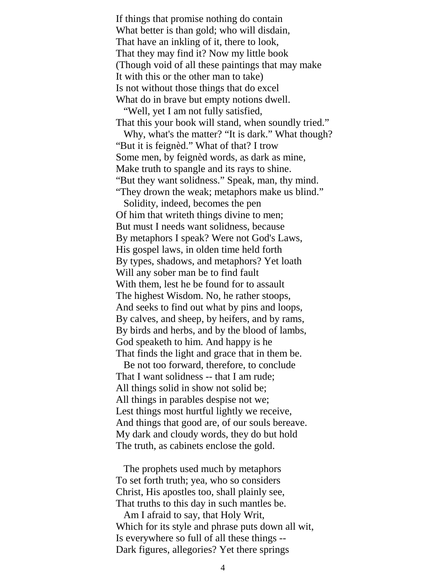If things that promise nothing do contain What better is than gold; who will disdain, That have an inkling of it, there to look, That they may find it? Now my little book (Though void of all these paintings that may make It with this or the other man to take) Is not without those things that do excel What do in brave but empty notions dwell.

 "Well, yet I am not fully satisfied, That this your book will stand, when soundly tried."

 Why, what's the matter? "It is dark." What though? "But it is feignèd." What of that? I trow Some men, by feignèd words, as dark as mine, Make truth to spangle and its rays to shine. "But they want solidness." Speak, man, thy mind. "They drown the weak; metaphors make us blind."

 Solidity, indeed, becomes the pen Of him that writeth things divine to men; But must I needs want solidness, because By metaphors I speak? Were not God's Laws, His gospel laws, in olden time held forth By types, shadows, and metaphors? Yet loath Will any sober man be to find fault With them, lest he be found for to assault The highest Wisdom. No, he rather stoops, And seeks to find out what by pins and loops, By calves, and sheep, by heifers, and by rams, By birds and herbs, and by the blood of lambs, God speaketh to him. And happy is he That finds the light and grace that in them be.

 Be not too forward, therefore, to conclude That I want solidness -- that I am rude; All things solid in show not solid be; All things in parables despise not we; Lest things most hurtful lightly we receive, And things that good are, of our souls bereave. My dark and cloudy words, they do but hold The truth, as cabinets enclose the gold.

 The prophets used much by metaphors To set forth truth; yea, who so considers Christ, His apostles too, shall plainly see, That truths to this day in such mantles be.

 Am I afraid to say, that Holy Writ, Which for its style and phrase puts down all wit, Is everywhere so full of all these things -- Dark figures, allegories? Yet there springs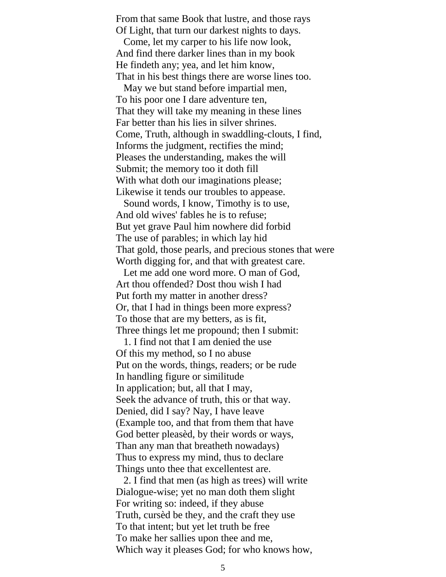From that same Book that lustre, and those rays Of Light, that turn our darkest nights to days.

 Come, let my carper to his life now look, And find there darker lines than in my book He findeth any; yea, and let him know, That in his best things there are worse lines too.

 May we but stand before impartial men, To his poor one I dare adventure ten, That they will take my meaning in these lines Far better than his lies in silver shrines. Come, Truth, although in swaddling-clouts, I find, Informs the judgment, rectifies the mind; Pleases the understanding, makes the will Submit; the memory too it doth fill With what doth our imaginations please; Likewise it tends our troubles to appease.

 Sound words, I know, Timothy is to use, And old wives' fables he is to refuse; But yet grave Paul him nowhere did forbid The use of parables; in which lay hid That gold, those pearls, and precious stones that were Worth digging for, and that with greatest care.

 Let me add one word more. O man of God, Art thou offended? Dost thou wish I had Put forth my matter in another dress? Or, that I had in things been more express? To those that are my betters, as is fit, Three things let me propound; then I submit:

 1. I find not that I am denied the use Of this my method, so I no abuse Put on the words, things, readers; or be rude In handling figure or similitude In application; but, all that I may, Seek the advance of truth, this or that way. Denied, did I say? Nay, I have leave (Example too, and that from them that have God better pleasèd, by their words or ways, Than any man that breatheth nowadays) Thus to express my mind, thus to declare Things unto thee that excellentest are.

 2. I find that men (as high as trees) will write Dialogue-wise; yet no man doth them slight For writing so: indeed, if they abuse Truth, cursèd be they, and the craft they use To that intent; but yet let truth be free To make her sallies upon thee and me, Which way it pleases God; for who knows how,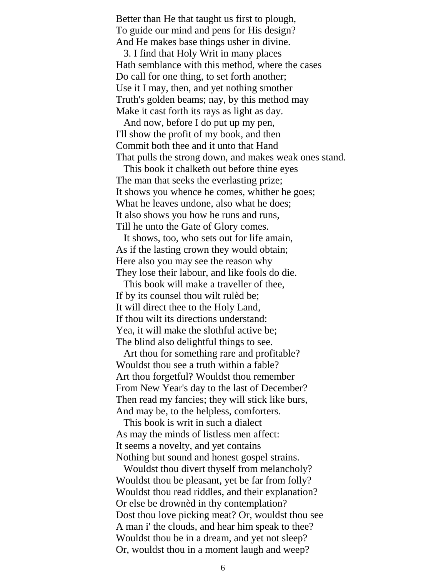Better than He that taught us first to plough, To guide our mind and pens for His design? And He makes base things usher in divine.

 3. I find that Holy Writ in many places Hath semblance with this method, where the cases Do call for one thing, to set forth another; Use it I may, then, and yet nothing smother Truth's golden beams; nay, by this method may Make it cast forth its rays as light as day.

 And now, before I do put up my pen, I'll show the profit of my book, and then Commit both thee and it unto that Hand That pulls the strong down, and makes weak ones stand.

 This book it chalketh out before thine eyes The man that seeks the everlasting prize; It shows you whence he comes, whither he goes; What he leaves undone, also what he does; It also shows you how he runs and runs, Till he unto the Gate of Glory comes.

 It shows, too, who sets out for life amain, As if the lasting crown they would obtain; Here also you may see the reason why They lose their labour, and like fools do die.

 This book will make a traveller of thee, If by its counsel thou wilt rulèd be; It will direct thee to the Holy Land, If thou wilt its directions understand: Yea, it will make the slothful active be; The blind also delightful things to see.

 Art thou for something rare and profitable? Wouldst thou see a truth within a fable? Art thou forgetful? Wouldst thou remember From New Year's day to the last of December? Then read my fancies; they will stick like burs, And may be, to the helpless, comforters.

 This book is writ in such a dialect As may the minds of listless men affect: It seems a novelty, and yet contains Nothing but sound and honest gospel strains.

 Wouldst thou divert thyself from melancholy? Wouldst thou be pleasant, yet be far from folly? Wouldst thou read riddles, and their explanation? Or else be drownèd in thy contemplation? Dost thou love picking meat? Or, wouldst thou see A man i' the clouds, and hear him speak to thee? Wouldst thou be in a dream, and yet not sleep? Or, wouldst thou in a moment laugh and weep?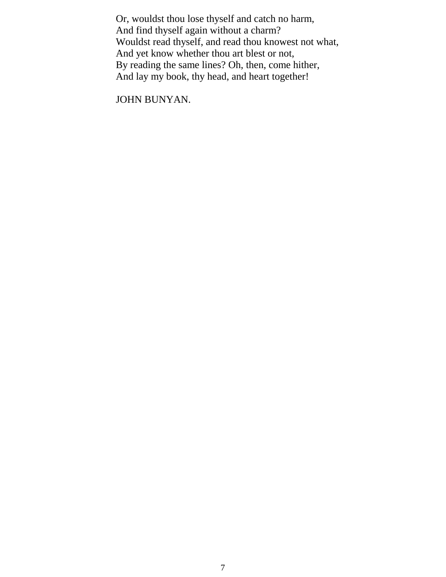Or, wouldst thou lose thyself and catch no harm, And find thyself again without a charm? Wouldst read thyself, and read thou knowest not what, And yet know whether thou art blest or not, By reading the same lines? Oh, then, come hither, And lay my book, thy head, and heart together!

JOHN BUNYAN.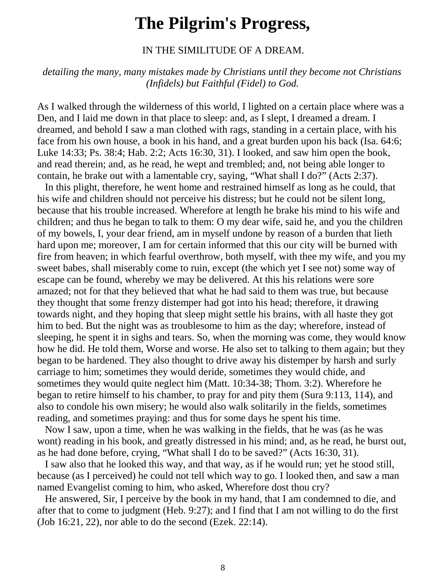# **The Pilgrim's Progress,**

IN THE SIMILITUDE OF A DREAM.

*detailing the many, many mistakes made by Christians until they become not Christians (Infidels) but Faithful (Fidel) to God.*

As I walked through the wilderness of this world, I lighted on a certain place where was a Den, and I laid me down in that place to sleep: and, as I slept, I dreamed a dream. I dreamed, and behold I saw a man clothed with rags, standing in a certain place, with his face from his own house, a book in his hand, and a great burden upon his back (Isa. 64:6; Luke 14:33; Ps. 38:4; Hab. 2:2; Acts 16:30, 31). I looked, and saw him open the book, and read therein; and, as he read, he wept and trembled; and, not being able longer to contain, he brake out with a lamentable cry, saying, "What shall I do?" (Acts 2:37).

 In this plight, therefore, he went home and restrained himself as long as he could, that his wife and children should not perceive his distress; but he could not be silent long, because that his trouble increased. Wherefore at length he brake his mind to his wife and children; and thus he began to talk to them: O my dear wife, said he, and you the children of my bowels, I, your dear friend, am in myself undone by reason of a burden that lieth hard upon me; moreover, I am for certain informed that this our city will be burned with fire from heaven; in which fearful overthrow, both myself, with thee my wife, and you my sweet babes, shall miserably come to ruin, except (the which yet I see not) some way of escape can be found, whereby we may be delivered. At this his relations were sore amazed; not for that they believed that what he had said to them was true, but because they thought that some frenzy distemper had got into his head; therefore, it drawing towards night, and they hoping that sleep might settle his brains, with all haste they got him to bed. But the night was as troublesome to him as the day; wherefore, instead of sleeping, he spent it in sighs and tears. So, when the morning was come, they would know how he did. He told them, Worse and worse. He also set to talking to them again; but they began to be hardened. They also thought to drive away his distemper by harsh and surly carriage to him; sometimes they would deride, sometimes they would chide, and sometimes they would quite neglect him (Matt. 10:34-38; Thom. 3:2). Wherefore he began to retire himself to his chamber, to pray for and pity them (Sura 9:113, 114), and also to condole his own misery; he would also walk solitarily in the fields, sometimes reading, and sometimes praying: and thus for some days he spent his time.

 Now I saw, upon a time, when he was walking in the fields, that he was (as he was wont) reading in his book, and greatly distressed in his mind; and, as he read, he burst out, as he had done before, crying, "What shall I do to be saved?" (Acts 16:30, 31).

 I saw also that he looked this way, and that way, as if he would run; yet he stood still, because (as I perceived) he could not tell which way to go. I looked then, and saw a man named Evangelist coming to him, who asked, Wherefore dost thou cry?

 He answered, Sir, I perceive by the book in my hand, that I am condemned to die, and after that to come to judgment (Heb. 9:27); and I find that I am not willing to do the first (Job 16:21, 22), nor able to do the second (Ezek. 22:14).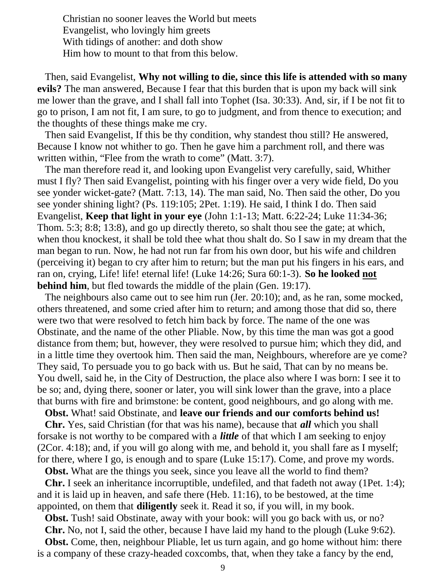Christian no sooner leaves the World but meets Evangelist, who lovingly him greets With tidings of another: and doth show Him how to mount to that from this below.

 Then, said Evangelist, **Why not willing to die, since this life is attended with so many evils?** The man answered, Because I fear that this burden that is upon my back will sink me lower than the grave, and I shall fall into Tophet (Isa. 30:33). And, sir, if I be not fit to go to prison, I am not fit, I am sure, to go to judgment, and from thence to execution; and the thoughts of these things make me cry.

 Then said Evangelist, If this be thy condition, why standest thou still? He answered, Because I know not whither to go. Then he gave him a parchment roll, and there was written within, "Flee from the wrath to come" (Matt. 3:7).

 The man therefore read it, and looking upon Evangelist very carefully, said, Whither must I fly? Then said Evangelist, pointing with his finger over a very wide field, Do you see yonder wicket-gate? (Matt. 7:13, 14). The man said, No. Then said the other, Do you see yonder shining light? (Ps. 119:105; 2Pet. 1:19). He said, I think I do. Then said Evangelist, **Keep that light in your eye** (John 1:1-13; Matt. 6:22-24; Luke 11:34-36; Thom. 5:3; 8:8; 13:8), and go up directly thereto, so shalt thou see the gate; at which, when thou knockest, it shall be told thee what thou shalt do. So I saw in my dream that the man began to run. Now, he had not run far from his own door, but his wife and children (perceiving it) began to cry after him to return; but the man put his fingers in his ears, and ran on, crying, Life! life! eternal life! (Luke 14:26; Sura 60:1-3). **So he looked not behind him**, but fled towards the middle of the plain (Gen. 19:17).

 The neighbours also came out to see him run (Jer. 20:10); and, as he ran, some mocked, others threatened, and some cried after him to return; and among those that did so, there were two that were resolved to fetch him back by force. The name of the one was Obstinate, and the name of the other Pliable. Now, by this time the man was got a good distance from them; but, however, they were resolved to pursue him; which they did, and in a little time they overtook him. Then said the man, Neighbours, wherefore are ye come? They said, To persuade you to go back with us. But he said, That can by no means be. You dwell, said he, in the City of Destruction, the place also where I was born: I see it to be so; and, dying there, sooner or later, you will sink lower than the grave, into a place that burns with fire and brimstone: be content, good neighbours, and go along with me.

**Obst.** What! said Obstinate, and **leave our friends and our comforts behind us!**

 **Chr.** Yes, said Christian (for that was his name), because that *all* which you shall forsake is not worthy to be compared with a *little* of that which I am seeking to enjoy (2Cor. 4:18); and, if you will go along with me, and behold it, you shall fare as I myself; for there, where I go, is enough and to spare (Luke 15:17). Come, and prove my words.

**Obst.** What are the things you seek, since you leave all the world to find them?

 **Chr.** I seek an inheritance incorruptible, undefiled, and that fadeth not away (1Pet. 1:4); and it is laid up in heaven, and safe there (Heb. 11:16), to be bestowed, at the time appointed, on them that **diligently** seek it. Read it so, if you will, in my book.

**Obst.** Tush! said Obstinate, away with your book: will you go back with us, or no?

**Chr.** No, not I, said the other, because I have laid my hand to the plough (Luke 9:62).

**Obst.** Come, then, neighbour Pliable, let us turn again, and go home without him: there is a company of these crazy-headed coxcombs, that, when they take a fancy by the end,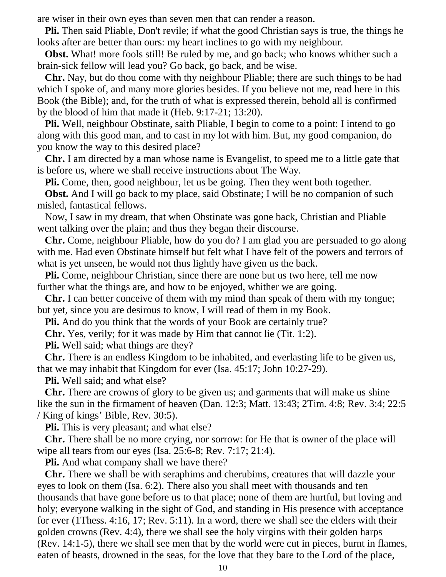are wiser in their own eyes than seven men that can render a reason.

 **Pli.** Then said Pliable, Don't revile; if what the good Christian says is true, the things he looks after are better than ours: my heart inclines to go with my neighbour.

**Obst.** What! more fools still! Be ruled by me, and go back; who knows whither such a brain-sick fellow will lead you? Go back, go back, and be wise.

 **Chr.** Nay, but do thou come with thy neighbour Pliable; there are such things to be had which I spoke of, and many more glories besides. If you believe not me, read here in this Book (the Bible); and, for the truth of what is expressed therein, behold all is confirmed by the blood of him that made it (Heb. 9:17-21; 13:20).

 **Pli.** Well, neighbour Obstinate, saith Pliable, I begin to come to a point: I intend to go along with this good man, and to cast in my lot with him. But, my good companion, do you know the way to this desired place?

 **Chr.** I am directed by a man whose name is Evangelist, to speed me to a little gate that is before us, where we shall receive instructions about The Way.

**Pli.** Come, then, good neighbour, let us be going. Then they went both together.

**Obst.** And I will go back to my place, said Obstinate; I will be no companion of such misled, fantastical fellows.

 Now, I saw in my dream, that when Obstinate was gone back, Christian and Pliable went talking over the plain; and thus they began their discourse.

 **Chr.** Come, neighbour Pliable, how do you do? I am glad you are persuaded to go along with me. Had even Obstinate himself but felt what I have felt of the powers and terrors of what is yet unseen, he would not thus lightly have given us the back.

 **Pli.** Come, neighbour Christian, since there are none but us two here, tell me now further what the things are, and how to be enjoyed, whither we are going.

 **Chr.** I can better conceive of them with my mind than speak of them with my tongue; but yet, since you are desirous to know, I will read of them in my Book.

**Pli.** And do you think that the words of your Book are certainly true?

**Chr.** Yes, verily; for it was made by Him that cannot lie (Tit. 1:2).

**Pli.** Well said; what things are they?

 **Chr.** There is an endless Kingdom to be inhabited, and everlasting life to be given us, that we may inhabit that Kingdom for ever (Isa. 45:17; John 10:27-29).

**Pli.** Well said; and what else?

 **Chr.** There are crowns of glory to be given us; and garments that will make us shine like the sun in the firmament of heaven (Dan. 12:3; Matt. 13:43; 2Tim. 4:8; Rev. 3:4; 22:5 / King of kings' Bible, Rev. 30:5).

**Pli.** This is very pleasant; and what else?

 **Chr.** There shall be no more crying, nor sorrow: for He that is owner of the place will wipe all tears from our eyes (Isa. 25:6-8; Rev. 7:17; 21:4).

**Pli.** And what company shall we have there?

 **Chr.** There we shall be with seraphims and cherubims, creatures that will dazzle your eyes to look on them (Isa. 6:2). There also you shall meet with thousands and ten thousands that have gone before us to that place; none of them are hurtful, but loving and holy; everyone walking in the sight of God, and standing in His presence with acceptance for ever (1Thess. 4:16, 17; Rev. 5:11). In a word, there we shall see the elders with their golden crowns (Rev. 4:4), there we shall see the holy virgins with their golden harps (Rev. 14:1-5), there we shall see men that by the world were cut in pieces, burnt in flames, eaten of beasts, drowned in the seas, for the love that they bare to the Lord of the place,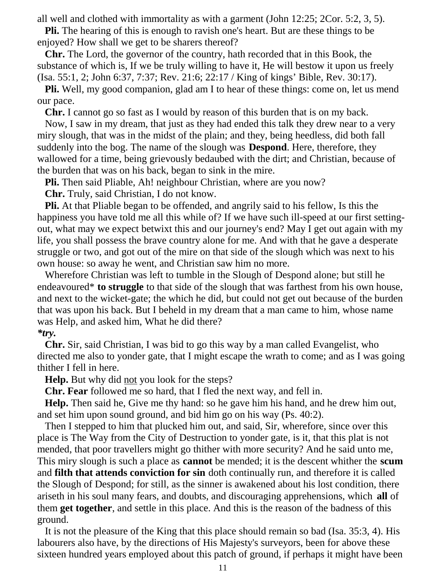all well and clothed with immortality as with a garment (John 12:25; 2Cor. 5:2, 3, 5).

 **Pli.** The hearing of this is enough to ravish one's heart. But are these things to be enjoyed? How shall we get to be sharers thereof?

 **Chr.** The Lord, the governor of the country, hath recorded that in this Book, the substance of which is, If we be truly willing to have it, He will bestow it upon us freely (Isa. 55:1, 2; John 6:37, 7:37; Rev. 21:6; 22:17 / King of kings' Bible, Rev. 30:17).

 **Pli.** Well, my good companion, glad am I to hear of these things: come on, let us mend our pace.

**Chr.** I cannot go so fast as I would by reason of this burden that is on my back.

 Now, I saw in my dream, that just as they had ended this talk they drew near to a very miry slough, that was in the midst of the plain; and they, being heedless, did both fall suddenly into the bog. The name of the slough was **Despond**. Here, therefore, they wallowed for a time, being grievously bedaubed with the dirt; and Christian, because of the burden that was on his back, began to sink in the mire.

**Pli.** Then said Pliable, Ah! neighbour Christian, where are you now?

**Chr.** Truly, said Christian, I do not know.

 **Pli.** At that Pliable began to be offended, and angrily said to his fellow, Is this the happiness you have told me all this while of? If we have such ill-speed at our first settingout, what may we expect betwixt this and our journey's end? May I get out again with my life, you shall possess the brave country alone for me. And with that he gave a desperate struggle or two, and got out of the mire on that side of the slough which was next to his own house: so away he went, and Christian saw him no more.

 Wherefore Christian was left to tumble in the Slough of Despond alone; but still he endeavoured\* **to struggle** to that side of the slough that was farthest from his own house, and next to the wicket-gate; the which he did, but could not get out because of the burden that was upon his back. But I beheld in my dream that a man came to him, whose name was Help, and asked him, What he did there?

# *\*try.*

 **Chr.** Sir, said Christian, I was bid to go this way by a man called Evangelist, who directed me also to yonder gate, that I might escape the wrath to come; and as I was going thither I fell in here.

**Help.** But why did not you look for the steps?

**Chr. Fear** followed me so hard, that I fled the next way, and fell in.

 **Help.** Then said he, Give me thy hand: so he gave him his hand, and he drew him out, and set him upon sound ground, and bid him go on his way (Ps. 40:2).

 Then I stepped to him that plucked him out, and said, Sir, wherefore, since over this place is The Way from the City of Destruction to yonder gate, is it, that this plat is not mended, that poor travellers might go thither with more security? And he said unto me, This miry slough is such a place as **cannot** be mended; it is the descent whither the **scum** and **filth that attends conviction for sin** doth continually run, and therefore it is called the Slough of Despond; for still, as the sinner is awakened about his lost condition, there ariseth in his soul many fears, and doubts, and discouraging apprehensions, which **all** of them **get together**, and settle in this place. And this is the reason of the badness of this ground.

 It is not the pleasure of the King that this place should remain so bad (Isa. 35:3, 4). His labourers also have, by the directions of His Majesty's surveyors, been for above these sixteen hundred years employed about this patch of ground, if perhaps it might have been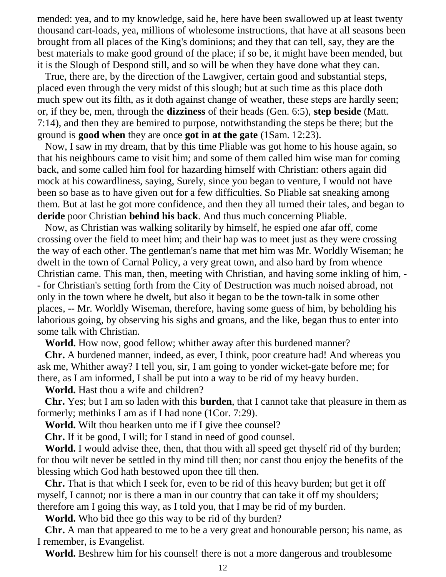mended: yea, and to my knowledge, said he, here have been swallowed up at least twenty thousand cart-loads, yea, millions of wholesome instructions, that have at all seasons been brought from all places of the King's dominions; and they that can tell, say, they are the best materials to make good ground of the place; if so be, it might have been mended, but it is the Slough of Despond still, and so will be when they have done what they can.

 True, there are, by the direction of the Lawgiver, certain good and substantial steps, placed even through the very midst of this slough; but at such time as this place doth much spew out its filth, as it doth against change of weather, these steps are hardly seen; or, if they be, men, through the **dizziness** of their heads (Gen. 6:5), **step beside** (Matt. 7:14), and then they are bemired to purpose, notwithstanding the steps be there; but the ground is **good when** they are once **got in at the gate** (1Sam. 12:23).

 Now, I saw in my dream, that by this time Pliable was got home to his house again, so that his neighbours came to visit him; and some of them called him wise man for coming back, and some called him fool for hazarding himself with Christian: others again did mock at his cowardliness, saying, Surely, since you began to venture, I would not have been so base as to have given out for a few difficulties. So Pliable sat sneaking among them. But at last he got more confidence, and then they all turned their tales, and began to **deride** poor Christian **behind his back**. And thus much concerning Pliable.

 Now, as Christian was walking solitarily by himself, he espied one afar off, come crossing over the field to meet him; and their hap was to meet just as they were crossing the way of each other. The gentleman's name that met him was Mr. Worldly Wiseman; he dwelt in the town of Carnal Policy, a very great town, and also hard by from whence Christian came. This man, then, meeting with Christian, and having some inkling of him, - - for Christian's setting forth from the City of Destruction was much noised abroad, not only in the town where he dwelt, but also it began to be the town-talk in some other places, -- Mr. Worldly Wiseman, therefore, having some guess of him, by beholding his laborious going, by observing his sighs and groans, and the like, began thus to enter into some talk with Christian.

 **World.** How now, good fellow; whither away after this burdened manner?

 **Chr.** A burdened manner, indeed, as ever, I think, poor creature had! And whereas you ask me, Whither away? I tell you, sir, I am going to yonder wicket-gate before me; for there, as I am informed, I shall be put into a way to be rid of my heavy burden.

**World.** Hast thou a wife and children?

 **Chr.** Yes; but I am so laden with this **burden**, that I cannot take that pleasure in them as formerly; methinks I am as if I had none (1Cor. 7:29).

**World.** Wilt thou hearken unto me if I give thee counsel?

**Chr.** If it be good, I will; for I stand in need of good counsel.

 **World.** I would advise thee, then, that thou with all speed get thyself rid of thy burden; for thou wilt never be settled in thy mind till then; nor canst thou enjoy the benefits of the blessing which God hath bestowed upon thee till then.

 **Chr.** That is that which I seek for, even to be rid of this heavy burden; but get it off myself, I cannot; nor is there a man in our country that can take it off my shoulders; therefore am I going this way, as I told you, that I may be rid of my burden.

**World.** Who bid thee go this way to be rid of thy burden?

 **Chr.** A man that appeared to me to be a very great and honourable person; his name, as I remember, is Evangelist.

**World.** Beshrew him for his counsel! there is not a more dangerous and troublesome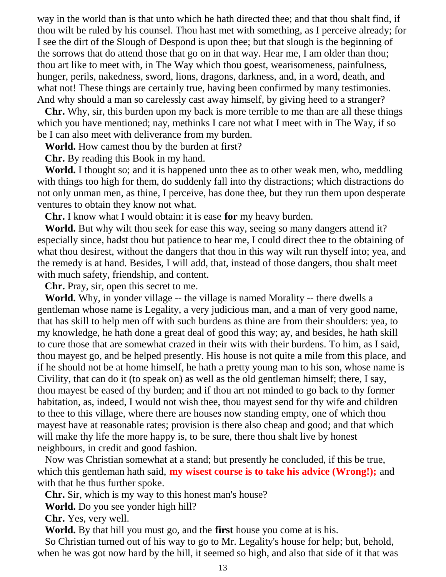way in the world than is that unto which he hath directed thee; and that thou shalt find, if thou wilt be ruled by his counsel. Thou hast met with something, as I perceive already; for I see the dirt of the Slough of Despond is upon thee; but that slough is the beginning of the sorrows that do attend those that go on in that way. Hear me, I am older than thou; thou art like to meet with, in The Way which thou goest, wearisomeness, painfulness, hunger, perils, nakedness, sword, lions, dragons, darkness, and, in a word, death, and what not! These things are certainly true, having been confirmed by many testimonies. And why should a man so carelessly cast away himself, by giving heed to a stranger?

 **Chr.** Why, sir, this burden upon my back is more terrible to me than are all these things which you have mentioned; nay, methinks I care not what I meet with in The Way, if so be I can also meet with deliverance from my burden.

**World.** How camest thou by the burden at first?

**Chr.** By reading this Book in my hand.

 **World.** I thought so; and it is happened unto thee as to other weak men, who, meddling with things too high for them, do suddenly fall into thy distractions; which distractions do not only unman men, as thine, I perceive, has done thee, but they run them upon desperate ventures to obtain they know not what.

**Chr.** I know what I would obtain: it is ease **for** my heavy burden.

**World.** But why wilt thou seek for ease this way, seeing so many dangers attend it? especially since, hadst thou but patience to hear me, I could direct thee to the obtaining of what thou desirest, without the dangers that thou in this way wilt run thyself into; yea, and the remedy is at hand. Besides, I will add, that, instead of those dangers, thou shalt meet with much safety, friendship, and content.

**Chr.** Pray, sir, open this secret to me.

 **World.** Why, in yonder village -- the village is named Morality -- there dwells a gentleman whose name is Legality, a very judicious man, and a man of very good name, that has skill to help men off with such burdens as thine are from their shoulders: yea, to my knowledge, he hath done a great deal of good this way; ay, and besides, he hath skill to cure those that are somewhat crazed in their wits with their burdens. To him, as I said, thou mayest go, and be helped presently. His house is not quite a mile from this place, and if he should not be at home himself, he hath a pretty young man to his son, whose name is Civility, that can do it (to speak on) as well as the old gentleman himself; there, I say, thou mayest be eased of thy burden; and if thou art not minded to go back to thy former habitation, as, indeed, I would not wish thee, thou mayest send for thy wife and children to thee to this village, where there are houses now standing empty, one of which thou mayest have at reasonable rates; provision is there also cheap and good; and that which will make thy life the more happy is, to be sure, there thou shalt live by honest neighbours, in credit and good fashion.

 Now was Christian somewhat at a stand; but presently he concluded, if this be true, which this gentleman hath said, **my wisest course is to take his advice (Wrong!);** and with that he thus further spoke.

**Chr.** Sir, which is my way to this honest man's house?

**World.** Do you see yonder high hill?

**Chr.** Yes, very well.

**World.** By that hill you must go, and the **first** house you come at is his.

 So Christian turned out of his way to go to Mr. Legality's house for help; but, behold, when he was got now hard by the hill, it seemed so high, and also that side of it that was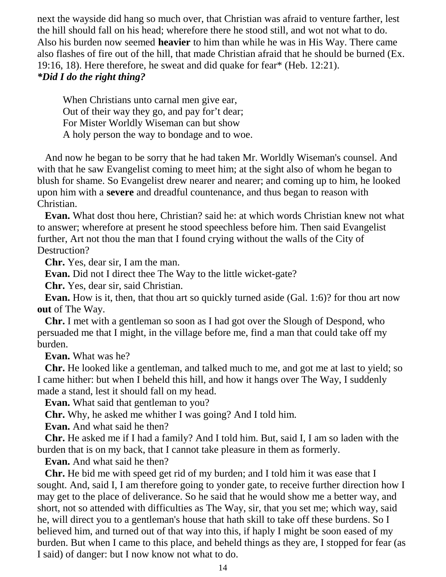next the wayside did hang so much over, that Christian was afraid to venture farther, lest the hill should fall on his head; wherefore there he stood still, and wot not what to do. Also his burden now seemed **heavier** to him than while he was in His Way. There came also flashes of fire out of the hill, that made Christian afraid that he should be burned (Ex. 19:16, 18). Here therefore, he sweat and did quake for fear\* (Heb. 12:21). *\*Did I do the right thing?*

 When Christians unto carnal men give ear, Out of their way they go, and pay for't dear; For Mister Worldly Wiseman can but show A holy person the way to bondage and to woe.

 And now he began to be sorry that he had taken Mr. Worldly Wiseman's counsel. And with that he saw Evangelist coming to meet him; at the sight also of whom he began to blush for shame. So Evangelist drew nearer and nearer; and coming up to him, he looked upon him with a **severe** and dreadful countenance, and thus began to reason with Christian.

 **Evan.** What dost thou here, Christian? said he: at which words Christian knew not what to answer; wherefore at present he stood speechless before him. Then said Evangelist further, Art not thou the man that I found crying without the walls of the City of Destruction?

**Chr.** Yes, dear sir, I am the man.

**Evan.** Did not I direct thee The Way to the little wicket-gate?

**Chr.** Yes, dear sir, said Christian.

 **Evan.** How is it, then, that thou art so quickly turned aside (Gal. 1:6)? for thou art now **out** of The Way.

 **Chr.** I met with a gentleman so soon as I had got over the Slough of Despond, who persuaded me that I might, in the village before me, find a man that could take off my burden.

**Evan.** What was he?

 **Chr.** He looked like a gentleman, and talked much to me, and got me at last to yield; so I came hither: but when I beheld this hill, and how it hangs over The Way, I suddenly made a stand, lest it should fall on my head.

**Evan.** What said that gentleman to you?

**Chr.** Why, he asked me whither I was going? And I told him.

**Evan.** And what said he then?

 **Chr.** He asked me if I had a family? And I told him. But, said I, I am so laden with the burden that is on my back, that I cannot take pleasure in them as formerly.

**Evan.** And what said he then?

 **Chr.** He bid me with speed get rid of my burden; and I told him it was ease that I sought. And, said I, I am therefore going to yonder gate, to receive further direction how I may get to the place of deliverance. So he said that he would show me a better way, and short, not so attended with difficulties as The Way, sir, that you set me; which way, said he, will direct you to a gentleman's house that hath skill to take off these burdens. So I believed him, and turned out of that way into this, if haply I might be soon eased of my burden. But when I came to this place, and beheld things as they are, I stopped for fear (as I said) of danger: but I now know not what to do.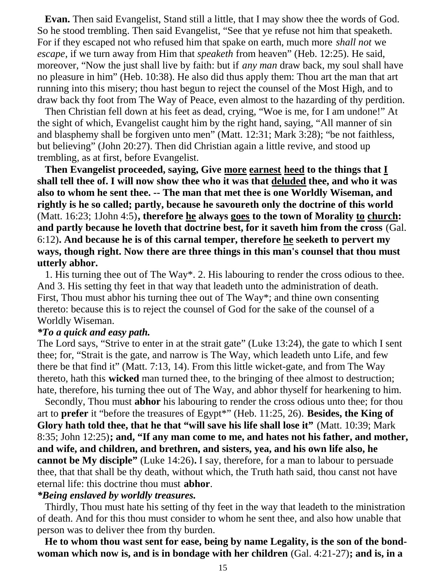**Evan.** Then said Evangelist, Stand still a little, that I may show thee the words of God. So he stood trembling. Then said Evangelist, "See that ye refuse not him that speaketh. For if they escaped not who refused him that spake on earth, much more *shall not* we *escape*, if we turn away from Him that *speaketh* from heaven" (Heb. 12:25). He said, moreover, "Now the just shall live by faith: but if *any man* draw back, my soul shall have no pleasure in him" (Heb. 10:38). He also did thus apply them: Thou art the man that art running into this misery; thou hast begun to reject the counsel of the Most High, and to draw back thy foot from The Way of Peace, even almost to the hazarding of thy perdition.

 Then Christian fell down at his feet as dead, crying, "Woe is me, for I am undone!" At the sight of which, Evangelist caught him by the right hand, saying, "All manner of sin and blasphemy shall be forgiven unto men" (Matt. 12:31; Mark 3:28); "be not faithless, but believing" (John 20:27). Then did Christian again a little revive, and stood up trembling, as at first, before Evangelist.

 **Then Evangelist proceeded, saying, Give more earnest heed to the things that I shall tell thee of. I will now show thee who it was that deluded thee, and who it was also to whom he sent thee. -- The man that met thee is one Worldly Wiseman, and rightly is he so called; partly, because he savoureth only the doctrine of this world** (Matt. 16:23; 1John 4:5)**, therefore he always goes to the town of Morality to church: and partly because he loveth that doctrine best, for it saveth him from the cross** (Gal. 6:12)**. And because he is of this carnal temper, therefore he seeketh to pervert my ways, though right. Now there are three things in this man's counsel that thou must utterly abhor.**

 1. His turning thee out of The Way\*. 2. His labouring to render the cross odious to thee. And 3. His setting thy feet in that way that leadeth unto the administration of death. First, Thou must abhor his turning thee out of The Way\*; and thine own consenting thereto: because this is to reject the counsel of God for the sake of the counsel of a Worldly Wiseman.

#### *\*To a quick and easy path.*

The Lord says, "Strive to enter in at the strait gate" (Luke 13:24), the gate to which I sent thee; for, "Strait is the gate, and narrow is The Way, which leadeth unto Life, and few there be that find it" (Matt. 7:13, 14). From this little wicket-gate, and from The Way thereto, hath this **wicked** man turned thee, to the bringing of thee almost to destruction; hate, therefore, his turning thee out of The Way, and abhor thyself for hearkening to him.

 Secondly, Thou must **abhor** his labouring to render the cross odious unto thee; for thou art to **prefer** it "before the treasures of Egypt\*" (Heb. 11:25, 26). **Besides, the King of Glory hath told thee, that he that "will save his life shall lose it"** (Matt. 10:39; Mark 8:35; John 12:25)**; and, "If any man come to me, and hates not his father, and mother, and wife, and children, and brethren, and sisters, yea, and his own life also, he cannot be My disciple"** (Luke 14:26)**.** I say, therefore, for a man to labour to persuade thee, that that shall be thy death, without which, the Truth hath said, thou canst not have eternal life: this doctrine thou must **abhor**.

#### *\*Being enslaved by worldly treasures.*

 Thirdly, Thou must hate his setting of thy feet in the way that leadeth to the ministration of death. And for this thou must consider to whom he sent thee, and also how unable that person was to deliver thee from thy burden.

 **He to whom thou wast sent for ease, being by name Legality, is the son of the bondwoman which now is, and is in bondage with her children** (Gal. 4:21-27)**; and is, in a**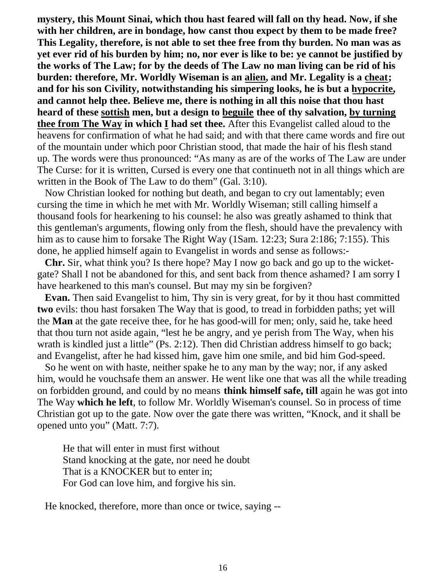**mystery, this Mount Sinai, which thou hast feared will fall on thy head. Now, if she with her children, are in bondage, how canst thou expect by them to be made free? This Legality, therefore, is not able to set thee free from thy burden. No man was as yet ever rid of his burden by him; no, nor ever is like to be: ye cannot be justified by the works of The Law; for by the deeds of The Law no man living can be rid of his burden: therefore, Mr. Worldly Wiseman is an alien, and Mr. Legality is a cheat; and for his son Civility, notwithstanding his simpering looks, he is but a hypocrite, and cannot help thee. Believe me, there is nothing in all this noise that thou hast heard of these sottish men, but a design to beguile thee of thy salvation, by turning thee from The Way in which I had set thee.** After this Evangelist called aloud to the heavens for confirmation of what he had said; and with that there came words and fire out of the mountain under which poor Christian stood, that made the hair of his flesh stand up. The words were thus pronounced: "As many as are of the works of The Law are under The Curse: for it is written, Cursed is every one that continueth not in all things which are written in the Book of The Law to do them" (Gal. 3:10).

 Now Christian looked for nothing but death, and began to cry out lamentably; even cursing the time in which he met with Mr. Worldly Wiseman; still calling himself a thousand fools for hearkening to his counsel: he also was greatly ashamed to think that this gentleman's arguments, flowing only from the flesh, should have the prevalency with him as to cause him to forsake The Right Way (1Sam. 12:23; Sura 2:186; 7:155). This done, he applied himself again to Evangelist in words and sense as follows:-

 **Chr.** Sir, what think you? Is there hope? May I now go back and go up to the wicketgate? Shall I not be abandoned for this, and sent back from thence ashamed? I am sorry I have hearkened to this man's counsel. But may my sin be forgiven?

 **Evan.** Then said Evangelist to him, Thy sin is very great, for by it thou hast committed **two** evils: thou hast forsaken The Way that is good, to tread in forbidden paths; yet will the **Man** at the gate receive thee, for he has good-will for men; only, said he, take heed that thou turn not aside again, "lest he be angry, and ye perish from The Way, when his wrath is kindled just a little" (Ps. 2:12). Then did Christian address himself to go back; and Evangelist, after he had kissed him, gave him one smile, and bid him God-speed.

 So he went on with haste, neither spake he to any man by the way; nor, if any asked him, would he vouchsafe them an answer. He went like one that was all the while treading on forbidden ground, and could by no means **think himself safe, till** again he was got into The Way **which he left**, to follow Mr. Worldly Wiseman's counsel. So in process of time Christian got up to the gate. Now over the gate there was written, "Knock, and it shall be opened unto you" (Matt. 7:7).

 He that will enter in must first without Stand knocking at the gate, nor need he doubt That is a KNOCKER but to enter in; For God can love him, and forgive his sin.

He knocked, therefore, more than once or twice, saying --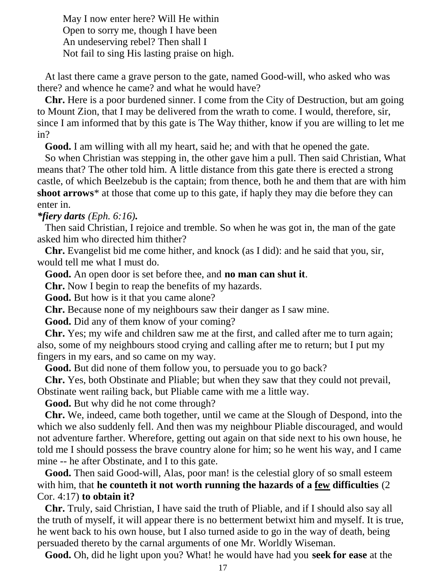May I now enter here? Will He within Open to sorry me, though I have been An undeserving rebel? Then shall I Not fail to sing His lasting praise on high.

 At last there came a grave person to the gate, named Good-will, who asked who was there? and whence he came? and what he would have?

 **Chr.** Here is a poor burdened sinner. I come from the City of Destruction, but am going to Mount Zion, that I may be delivered from the wrath to come. I would, therefore, sir, since I am informed that by this gate is The Way thither, know if you are willing to let me in?

**Good.** I am willing with all my heart, said he; and with that he opened the gate.

 So when Christian was stepping in, the other gave him a pull. Then said Christian, What means that? The other told him. A little distance from this gate there is erected a strong castle, of which Beelzebub is the captain; from thence, both he and them that are with him **shoot arrows**\* at those that come up to this gate, if haply they may die before they can enter in.

# *\*fiery darts (Eph. 6:16).*

 Then said Christian, I rejoice and tremble. So when he was got in, the man of the gate asked him who directed him thither?

 **Chr.** Evangelist bid me come hither, and knock (as I did): and he said that you, sir, would tell me what I must do.

**Good.** An open door is set before thee, and **no man can shut it**.

**Chr.** Now I begin to reap the benefits of my hazards.

**Good.** But how is it that you came alone?

**Chr.** Because none of my neighbours saw their danger as I saw mine.

**Good.** Did any of them know of your coming?

 **Chr.** Yes; my wife and children saw me at the first, and called after me to turn again; also, some of my neighbours stood crying and calling after me to return; but I put my fingers in my ears, and so came on my way.

**Good.** But did none of them follow you, to persuade you to go back?

 **Chr.** Yes, both Obstinate and Pliable; but when they saw that they could not prevail, Obstinate went railing back, but Pliable came with me a little way.

**Good.** But why did he not come through?

 **Chr.** We, indeed, came both together, until we came at the Slough of Despond, into the which we also suddenly fell. And then was my neighbour Pliable discouraged, and would not adventure farther. Wherefore, getting out again on that side next to his own house, he told me I should possess the brave country alone for him; so he went his way, and I came mine -- he after Obstinate, and I to this gate.

Good. Then said Good-will, Alas, poor man! is the celestial glory of so small esteem with him, that **he counteth it not worth running the hazards of a few difficulties** (2 Cor. 4:17) **to obtain it?**

 **Chr.** Truly, said Christian, I have said the truth of Pliable, and if I should also say all the truth of myself, it will appear there is no betterment betwixt him and myself. It is true, he went back to his own house, but I also turned aside to go in the way of death, being persuaded thereto by the carnal arguments of one Mr. Worldly Wiseman.

**Good.** Oh, did he light upon you? What! he would have had you **seek for ease** at the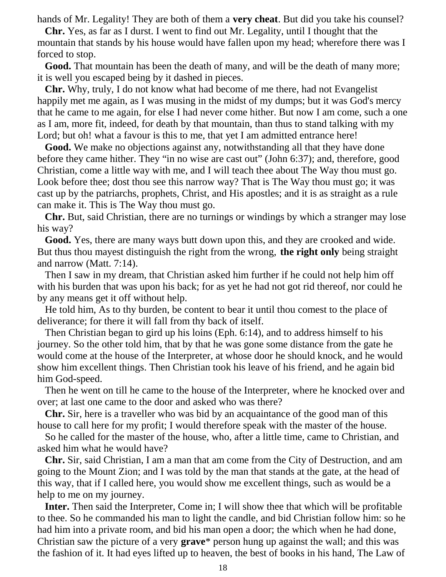hands of Mr. Legality! They are both of them a **very cheat**. But did you take his counsel?

 **Chr.** Yes, as far as I durst. I went to find out Mr. Legality, until I thought that the mountain that stands by his house would have fallen upon my head; wherefore there was I forced to stop.

 **Good.** That mountain has been the death of many, and will be the death of many more; it is well you escaped being by it dashed in pieces.

 **Chr.** Why, truly, I do not know what had become of me there, had not Evangelist happily met me again, as I was musing in the midst of my dumps; but it was God's mercy that he came to me again, for else I had never come hither. But now I am come, such a one as I am, more fit, indeed, for death by that mountain, than thus to stand talking with my Lord; but oh! what a favour is this to me, that yet I am admitted entrance here!

 **Good.** We make no objections against any, notwithstanding all that they have done before they came hither. They "in no wise are cast out" (John 6:37); and, therefore, good Christian, come a little way with me, and I will teach thee about The Way thou must go. Look before thee; dost thou see this narrow way? That is The Way thou must go; it was cast up by the patriarchs, prophets, Christ, and His apostles; and it is as straight as a rule can make it. This is The Way thou must go.

 **Chr.** But, said Christian, there are no turnings or windings by which a stranger may lose his way?

 **Good.** Yes, there are many ways butt down upon this, and they are crooked and wide. But thus thou mayest distinguish the right from the wrong, **the right only** being straight and narrow (Matt. 7:14).

 Then I saw in my dream, that Christian asked him further if he could not help him off with his burden that was upon his back; for as yet he had not got rid thereof, nor could he by any means get it off without help.

 He told him, As to thy burden, be content to bear it until thou comest to the place of deliverance; for there it will fall from thy back of itself.

 Then Christian began to gird up his loins (Eph. 6:14), and to address himself to his journey. So the other told him, that by that he was gone some distance from the gate he would come at the house of the Interpreter, at whose door he should knock, and he would show him excellent things. Then Christian took his leave of his friend, and he again bid him God-speed.

 Then he went on till he came to the house of the Interpreter, where he knocked over and over; at last one came to the door and asked who was there?

 **Chr.** Sir, here is a traveller who was bid by an acquaintance of the good man of this house to call here for my profit; I would therefore speak with the master of the house.

 So he called for the master of the house, who, after a little time, came to Christian, and asked him what he would have?

 **Chr.** Sir, said Christian, I am a man that am come from the City of Destruction, and am going to the Mount Zion; and I was told by the man that stands at the gate, at the head of this way, that if I called here, you would show me excellent things, such as would be a help to me on my journey.

 **Inter.** Then said the Interpreter, Come in; I will show thee that which will be profitable to thee. So he commanded his man to light the candle, and bid Christian follow him: so he had him into a private room, and bid his man open a door; the which when he had done, Christian saw the picture of a very **grave**\* person hung up against the wall; and this was the fashion of it. It had eyes lifted up to heaven, the best of books in his hand, The Law of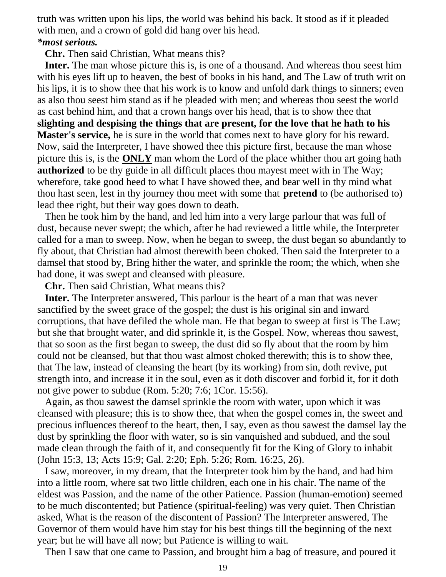truth was written upon his lips, the world was behind his back. It stood as if it pleaded with men, and a crown of gold did hang over his head. *\*most serious.*

**Chr.** Then said Christian, What means this?

 **Inter.** The man whose picture this is, is one of a thousand. And whereas thou seest him with his eyes lift up to heaven, the best of books in his hand, and The Law of truth writ on his lips, it is to show thee that his work is to know and unfold dark things to sinners; even as also thou seest him stand as if he pleaded with men; and whereas thou seest the world as cast behind him, and that a crown hangs over his head, that is to show thee that **slighting and despising the things that are present, for the love that he hath to his Master's service,** he is sure in the world that comes next to have glory for his reward. Now, said the Interpreter, I have showed thee this picture first, because the man whose picture this is, is the **ONLY** man whom the Lord of the place whither thou art going hath **authorized** to be thy guide in all difficult places thou mayest meet with in The Way; wherefore, take good heed to what I have showed thee, and bear well in thy mind what thou hast seen, lest in thy journey thou meet with some that **pretend** to (be authorised to) lead thee right, but their way goes down to death.

 Then he took him by the hand, and led him into a very large parlour that was full of dust, because never swept; the which, after he had reviewed a little while, the Interpreter called for a man to sweep. Now, when he began to sweep, the dust began so abundantly to fly about, that Christian had almost therewith been choked. Then said the Interpreter to a damsel that stood by, Bring hither the water, and sprinkle the room; the which, when she had done, it was swept and cleansed with pleasure.

**Chr.** Then said Christian, What means this?

 **Inter.** The Interpreter answered, This parlour is the heart of a man that was never sanctified by the sweet grace of the gospel; the dust is his original sin and inward corruptions, that have defiled the whole man. He that began to sweep at first is The Law; but she that brought water, and did sprinkle it, is the Gospel. Now, whereas thou sawest, that so soon as the first began to sweep, the dust did so fly about that the room by him could not be cleansed, but that thou wast almost choked therewith; this is to show thee, that The law, instead of cleansing the heart (by its working) from sin, doth revive, put strength into, and increase it in the soul, even as it doth discover and forbid it, for it doth not give power to subdue (Rom. 5:20; 7:6; 1Cor. 15:56).

 Again, as thou sawest the damsel sprinkle the room with water, upon which it was cleansed with pleasure; this is to show thee, that when the gospel comes in, the sweet and precious influences thereof to the heart, then, I say, even as thou sawest the damsel lay the dust by sprinkling the floor with water, so is sin vanquished and subdued, and the soul made clean through the faith of it, and consequently fit for the King of Glory to inhabit (John 15:3, 13; Acts 15:9; Gal. 2:20; Eph. 5:26; Rom. 16:25, 26).

 I saw, moreover, in my dream, that the Interpreter took him by the hand, and had him into a little room, where sat two little children, each one in his chair. The name of the eldest was Passion, and the name of the other Patience. Passion (human-emotion) seemed to be much discontented; but Patience (spiritual-feeling) was very quiet. Then Christian asked, What is the reason of the discontent of Passion? The Interpreter answered, The Governor of them would have him stay for his best things till the beginning of the next year; but he will have all now; but Patience is willing to wait.

Then I saw that one came to Passion, and brought him a bag of treasure, and poured it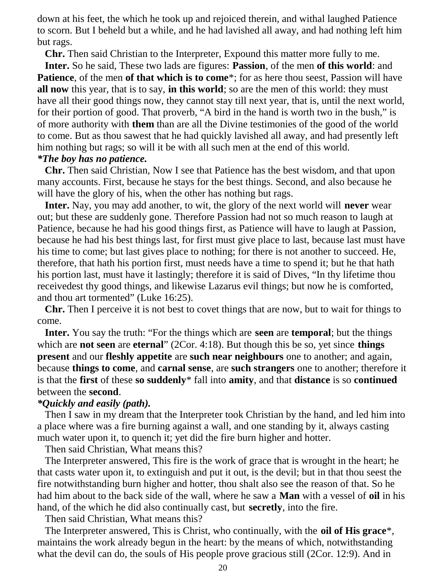down at his feet, the which he took up and rejoiced therein, and withal laughed Patience to scorn. But I beheld but a while, and he had lavished all away, and had nothing left him but rags.

**Chr.** Then said Christian to the Interpreter, Expound this matter more fully to me.

 **Inter.** So he said, These two lads are figures: **Passion**, of the men **of this world**: and **Patience**, of the men **of that which is to come**\*; for as here thou seest, Passion will have **all now** this year, that is to say, **in this world**; so are the men of this world: they must have all their good things now, they cannot stay till next year, that is, until the next world, for their portion of good. That proverb, "A bird in the hand is worth two in the bush," is of more authority with **them** than are all the Divine testimonies of the good of the world to come. But as thou sawest that he had quickly lavished all away, and had presently left him nothing but rags; so will it be with all such men at the end of this world.

## *\*The boy has no patience.*

 **Chr.** Then said Christian, Now I see that Patience has the best wisdom, and that upon many accounts. First, because he stays for the best things. Second, and also because he will have the glory of his, when the other has nothing but rags.

 **Inter.** Nay, you may add another, to wit, the glory of the next world will **never** wear out; but these are suddenly gone. Therefore Passion had not so much reason to laugh at Patience, because he had his good things first, as Patience will have to laugh at Passion, because he had his best things last, for first must give place to last, because last must have his time to come; but last gives place to nothing; for there is not another to succeed. He, therefore, that hath his portion first, must needs have a time to spend it; but he that hath his portion last, must have it lastingly; therefore it is said of Dives, "In thy lifetime thou receivedest thy good things, and likewise Lazarus evil things; but now he is comforted, and thou art tormented" (Luke 16:25).

 **Chr.** Then I perceive it is not best to covet things that are now, but to wait for things to come.

 **Inter.** You say the truth: "For the things which are **seen** are **temporal**; but the things which are **not seen** are **eternal**" (2Cor. 4:18). But though this be so, yet since **things present** and our **fleshly appetite** are **such near neighbours** one to another; and again, because **things to come**, and **carnal sense**, are **such strangers** one to another; therefore it is that the **first** of these **so suddenly**\* fall into **amity**, and that **distance** is so **continued** between the **second**.

#### *\*Quickly and easily (path).*

 Then I saw in my dream that the Interpreter took Christian by the hand, and led him into a place where was a fire burning against a wall, and one standing by it, always casting much water upon it, to quench it; yet did the fire burn higher and hotter.

Then said Christian, What means this?

 The Interpreter answered, This fire is the work of grace that is wrought in the heart; he that casts water upon it, to extinguish and put it out, is the devil; but in that thou seest the fire notwithstanding burn higher and hotter, thou shalt also see the reason of that. So he had him about to the back side of the wall, where he saw a **Man** with a vessel of **oil** in his hand, of the which he did also continually cast, but **secretly**, into the fire.

Then said Christian, What means this?

 The Interpreter answered, This is Christ, who continually, with the **oil of His grace**\*, maintains the work already begun in the heart: by the means of which, notwithstanding what the devil can do, the souls of His people prove gracious still (2Cor. 12:9). And in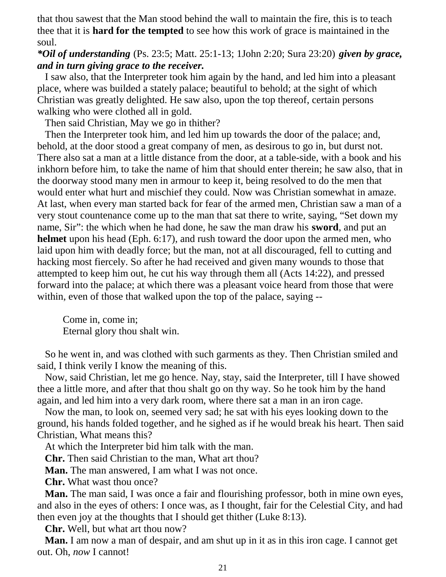that thou sawest that the Man stood behind the wall to maintain the fire, this is to teach thee that it is **hard for the tempted** to see how this work of grace is maintained in the soul.

# *\*Oil of understanding* (Ps. 23:5; Matt. 25:1-13; 1John 2:20; Sura 23:20) *given by grace, and in turn giving grace to the receiver.*

 I saw also, that the Interpreter took him again by the hand, and led him into a pleasant place, where was builded a stately palace; beautiful to behold; at the sight of which Christian was greatly delighted. He saw also, upon the top thereof, certain persons walking who were clothed all in gold.

Then said Christian, May we go in thither?

 Then the Interpreter took him, and led him up towards the door of the palace; and, behold, at the door stood a great company of men, as desirous to go in, but durst not. There also sat a man at a little distance from the door, at a table-side, with a book and his inkhorn before him, to take the name of him that should enter therein; he saw also, that in the doorway stood many men in armour to keep it, being resolved to do the men that would enter what hurt and mischief they could. Now was Christian somewhat in amaze. At last, when every man started back for fear of the armed men, Christian saw a man of a very stout countenance come up to the man that sat there to write, saying, "Set down my name, Sir": the which when he had done, he saw the man draw his **sword**, and put an **helmet** upon his head (Eph. 6:17), and rush toward the door upon the armed men, who laid upon him with deadly force; but the man, not at all discouraged, fell to cutting and hacking most fiercely. So after he had received and given many wounds to those that attempted to keep him out, he cut his way through them all (Acts 14:22), and pressed forward into the palace; at which there was a pleasant voice heard from those that were within, even of those that walked upon the top of the palace, saying --

 Come in, come in; Eternal glory thou shalt win.

 So he went in, and was clothed with such garments as they. Then Christian smiled and said, I think verily I know the meaning of this.

 Now, said Christian, let me go hence. Nay, stay, said the Interpreter, till I have showed thee a little more, and after that thou shalt go on thy way. So he took him by the hand again, and led him into a very dark room, where there sat a man in an iron cage.

 Now the man, to look on, seemed very sad; he sat with his eyes looking down to the ground, his hands folded together, and he sighed as if he would break his heart. Then said Christian, What means this?

At which the Interpreter bid him talk with the man.

**Chr.** Then said Christian to the man, What art thou?

**Man.** The man answered, I am what I was not once.

**Chr.** What wast thou once?

 **Man.** The man said, I was once a fair and flourishing professor, both in mine own eyes, and also in the eyes of others: I once was, as I thought, fair for the Celestial City, and had then even joy at the thoughts that I should get thither (Luke 8:13).

**Chr.** Well, but what art thou now?

 **Man.** I am now a man of despair, and am shut up in it as in this iron cage. I cannot get out. Oh, *now* I cannot!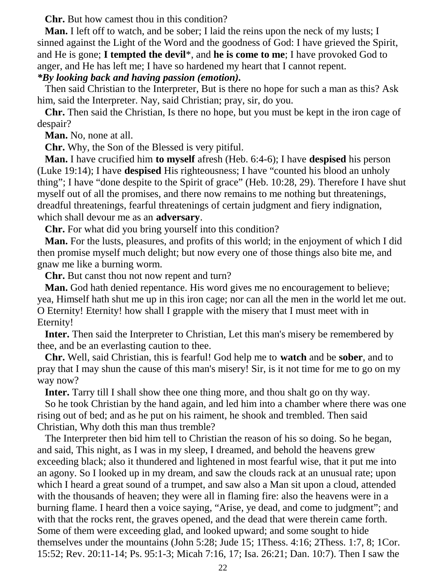**Chr.** But how camest thou in this condition?

**Man.** I left off to watch, and be sober; I laid the reins upon the neck of my lusts; I sinned against the Light of the Word and the goodness of God: I have grieved the Spirit, and He is gone; **I tempted the devil**\*, and **he is come to me**; I have provoked God to anger, and He has left me; I have so hardened my heart that I cannot repent.

## *\*By looking back and having passion (emotion).*

 Then said Christian to the Interpreter, But is there no hope for such a man as this? Ask him, said the Interpreter. Nay, said Christian; pray, sir, do you.

 **Chr.** Then said the Christian, Is there no hope, but you must be kept in the iron cage of despair?

**Man.** No, none at all.

**Chr.** Why, the Son of the Blessed is very pitiful.

 **Man.** I have crucified him **to myself** afresh (Heb. 6:4-6); I have **despised** his person (Luke 19:14); I have **despised** His righteousness; I have "counted his blood an unholy thing"; I have "done despite to the Spirit of grace" (Heb. 10:28, 29). Therefore I have shut myself out of all the promises, and there now remains to me nothing but threatenings, dreadful threatenings, fearful threatenings of certain judgment and fiery indignation, which shall devour me as an **adversary**.

**Chr.** For what did you bring yourself into this condition?

 **Man.** For the lusts, pleasures, and profits of this world; in the enjoyment of which I did then promise myself much delight; but now every one of those things also bite me, and gnaw me like a burning worm.

**Chr.** But canst thou not now repent and turn?

 **Man.** God hath denied repentance. His word gives me no encouragement to believe; yea, Himself hath shut me up in this iron cage; nor can all the men in the world let me out. O Eternity! Eternity! how shall I grapple with the misery that I must meet with in Eternity!

 **Inter.** Then said the Interpreter to Christian, Let this man's misery be remembered by thee, and be an everlasting caution to thee.

 **Chr.** Well, said Christian, this is fearful! God help me to **watch** and be **sober**, and to pray that I may shun the cause of this man's misery! Sir, is it not time for me to go on my way now?

**Inter.** Tarry till I shall show thee one thing more, and thou shalt go on thy way.

 So he took Christian by the hand again, and led him into a chamber where there was one rising out of bed; and as he put on his raiment, he shook and trembled. Then said Christian, Why doth this man thus tremble?

 The Interpreter then bid him tell to Christian the reason of his so doing. So he began, and said, This night, as I was in my sleep, I dreamed, and behold the heavens grew exceeding black; also it thundered and lightened in most fearful wise, that it put me into an agony. So I looked up in my dream, and saw the clouds rack at an unusual rate; upon which I heard a great sound of a trumpet, and saw also a Man sit upon a cloud, attended with the thousands of heaven; they were all in flaming fire: also the heavens were in a burning flame. I heard then a voice saying, "Arise, ye dead, and come to judgment"; and with that the rocks rent, the graves opened, and the dead that were therein came forth. Some of them were exceeding glad, and looked upward; and some sought to hide themselves under the mountains (John 5:28; Jude 15; 1Thess. 4:16; 2Thess. 1:7, 8; 1Cor. 15:52; Rev. 20:11-14; Ps. 95:1-3; Micah 7:16, 17; Isa. 26:21; Dan. 10:7). Then I saw the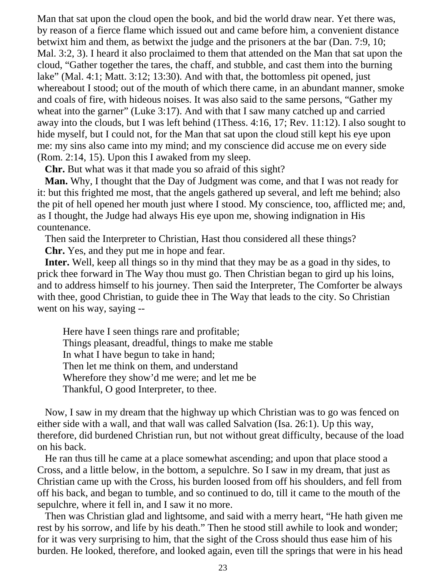Man that sat upon the cloud open the book, and bid the world draw near. Yet there was, by reason of a fierce flame which issued out and came before him, a convenient distance betwixt him and them, as betwixt the judge and the prisoners at the bar (Dan. 7:9, 10; Mal. 3:2, 3). I heard it also proclaimed to them that attended on the Man that sat upon the cloud, "Gather together the tares, the chaff, and stubble, and cast them into the burning lake" (Mal. 4:1; Matt. 3:12; 13:30). And with that, the bottomless pit opened, just whereabout I stood; out of the mouth of which there came, in an abundant manner, smoke and coals of fire, with hideous noises. It was also said to the same persons, "Gather my wheat into the garner" (Luke 3:17). And with that I saw many catched up and carried away into the clouds, but I was left behind (1Thess. 4:16, 17; Rev. 11:12). I also sought to hide myself, but I could not, for the Man that sat upon the cloud still kept his eye upon me: my sins also came into my mind; and my conscience did accuse me on every side (Rom. 2:14, 15). Upon this I awaked from my sleep.

**Chr.** But what was it that made you so afraid of this sight?

 **Man.** Why, I thought that the Day of Judgment was come, and that I was not ready for it: but this frighted me most, that the angels gathered up several, and left me behind; also the pit of hell opened her mouth just where I stood. My conscience, too, afflicted me; and, as I thought, the Judge had always His eye upon me, showing indignation in His countenance.

Then said the Interpreter to Christian, Hast thou considered all these things?

**Chr.** Yes, and they put me in hope and fear.

 **Inter.** Well, keep all things so in thy mind that they may be as a goad in thy sides, to prick thee forward in The Way thou must go. Then Christian began to gird up his loins, and to address himself to his journey. Then said the Interpreter, The Comforter be always with thee, good Christian, to guide thee in The Way that leads to the city. So Christian went on his way, saying --

 Here have I seen things rare and profitable; Things pleasant, dreadful, things to make me stable In what I have begun to take in hand; Then let me think on them, and understand Wherefore they show'd me were; and let me be Thankful, O good Interpreter, to thee.

 Now, I saw in my dream that the highway up which Christian was to go was fenced on either side with a wall, and that wall was called Salvation (Isa. 26:1). Up this way, therefore, did burdened Christian run, but not without great difficulty, because of the load on his back.

 He ran thus till he came at a place somewhat ascending; and upon that place stood a Cross, and a little below, in the bottom, a sepulchre. So I saw in my dream, that just as Christian came up with the Cross, his burden loosed from off his shoulders, and fell from off his back, and began to tumble, and so continued to do, till it came to the mouth of the sepulchre, where it fell in, and I saw it no more.

 Then was Christian glad and lightsome, and said with a merry heart, "He hath given me rest by his sorrow, and life by his death." Then he stood still awhile to look and wonder; for it was very surprising to him, that the sight of the Cross should thus ease him of his burden. He looked, therefore, and looked again, even till the springs that were in his head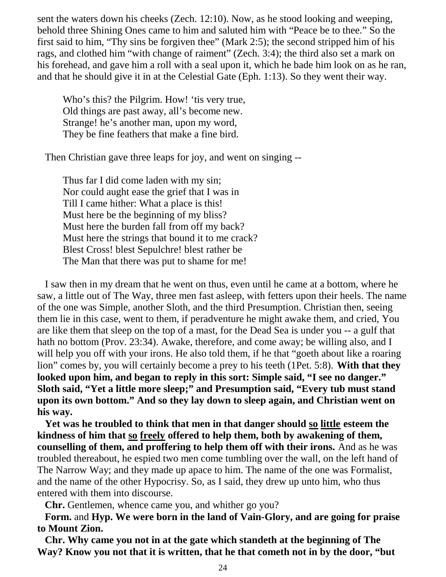sent the waters down his cheeks (Zech. 12:10). Now, as he stood looking and weeping, behold three Shining Ones came to him and saluted him with "Peace be to thee." So the first said to him, "Thy sins be forgiven thee" (Mark 2:5); the second stripped him of his rags, and clothed him "with change of raiment" (Zech. 3:4); the third also set a mark on his forehead, and gave him a roll with a seal upon it, which he bade him look on as he ran, and that he should give it in at the Celestial Gate (Eph. 1:13). So they went their way.

Who's this? the Pilgrim. How! 'tis very true, Old things are past away, all's become new. Strange! he's another man, upon my word, They be fine feathers that make a fine bird.

Then Christian gave three leaps for joy, and went on singing --

 Thus far I did come laden with my sin; Nor could aught ease the grief that I was in Till I came hither: What a place is this! Must here be the beginning of my bliss? Must here the burden fall from off my back? Must here the strings that bound it to me crack? Blest Cross! blest Sepulchre! blest rather be The Man that there was put to shame for me!

 I saw then in my dream that he went on thus, even until he came at a bottom, where he saw, a little out of The Way, three men fast asleep, with fetters upon their heels. The name of the one was Simple, another Sloth, and the third Presumption. Christian then, seeing them lie in this case, went to them, if peradventure he might awake them, and cried, You are like them that sleep on the top of a mast, for the Dead Sea is under you -- a gulf that hath no bottom (Prov. 23:34). Awake, therefore, and come away; be willing also, and I will help you off with your irons. He also told them, if he that "goeth about like a roaring lion" comes by, you will certainly become a prey to his teeth (1Pet. 5:8). **With that they looked upon him, and began to reply in this sort: Simple said, "I see no danger." Sloth said, "Yet a little more sleep;" and Presumption said, "Every tub must stand upon its own bottom." And so they lay down to sleep again, and Christian went on his way.**

 **Yet was he troubled to think that men in that danger should so little esteem the kindness of him that so freely offered to help them, both by awakening of them, counselling of them, and proffering to help them off with their irons.** And as he was troubled thereabout, he espied two men come tumbling over the wall, on the left hand of The Narrow Way; and they made up apace to him. The name of the one was Formalist, and the name of the other Hypocrisy. So, as I said, they drew up unto him, who thus entered with them into discourse.

**Chr.** Gentlemen, whence came you, and whither go you?

 **Form.** and **Hyp. We were born in the land of Vain-Glory, and are going for praise to Mount Zion.**

 **Chr. Why came you not in at the gate which standeth at the beginning of The Way? Know you not that it is written, that he that cometh not in by the door, "but**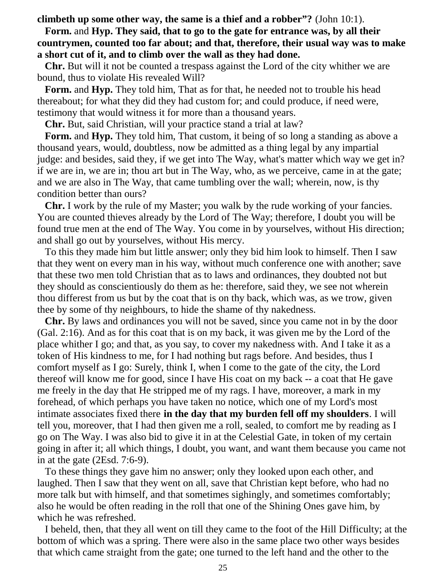**climbeth up some other way, the same is a thief and a robber"?** (John 10:1).

 **Form.** and **Hyp. They said, that to go to the gate for entrance was, by all their countrymen, counted too far about; and that, therefore, their usual way was to make a short cut of it, and to climb over the wall as they had done.**

 **Chr.** But will it not be counted a trespass against the Lord of the city whither we are bound, thus to violate His revealed Will?

 **Form.** and **Hyp.** They told him, That as for that, he needed not to trouble his head thereabout; for what they did they had custom for; and could produce, if need were, testimony that would witness it for more than a thousand years.

**Chr.** But, said Christian, will your practice stand a trial at law?

 **Form.** and **Hyp.** They told him, That custom, it being of so long a standing as above a thousand years, would, doubtless, now be admitted as a thing legal by any impartial judge: and besides, said they, if we get into The Way, what's matter which way we get in? if we are in, we are in; thou art but in The Way, who, as we perceive, came in at the gate; and we are also in The Way, that came tumbling over the wall; wherein, now, is thy condition better than ours?

 **Chr.** I work by the rule of my Master; you walk by the rude working of your fancies. You are counted thieves already by the Lord of The Way; therefore, I doubt you will be found true men at the end of The Way. You come in by yourselves, without His direction; and shall go out by yourselves, without His mercy.

 To this they made him but little answer; only they bid him look to himself. Then I saw that they went on every man in his way, without much conference one with another; save that these two men told Christian that as to laws and ordinances, they doubted not but they should as conscientiously do them as he: therefore, said they, we see not wherein thou differest from us but by the coat that is on thy back, which was, as we trow, given thee by some of thy neighbours, to hide the shame of thy nakedness.

 **Chr.** By laws and ordinances you will not be saved, since you came not in by the door (Gal. 2:16). And as for this coat that is on my back, it was given me by the Lord of the place whither I go; and that, as you say, to cover my nakedness with. And I take it as a token of His kindness to me, for I had nothing but rags before. And besides, thus I comfort myself as I go: Surely, think I, when I come to the gate of the city, the Lord thereof will know me for good, since I have His coat on my back -- a coat that He gave me freely in the day that He stripped me of my rags. I have, moreover, a mark in my forehead, of which perhaps you have taken no notice, which one of my Lord's most intimate associates fixed there **in the day that my burden fell off my shoulders**. I will tell you, moreover, that I had then given me a roll, sealed, to comfort me by reading as I go on The Way. I was also bid to give it in at the Celestial Gate, in token of my certain going in after it; all which things, I doubt, you want, and want them because you came not in at the gate (2Esd. 7:6-9).

 To these things they gave him no answer; only they looked upon each other, and laughed. Then I saw that they went on all, save that Christian kept before, who had no more talk but with himself, and that sometimes sighingly, and sometimes comfortably; also he would be often reading in the roll that one of the Shining Ones gave him, by which he was refreshed.

 I beheld, then, that they all went on till they came to the foot of the Hill Difficulty; at the bottom of which was a spring. There were also in the same place two other ways besides that which came straight from the gate; one turned to the left hand and the other to the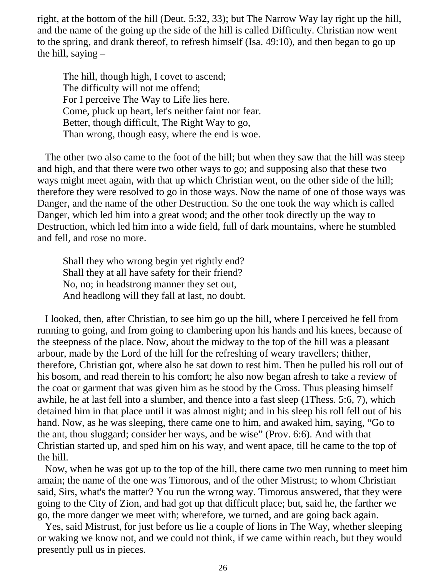right, at the bottom of the hill (Deut. 5:32, 33); but The Narrow Way lay right up the hill, and the name of the going up the side of the hill is called Difficulty. Christian now went to the spring, and drank thereof, to refresh himself (Isa. 49:10), and then began to go up the hill, saying –

 The hill, though high, I covet to ascend; The difficulty will not me offend; For I perceive The Way to Life lies here. Come, pluck up heart, let's neither faint nor fear. Better, though difficult, The Right Way to go, Than wrong, though easy, where the end is woe.

 The other two also came to the foot of the hill; but when they saw that the hill was steep and high, and that there were two other ways to go; and supposing also that these two ways might meet again, with that up which Christian went, on the other side of the hill; therefore they were resolved to go in those ways. Now the name of one of those ways was Danger, and the name of the other Destruction. So the one took the way which is called Danger, which led him into a great wood; and the other took directly up the way to Destruction, which led him into a wide field, full of dark mountains, where he stumbled and fell, and rose no more.

 Shall they who wrong begin yet rightly end? Shall they at all have safety for their friend? No, no; in headstrong manner they set out, And headlong will they fall at last, no doubt.

 I looked, then, after Christian, to see him go up the hill, where I perceived he fell from running to going, and from going to clambering upon his hands and his knees, because of the steepness of the place. Now, about the midway to the top of the hill was a pleasant arbour, made by the Lord of the hill for the refreshing of weary travellers; thither, therefore, Christian got, where also he sat down to rest him. Then he pulled his roll out of his bosom, and read therein to his comfort; he also now began afresh to take a review of the coat or garment that was given him as he stood by the Cross. Thus pleasing himself awhile, he at last fell into a slumber, and thence into a fast sleep (1Thess. 5:6, 7), which detained him in that place until it was almost night; and in his sleep his roll fell out of his hand. Now, as he was sleeping, there came one to him, and awaked him, saying, "Go to the ant, thou sluggard; consider her ways, and be wise" (Prov. 6:6). And with that Christian started up, and sped him on his way, and went apace, till he came to the top of the hill.

 Now, when he was got up to the top of the hill, there came two men running to meet him amain; the name of the one was Timorous, and of the other Mistrust; to whom Christian said, Sirs, what's the matter? You run the wrong way. Timorous answered, that they were going to the City of Zion, and had got up that difficult place; but, said he, the farther we go, the more danger we meet with; wherefore, we turned, and are going back again.

 Yes, said Mistrust, for just before us lie a couple of lions in The Way, whether sleeping or waking we know not, and we could not think, if we came within reach, but they would presently pull us in pieces.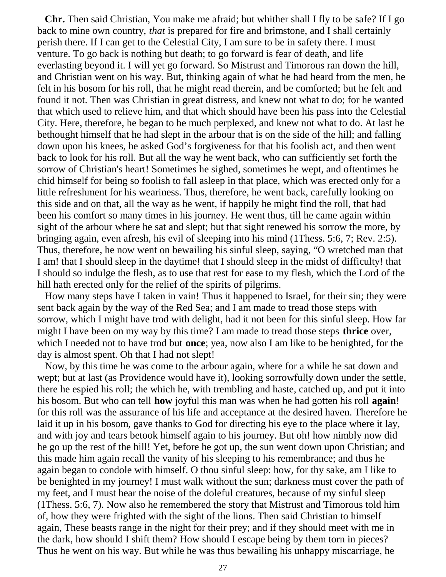**Chr.** Then said Christian, You make me afraid; but whither shall I fly to be safe? If I go back to mine own country, *that* is prepared for fire and brimstone, and I shall certainly perish there. If I can get to the Celestial City, I am sure to be in safety there. I must venture. To go back is nothing but death; to go forward is fear of death, and life everlasting beyond it. I will yet go forward. So Mistrust and Timorous ran down the hill, and Christian went on his way. But, thinking again of what he had heard from the men, he felt in his bosom for his roll, that he might read therein, and be comforted; but he felt and found it not. Then was Christian in great distress, and knew not what to do; for he wanted that which used to relieve him, and that which should have been his pass into the Celestial City. Here, therefore, he began to be much perplexed, and knew not what to do. At last he bethought himself that he had slept in the arbour that is on the side of the hill; and falling down upon his knees, he asked God's forgiveness for that his foolish act, and then went back to look for his roll. But all the way he went back, who can sufficiently set forth the sorrow of Christian's heart! Sometimes he sighed, sometimes he wept, and oftentimes he chid himself for being so foolish to fall asleep in that place, which was erected only for a little refreshment for his weariness. Thus, therefore, he went back, carefully looking on this side and on that, all the way as he went, if happily he might find the roll, that had been his comfort so many times in his journey. He went thus, till he came again within sight of the arbour where he sat and slept; but that sight renewed his sorrow the more, by bringing again, even afresh, his evil of sleeping into his mind (1Thess. 5:6, 7; Rev. 2:5). Thus, therefore, he now went on bewailing his sinful sleep, saying, "O wretched man that I am! that I should sleep in the daytime! that I should sleep in the midst of difficulty! that I should so indulge the flesh, as to use that rest for ease to my flesh, which the Lord of the hill hath erected only for the relief of the spirits of pilgrims.

 How many steps have I taken in vain! Thus it happened to Israel, for their sin; they were sent back again by the way of the Red Sea; and I am made to tread those steps with sorrow, which I might have trod with delight, had it not been for this sinful sleep. How far might I have been on my way by this time? I am made to tread those steps **thrice** over, which I needed not to have trod but **once**; yea, now also I am like to be benighted, for the day is almost spent. Oh that I had not slept!

 Now, by this time he was come to the arbour again, where for a while he sat down and wept; but at last (as Providence would have it), looking sorrowfully down under the settle, there he espied his roll; the which he, with trembling and haste, catched up, and put it into his bosom. But who can tell **how** joyful this man was when he had gotten his roll **again**! for this roll was the assurance of his life and acceptance at the desired haven. Therefore he laid it up in his bosom, gave thanks to God for directing his eye to the place where it lay, and with joy and tears betook himself again to his journey. But oh! how nimbly now did he go up the rest of the hill! Yet, before he got up, the sun went down upon Christian; and this made him again recall the vanity of his sleeping to his remembrance; and thus he again began to condole with himself. O thou sinful sleep: how, for thy sake, am I like to be benighted in my journey! I must walk without the sun; darkness must cover the path of my feet, and I must hear the noise of the doleful creatures, because of my sinful sleep (1Thess. 5:6, 7). Now also he remembered the story that Mistrust and Timorous told him of, how they were frighted with the sight of the lions. Then said Christian to himself again, These beasts range in the night for their prey; and if they should meet with me in the dark, how should I shift them? How should I escape being by them torn in pieces? Thus he went on his way. But while he was thus bewailing his unhappy miscarriage, he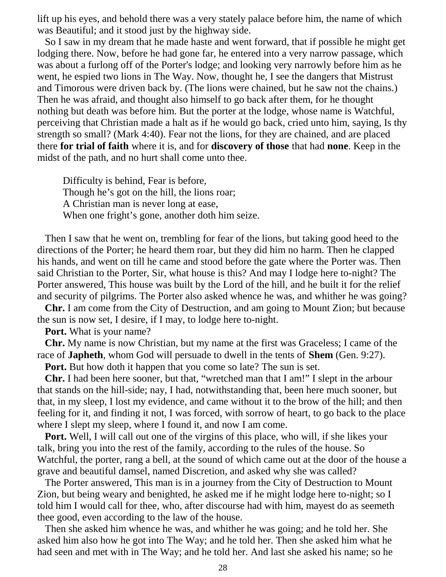lift up his eyes, and behold there was a very stately palace before him, the name of which was Beautiful; and it stood just by the highway side.

 So I saw in my dream that he made haste and went forward, that if possible he might get lodging there. Now, before he had gone far, he entered into a very narrow passage, which was about a furlong off of the Porter's lodge; and looking very narrowly before him as he went, he espied two lions in The Way. Now, thought he, I see the dangers that Mistrust and Timorous were driven back by. (The lions were chained, but he saw not the chains.) Then he was afraid, and thought also himself to go back after them, for he thought nothing but death was before him. But the porter at the lodge, whose name is Watchful, perceiving that Christian made a halt as if he would go back, cried unto him, saying, Is thy strength so small? (Mark 4:40). Fear not the lions, for they are chained, and are placed there **for trial of faith** where it is, and for **discovery of those** that had **none**. Keep in the midst of the path, and no hurt shall come unto thee.

 Difficulty is behind, Fear is before, Though he's got on the hill, the lions roar; A Christian man is never long at ease, When one fright's gone, another doth him seize.

 Then I saw that he went on, trembling for fear of the lions, but taking good heed to the directions of the Porter; he heard them roar, but they did him no harm. Then he clapped his hands, and went on till he came and stood before the gate where the Porter was. Then said Christian to the Porter, Sir, what house is this? And may I lodge here to-night? The Porter answered, This house was built by the Lord of the hill, and he built it for the relief and security of pilgrims. The Porter also asked whence he was, and whither he was going?

 **Chr.** I am come from the City of Destruction, and am going to Mount Zion; but because the sun is now set, I desire, if I may, to lodge here to-night.

**Port.** What is your name?

 **Chr.** My name is now Christian, but my name at the first was Graceless; I came of the race of **Japheth**, whom God will persuade to dwell in the tents of **Shem** (Gen. 9:27).

**Port.** But how doth it happen that you come so late? The sun is set.

 **Chr.** I had been here sooner, but that, "wretched man that I am!" I slept in the arbour that stands on the hill-side; nay, I had, notwithstanding that, been here much sooner, but that, in my sleep, I lost my evidence, and came without it to the brow of the hill; and then feeling for it, and finding it not, I was forced, with sorrow of heart, to go back to the place where I slept my sleep, where I found it, and now I am come.

 **Port.** Well, I will call out one of the virgins of this place, who will, if she likes your talk, bring you into the rest of the family, according to the rules of the house. So Watchful, the porter, rang a bell, at the sound of which came out at the door of the house a grave and beautiful damsel, named Discretion, and asked why she was called?

 The Porter answered, This man is in a journey from the City of Destruction to Mount Zion, but being weary and benighted, he asked me if he might lodge here to-night; so I told him I would call for thee, who, after discourse had with him, mayest do as seemeth thee good, even according to the law of the house.

 Then she asked him whence he was, and whither he was going; and he told her. She asked him also how he got into The Way; and he told her. Then she asked him what he had seen and met with in The Way; and he told her. And last she asked his name; so he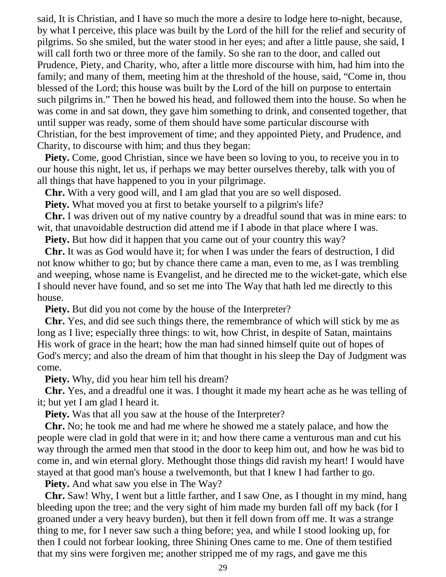said, It is Christian, and I have so much the more a desire to lodge here to-night, because, by what I perceive, this place was built by the Lord of the hill for the relief and security of pilgrims. So she smiled, but the water stood in her eyes; and after a little pause, she said, I will call forth two or three more of the family. So she ran to the door, and called out Prudence, Piety, and Charity, who, after a little more discourse with him, had him into the family; and many of them, meeting him at the threshold of the house, said, "Come in, thou blessed of the Lord; this house was built by the Lord of the hill on purpose to entertain such pilgrims in." Then he bowed his head, and followed them into the house. So when he was come in and sat down, they gave him something to drink, and consented together, that until supper was ready, some of them should have some particular discourse with Christian, for the best improvement of time; and they appointed Piety, and Prudence, and Charity, to discourse with him; and thus they began:

**Piety.** Come, good Christian, since we have been so loving to you, to receive you in to our house this night, let us, if perhaps we may better ourselves thereby, talk with you of all things that have happened to you in your pilgrimage.

**Chr.** With a very good will, and I am glad that you are so well disposed.

**Piety.** What moved you at first to betake yourself to a pilgrim's life?

 **Chr.** I was driven out of my native country by a dreadful sound that was in mine ears: to wit, that unavoidable destruction did attend me if I abode in that place where I was.

**Piety.** But how did it happen that you came out of your country this way?

 **Chr.** It was as God would have it; for when I was under the fears of destruction, I did not know whither to go; but by chance there came a man, even to me, as I was trembling and weeping, whose name is Evangelist, and he directed me to the wicket-gate, which else I should never have found, and so set me into The Way that hath led me directly to this house.

**Piety.** But did you not come by the house of the Interpreter?

 **Chr.** Yes, and did see such things there, the remembrance of which will stick by me as long as I live; especially three things: to wit, how Christ, in despite of Satan, maintains His work of grace in the heart; how the man had sinned himself quite out of hopes of God's mercy; and also the dream of him that thought in his sleep the Day of Judgment was come.

**Piety.** Why, did you hear him tell his dream?

 **Chr.** Yes, and a dreadful one it was. I thought it made my heart ache as he was telling of it; but yet I am glad I heard it.

**Piety.** Was that all you saw at the house of the Interpreter?

 **Chr.** No; he took me and had me where he showed me a stately palace, and how the people were clad in gold that were in it; and how there came a venturous man and cut his way through the armed men that stood in the door to keep him out, and how he was bid to come in, and win eternal glory. Methought those things did ravish my heart! I would have stayed at that good man's house a twelvemonth, but that I knew I had farther to go.

**Piety.** And what saw you else in The Way?

 **Chr.** Saw! Why, I went but a little farther, and I saw One, as I thought in my mind, hang bleeding upon the tree; and the very sight of him made my burden fall off my back (for I groaned under a very heavy burden), but then it fell down from off me. It was a strange thing to me, for I never saw such a thing before; yea, and while I stood looking up, for then I could not forbear looking, three Shining Ones came to me. One of them testified that my sins were forgiven me; another stripped me of my rags, and gave me this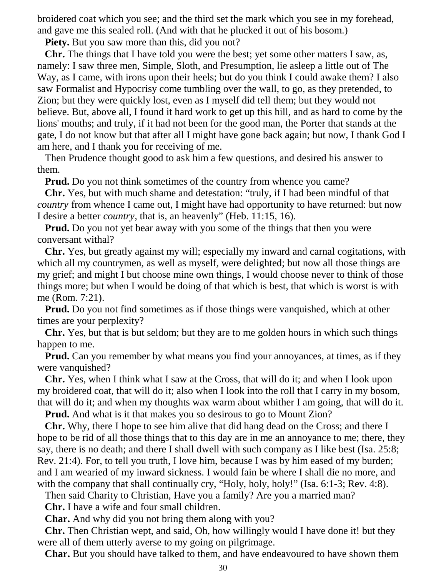broidered coat which you see; and the third set the mark which you see in my forehead, and gave me this sealed roll. (And with that he plucked it out of his bosom.)

**Piety.** But you saw more than this, did you not?

 **Chr.** The things that I have told you were the best; yet some other matters I saw, as, namely: I saw three men, Simple, Sloth, and Presumption, lie asleep a little out of The Way, as I came, with irons upon their heels; but do you think I could awake them? I also saw Formalist and Hypocrisy come tumbling over the wall, to go, as they pretended, to Zion; but they were quickly lost, even as I myself did tell them; but they would not believe. But, above all, I found it hard work to get up this hill, and as hard to come by the lions' mouths; and truly, if it had not been for the good man, the Porter that stands at the gate, I do not know but that after all I might have gone back again; but now, I thank God I am here, and I thank you for receiving of me.

 Then Prudence thought good to ask him a few questions, and desired his answer to them.

**Prud.** Do you not think sometimes of the country from whence you came?

 **Chr.** Yes, but with much shame and detestation: "truly, if I had been mindful of that *country* from whence I came out, I might have had opportunity to have returned: but now I desire a better *country*, that is, an heavenly" (Heb. 11:15, 16).

**Prud.** Do you not yet bear away with you some of the things that then you were conversant withal?

 **Chr.** Yes, but greatly against my will; especially my inward and carnal cogitations, with which all my countrymen, as well as myself, were delighted; but now all those things are my grief; and might I but choose mine own things, I would choose never to think of those things more; but when I would be doing of that which is best, that which is worst is with me (Rom. 7:21).

 **Prud.** Do you not find sometimes as if those things were vanquished, which at other times are your perplexity?

 **Chr.** Yes, but that is but seldom; but they are to me golden hours in which such things happen to me.

**Prud.** Can you remember by what means you find your annoyances, at times, as if they were vanquished?

 **Chr.** Yes, when I think what I saw at the Cross, that will do it; and when I look upon my broidered coat, that will do it; also when I look into the roll that I carry in my bosom, that will do it; and when my thoughts wax warm about whither I am going, that will do it.

**Prud.** And what is it that makes you so desirous to go to Mount Zion?

 **Chr.** Why, there I hope to see him alive that did hang dead on the Cross; and there I hope to be rid of all those things that to this day are in me an annoyance to me; there, they say, there is no death; and there I shall dwell with such company as I like best (Isa. 25:8; Rev. 21:4). For, to tell you truth, I love him, because I was by him eased of my burden; and I am wearied of my inward sickness. I would fain be where I shall die no more, and with the company that shall continually cry, "Holy, holy, holy!" (Isa. 6:1-3; Rev. 4:8).

Then said Charity to Christian, Have you a family? Are you a married man?

**Chr.** I have a wife and four small children.

**Char.** And why did you not bring them along with you?

 **Chr.** Then Christian wept, and said, Oh, how willingly would I have done it! but they were all of them utterly averse to my going on pilgrimage.

**Char.** But you should have talked to them, and have endeavoured to have shown them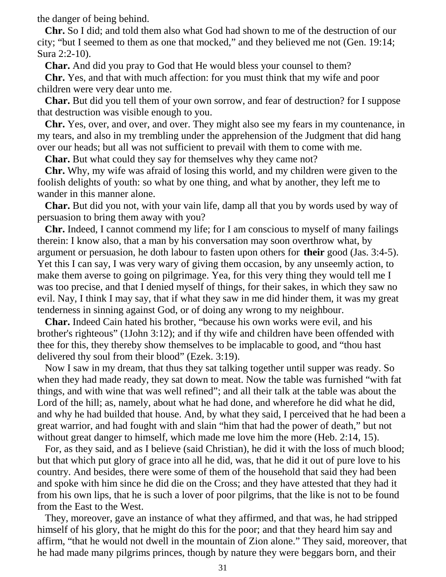the danger of being behind.

 **Chr.** So I did; and told them also what God had shown to me of the destruction of our city; "but I seemed to them as one that mocked," and they believed me not (Gen. 19:14; Sura 2:2-10).

**Char.** And did you pray to God that He would bless your counsel to them?

 **Chr.** Yes, and that with much affection: for you must think that my wife and poor children were very dear unto me.

 **Char.** But did you tell them of your own sorrow, and fear of destruction? for I suppose that destruction was visible enough to you.

 **Chr.** Yes, over, and over, and over. They might also see my fears in my countenance, in my tears, and also in my trembling under the apprehension of the Judgment that did hang over our heads; but all was not sufficient to prevail with them to come with me.

**Char.** But what could they say for themselves why they came not?

 **Chr.** Why, my wife was afraid of losing this world, and my children were given to the foolish delights of youth: so what by one thing, and what by another, they left me to wander in this manner alone.

 **Char.** But did you not, with your vain life, damp all that you by words used by way of persuasion to bring them away with you?

 **Chr.** Indeed, I cannot commend my life; for I am conscious to myself of many failings therein: I know also, that a man by his conversation may soon overthrow what, by argument or persuasion, he doth labour to fasten upon others for **their** good (Jas. 3:4-5). Yet this I can say, I was very wary of giving them occasion, by any unseemly action, to make them averse to going on pilgrimage. Yea, for this very thing they would tell me I was too precise, and that I denied myself of things, for their sakes, in which they saw no evil. Nay, I think I may say, that if what they saw in me did hinder them, it was my great tenderness in sinning against God, or of doing any wrong to my neighbour.

 **Char.** Indeed Cain hated his brother, "because his own works were evil, and his brother's righteous" (1John 3:12); and if thy wife and children have been offended with thee for this, they thereby show themselves to be implacable to good, and "thou hast delivered thy soul from their blood" (Ezek. 3:19).

 Now I saw in my dream, that thus they sat talking together until supper was ready. So when they had made ready, they sat down to meat. Now the table was furnished "with fat things, and with wine that was well refined"; and all their talk at the table was about the Lord of the hill; as, namely, about what he had done, and wherefore he did what he did, and why he had builded that house. And, by what they said, I perceived that he had been a great warrior, and had fought with and slain "him that had the power of death," but not without great danger to himself, which made me love him the more (Heb. 2:14, 15).

 For, as they said, and as I believe (said Christian), he did it with the loss of much blood; but that which put glory of grace into all he did, was, that he did it out of pure love to his country. And besides, there were some of them of the household that said they had been and spoke with him since he did die on the Cross; and they have attested that they had it from his own lips, that he is such a lover of poor pilgrims, that the like is not to be found from the East to the West.

 They, moreover, gave an instance of what they affirmed, and that was, he had stripped himself of his glory, that he might do this for the poor; and that they heard him say and affirm, "that he would not dwell in the mountain of Zion alone." They said, moreover, that he had made many pilgrims princes, though by nature they were beggars born, and their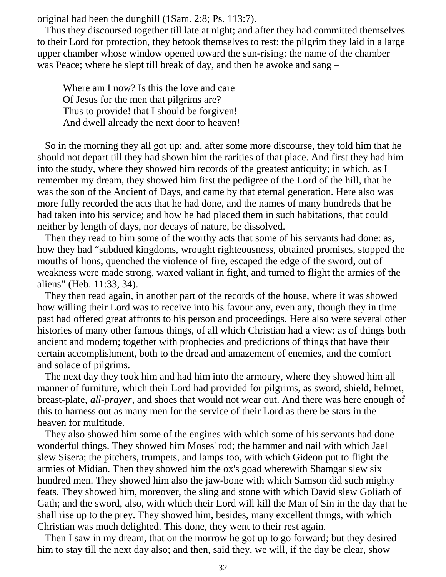original had been the dunghill (1Sam. 2:8; Ps. 113:7).

 Thus they discoursed together till late at night; and after they had committed themselves to their Lord for protection, they betook themselves to rest: the pilgrim they laid in a large upper chamber whose window opened toward the sun-rising: the name of the chamber was Peace; where he slept till break of day, and then he awoke and sang –

 Where am I now? Is this the love and care Of Jesus for the men that pilgrims are? Thus to provide! that I should be forgiven! And dwell already the next door to heaven!

 So in the morning they all got up; and, after some more discourse, they told him that he should not depart till they had shown him the rarities of that place. And first they had him into the study, where they showed him records of the greatest antiquity; in which, as I remember my dream, they showed him first the pedigree of the Lord of the hill, that he was the son of the Ancient of Days, and came by that eternal generation. Here also was more fully recorded the acts that he had done, and the names of many hundreds that he had taken into his service; and how he had placed them in such habitations, that could neither by length of days, nor decays of nature, be dissolved.

 Then they read to him some of the worthy acts that some of his servants had done: as, how they had "subdued kingdoms, wrought righteousness, obtained promises, stopped the mouths of lions, quenched the violence of fire, escaped the edge of the sword, out of weakness were made strong, waxed valiant in fight, and turned to flight the armies of the aliens" (Heb. 11:33, 34).

 They then read again, in another part of the records of the house, where it was showed how willing their Lord was to receive into his favour any, even any, though they in time past had offered great affronts to his person and proceedings. Here also were several other histories of many other famous things, of all which Christian had a view: as of things both ancient and modern; together with prophecies and predictions of things that have their certain accomplishment, both to the dread and amazement of enemies, and the comfort and solace of pilgrims.

 The next day they took him and had him into the armoury, where they showed him all manner of furniture, which their Lord had provided for pilgrims, as sword, shield, helmet, breast-plate, *all-prayer*, and shoes that would not wear out. And there was here enough of this to harness out as many men for the service of their Lord as there be stars in the heaven for multitude.

 They also showed him some of the engines with which some of his servants had done wonderful things. They showed him Moses' rod; the hammer and nail with which Jael slew Sisera; the pitchers, trumpets, and lamps too, with which Gideon put to flight the armies of Midian. Then they showed him the ox's goad wherewith Shamgar slew six hundred men. They showed him also the jaw-bone with which Samson did such mighty feats. They showed him, moreover, the sling and stone with which David slew Goliath of Gath; and the sword, also, with which their Lord will kill the Man of Sin in the day that he shall rise up to the prey. They showed him, besides, many excellent things, with which Christian was much delighted. This done, they went to their rest again.

 Then I saw in my dream, that on the morrow he got up to go forward; but they desired him to stay till the next day also; and then, said they, we will, if the day be clear, show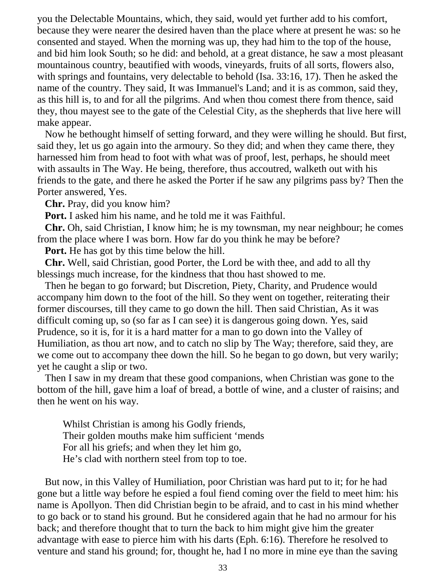you the Delectable Mountains, which, they said, would yet further add to his comfort, because they were nearer the desired haven than the place where at present he was: so he consented and stayed. When the morning was up, they had him to the top of the house, and bid him look South; so he did: and behold, at a great distance, he saw a most pleasant mountainous country, beautified with woods, vineyards, fruits of all sorts, flowers also, with springs and fountains, very delectable to behold (Isa. 33:16, 17). Then he asked the name of the country. They said, It was Immanuel's Land; and it is as common, said they, as this hill is, to and for all the pilgrims. And when thou comest there from thence, said they, thou mayest see to the gate of the Celestial City, as the shepherds that live here will make appear.

 Now he bethought himself of setting forward, and they were willing he should. But first, said they, let us go again into the armoury. So they did; and when they came there, they harnessed him from head to foot with what was of proof, lest, perhaps, he should meet with assaults in The Way. He being, therefore, thus accoutred, walketh out with his friends to the gate, and there he asked the Porter if he saw any pilgrims pass by? Then the Porter answered, Yes.

**Chr.** Pray, did you know him?

**Port.** I asked him his name, and he told me it was Faithful.

 **Chr.** Oh, said Christian, I know him; he is my townsman, my near neighbour; he comes from the place where I was born. How far do you think he may be before?

**Port.** He has got by this time below the hill.

 **Chr.** Well, said Christian, good Porter, the Lord be with thee, and add to all thy blessings much increase, for the kindness that thou hast showed to me.

 Then he began to go forward; but Discretion, Piety, Charity, and Prudence would accompany him down to the foot of the hill. So they went on together, reiterating their former discourses, till they came to go down the hill. Then said Christian, As it was difficult coming up, so (so far as I can see) it is dangerous going down. Yes, said Prudence, so it is, for it is a hard matter for a man to go down into the Valley of Humiliation, as thou art now, and to catch no slip by The Way; therefore, said they, are we come out to accompany thee down the hill. So he began to go down, but very warily; yet he caught a slip or two.

 Then I saw in my dream that these good companions, when Christian was gone to the bottom of the hill, gave him a loaf of bread, a bottle of wine, and a cluster of raisins; and then he went on his way.

 Whilst Christian is among his Godly friends, Their golden mouths make him sufficient 'mends For all his griefs; and when they let him go, He's clad with northern steel from top to toe.

 But now, in this Valley of Humiliation, poor Christian was hard put to it; for he had gone but a little way before he espied a foul fiend coming over the field to meet him: his name is Apollyon. Then did Christian begin to be afraid, and to cast in his mind whether to go back or to stand his ground. But he considered again that he had no armour for his back; and therefore thought that to turn the back to him might give him the greater advantage with ease to pierce him with his darts (Eph. 6:16). Therefore he resolved to venture and stand his ground; for, thought he, had I no more in mine eye than the saving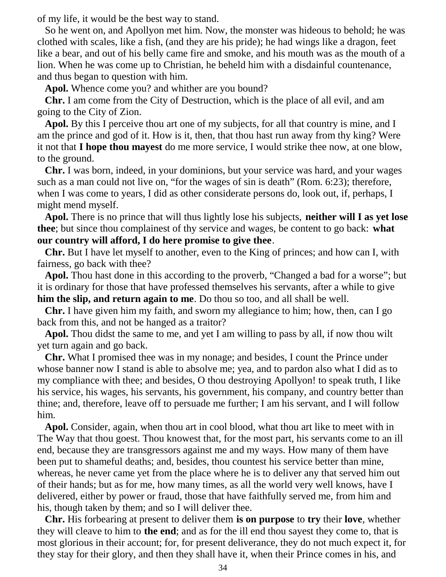of my life, it would be the best way to stand.

 So he went on, and Apollyon met him. Now, the monster was hideous to behold; he was clothed with scales, like a fish, (and they are his pride); he had wings like a dragon, feet like a bear, and out of his belly came fire and smoke, and his mouth was as the mouth of a lion. When he was come up to Christian, he beheld him with a disdainful countenance, and thus began to question with him.

**Apol.** Whence come you? and whither are you bound?

 **Chr.** I am come from the City of Destruction, which is the place of all evil, and am going to the City of Zion.

 **Apol.** By this I perceive thou art one of my subjects, for all that country is mine, and I am the prince and god of it. How is it, then, that thou hast run away from thy king? Were it not that **I hope thou mayest** do me more service, I would strike thee now, at one blow, to the ground.

 **Chr.** I was born, indeed, in your dominions, but your service was hard, and your wages such as a man could not live on, "for the wages of sin is death" (Rom. 6:23); therefore, when I was come to years, I did as other considerate persons do, look out, if, perhaps, I might mend myself.

 **Apol.** There is no prince that will thus lightly lose his subjects, **neither will I as yet lose thee**; but since thou complainest of thy service and wages, be content to go back: **what our country will afford, I do here promise to give thee**.

 **Chr.** But I have let myself to another, even to the King of princes; and how can I, with fairness, go back with thee?

 **Apol.** Thou hast done in this according to the proverb, "Changed a bad for a worse"; but it is ordinary for those that have professed themselves his servants, after a while to give **him the slip, and return again to me**. Do thou so too, and all shall be well.

 **Chr.** I have given him my faith, and sworn my allegiance to him; how, then, can I go back from this, and not be hanged as a traitor?

 **Apol.** Thou didst the same to me, and yet I am willing to pass by all, if now thou wilt yet turn again and go back.

 **Chr.** What I promised thee was in my nonage; and besides, I count the Prince under whose banner now I stand is able to absolve me; yea, and to pardon also what I did as to my compliance with thee; and besides, O thou destroying Apollyon! to speak truth, I like his service, his wages, his servants, his government, his company, and country better than thine; and, therefore, leave off to persuade me further; I am his servant, and I will follow him.

 **Apol.** Consider, again, when thou art in cool blood, what thou art like to meet with in The Way that thou goest. Thou knowest that, for the most part, his servants come to an ill end, because they are transgressors against me and my ways. How many of them have been put to shameful deaths; and, besides, thou countest his service better than mine, whereas, he never came yet from the place where he is to deliver any that served him out of their hands; but as for me, how many times, as all the world very well knows, have I delivered, either by power or fraud, those that have faithfully served me, from him and his, though taken by them; and so I will deliver thee.

 **Chr.** His forbearing at present to deliver them **is on purpose** to **try** their **love**, whether they will cleave to him to **the end**; and as for the ill end thou sayest they come to, that is most glorious in their account; for, for present deliverance, they do not much expect it, for they stay for their glory, and then they shall have it, when their Prince comes in his, and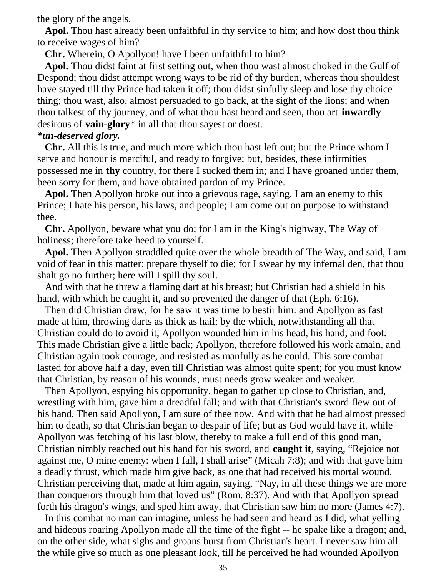the glory of the angels.

 **Apol.** Thou hast already been unfaithful in thy service to him; and how dost thou think to receive wages of him?

**Chr.** Wherein, O Apollyon! have I been unfaithful to him?

 **Apol.** Thou didst faint at first setting out, when thou wast almost choked in the Gulf of Despond; thou didst attempt wrong ways to be rid of thy burden, whereas thou shouldest have stayed till thy Prince had taken it off; thou didst sinfully sleep and lose thy choice thing; thou wast, also, almost persuaded to go back, at the sight of the lions; and when thou talkest of thy journey, and of what thou hast heard and seen, thou art **inwardly** desirous of **vain-glory**\* in all that thou sayest or doest.

## *\*un-deserved glory.*

 **Chr.** All this is true, and much more which thou hast left out; but the Prince whom I serve and honour is merciful, and ready to forgive; but, besides, these infirmities possessed me in **thy** country, for there I sucked them in; and I have groaned under them, been sorry for them, and have obtained pardon of my Prince.

 **Apol.** Then Apollyon broke out into a grievous rage, saying, I am an enemy to this Prince; I hate his person, his laws, and people; I am come out on purpose to withstand thee.

 **Chr.** Apollyon, beware what you do; for I am in the King's highway, The Way of holiness; therefore take heed to yourself.

 **Apol.** Then Apollyon straddled quite over the whole breadth of The Way, and said, I am void of fear in this matter: prepare thyself to die; for I swear by my infernal den, that thou shalt go no further; here will I spill thy soul.

 And with that he threw a flaming dart at his breast; but Christian had a shield in his hand, with which he caught it, and so prevented the danger of that (Eph. 6:16).

 Then did Christian draw, for he saw it was time to bestir him: and Apollyon as fast made at him, throwing darts as thick as hail; by the which, notwithstanding all that Christian could do to avoid it, Apollyon wounded him in his head, his hand, and foot. This made Christian give a little back; Apollyon, therefore followed his work amain, and Christian again took courage, and resisted as manfully as he could. This sore combat lasted for above half a day, even till Christian was almost quite spent; for you must know that Christian, by reason of his wounds, must needs grow weaker and weaker.

 Then Apollyon, espying his opportunity, began to gather up close to Christian, and, wrestling with him, gave him a dreadful fall; and with that Christian's sword flew out of his hand. Then said Apollyon, I am sure of thee now. And with that he had almost pressed him to death, so that Christian began to despair of life; but as God would have it, while Apollyon was fetching of his last blow, thereby to make a full end of this good man, Christian nimbly reached out his hand for his sword, and **caught it**, saying, "Rejoice not against me, O mine enemy: when I fall, I shall arise" (Micah 7:8); and with that gave him a deadly thrust, which made him give back, as one that had received his mortal wound. Christian perceiving that, made at him again, saying, "Nay, in all these things we are more than conquerors through him that loved us" (Rom. 8:37). And with that Apollyon spread forth his dragon's wings, and sped him away, that Christian saw him no more (James 4:7).

 In this combat no man can imagine, unless he had seen and heard as I did, what yelling and hideous roaring Apollyon made all the time of the fight -- he spake like a dragon; and, on the other side, what sighs and groans burst from Christian's heart. I never saw him all the while give so much as one pleasant look, till he perceived he had wounded Apollyon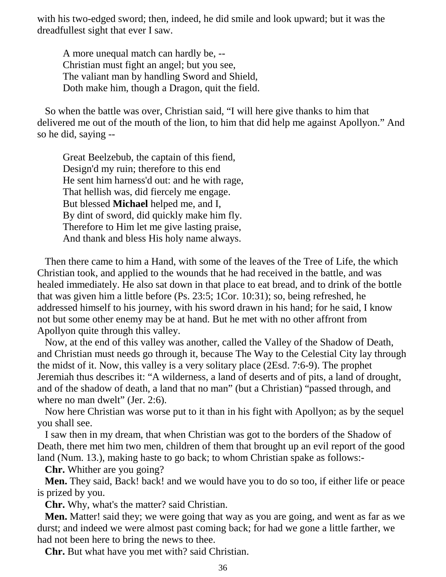with his two-edged sword; then, indeed, he did smile and look upward; but it was the dreadfullest sight that ever I saw.

 A more unequal match can hardly be, -- Christian must fight an angel; but you see, The valiant man by handling Sword and Shield, Doth make him, though a Dragon, quit the field.

 So when the battle was over, Christian said, "I will here give thanks to him that delivered me out of the mouth of the lion, to him that did help me against Apollyon." And so he did, saying --

 Great Beelzebub, the captain of this fiend, Design'd my ruin; therefore to this end He sent him harness'd out: and he with rage, That hellish was, did fiercely me engage. But blessed **Michael** helped me, and I, By dint of sword, did quickly make him fly. Therefore to Him let me give lasting praise, And thank and bless His holy name always.

 Then there came to him a Hand, with some of the leaves of the Tree of Life, the which Christian took, and applied to the wounds that he had received in the battle, and was healed immediately. He also sat down in that place to eat bread, and to drink of the bottle that was given him a little before (Ps. 23:5; 1Cor. 10:31); so, being refreshed, he addressed himself to his journey, with his sword drawn in his hand; for he said, I know not but some other enemy may be at hand. But he met with no other affront from Apollyon quite through this valley.

 Now, at the end of this valley was another, called the Valley of the Shadow of Death, and Christian must needs go through it, because The Way to the Celestial City lay through the midst of it. Now, this valley is a very solitary place (2Esd. 7:6-9). The prophet Jeremiah thus describes it: "A wilderness, a land of deserts and of pits, a land of drought, and of the shadow of death, a land that no man" (but a Christian) "passed through, and where no man dwelt" (Jer. 2:6).

 Now here Christian was worse put to it than in his fight with Apollyon; as by the sequel you shall see.

 I saw then in my dream, that when Christian was got to the borders of the Shadow of Death, there met him two men, children of them that brought up an evil report of the good land (Num. 13.), making haste to go back; to whom Christian spake as follows:-

**Chr.** Whither are you going?

**Men.** They said, Back! back! and we would have you to do so too, if either life or peace is prized by you.

**Chr.** Why, what's the matter? said Christian.

 **Men.** Matter! said they; we were going that way as you are going, and went as far as we durst; and indeed we were almost past coming back; for had we gone a little farther, we had not been here to bring the news to thee.

**Chr.** But what have you met with? said Christian.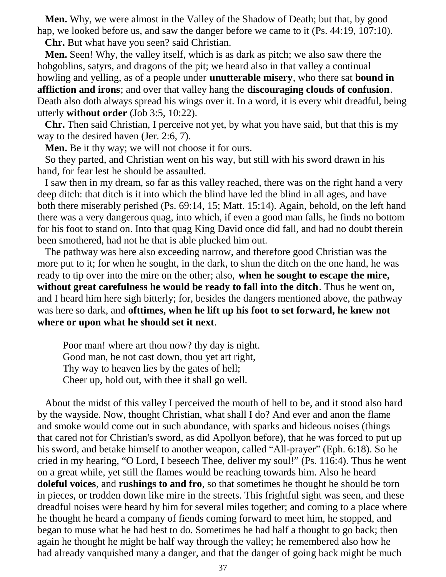**Men.** Why, we were almost in the Valley of the Shadow of Death; but that, by good hap, we looked before us, and saw the danger before we came to it (Ps. 44:19, 107:10).

**Chr.** But what have you seen? said Christian.

 **Men.** Seen! Why, the valley itself, which is as dark as pitch; we also saw there the hobgoblins, satyrs, and dragons of the pit; we heard also in that valley a continual howling and yelling, as of a people under **unutterable misery**, who there sat **bound in affliction and irons**; and over that valley hang the **discouraging clouds of confusion**. Death also doth always spread his wings over it. In a word, it is every whit dreadful, being utterly **without order** (Job 3:5, 10:22).

 **Chr.** Then said Christian, I perceive not yet, by what you have said, but that this is my way to the desired haven (Jer. 2:6, 7).

**Men.** Be it thy way; we will not choose it for ours.

 So they parted, and Christian went on his way, but still with his sword drawn in his hand, for fear lest he should be assaulted.

 I saw then in my dream, so far as this valley reached, there was on the right hand a very deep ditch: that ditch is it into which the blind have led the blind in all ages, and have both there miserably perished (Ps. 69:14, 15; Matt. 15:14). Again, behold, on the left hand there was a very dangerous quag, into which, if even a good man falls, he finds no bottom for his foot to stand on. Into that quag King David once did fall, and had no doubt therein been smothered, had not he that is able plucked him out.

 The pathway was here also exceeding narrow, and therefore good Christian was the more put to it; for when he sought, in the dark, to shun the ditch on the one hand, he was ready to tip over into the mire on the other; also, **when he sought to escape the mire, without great carefulness he would be ready to fall into the ditch**. Thus he went on, and I heard him here sigh bitterly; for, besides the dangers mentioned above, the pathway was here so dark, and **ofttimes, when he lift up his foot to set forward, he knew not where or upon what he should set it next**.

 Poor man! where art thou now? thy day is night. Good man, be not cast down, thou yet art right, Thy way to heaven lies by the gates of hell; Cheer up, hold out, with thee it shall go well.

 About the midst of this valley I perceived the mouth of hell to be, and it stood also hard by the wayside. Now, thought Christian, what shall I do? And ever and anon the flame and smoke would come out in such abundance, with sparks and hideous noises (things that cared not for Christian's sword, as did Apollyon before), that he was forced to put up his sword, and betake himself to another weapon, called "All-prayer" (Eph. 6:18). So he cried in my hearing, "O Lord, I beseech Thee, deliver my soul!" (Ps. 116:4). Thus he went on a great while, yet still the flames would be reaching towards him. Also he heard **doleful voices**, and **rushings to and fro**, so that sometimes he thought he should be torn in pieces, or trodden down like mire in the streets. This frightful sight was seen, and these dreadful noises were heard by him for several miles together; and coming to a place where he thought he heard a company of fiends coming forward to meet him, he stopped, and began to muse what he had best to do. Sometimes he had half a thought to go back; then again he thought he might be half way through the valley; he remembered also how he had already vanquished many a danger, and that the danger of going back might be much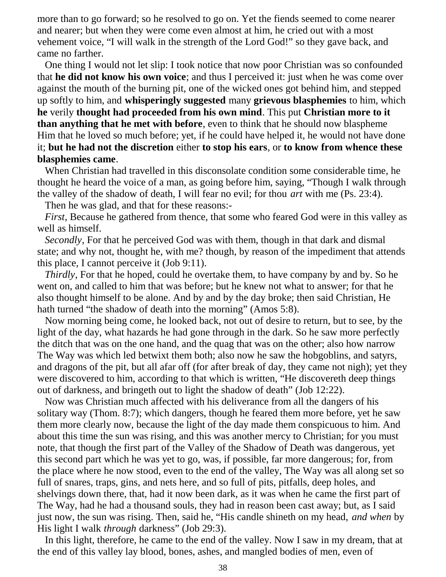more than to go forward; so he resolved to go on. Yet the fiends seemed to come nearer and nearer; but when they were come even almost at him, he cried out with a most vehement voice, "I will walk in the strength of the Lord God!" so they gave back, and came no farther.

 One thing I would not let slip: I took notice that now poor Christian was so confounded that **he did not know his own voice**; and thus I perceived it: just when he was come over against the mouth of the burning pit, one of the wicked ones got behind him, and stepped up softly to him, and **whisperingly suggested** many **grievous blasphemies** to him, which **he** verily **thought had proceeded from his own mind**. This put **Christian more to it than anything that he met with before**, even to think that he should now blaspheme Him that he loved so much before; yet, if he could have helped it, he would not have done it; **but he had not the discretion** either **to stop his ears**, or **to know from whence these blasphemies came**.

 When Christian had travelled in this disconsolate condition some considerable time, he thought he heard the voice of a man, as going before him, saying, "Though I walk through the valley of the shadow of death, I will fear no evil; for thou *art* with me (Ps. 23:4).

Then he was glad, and that for these reasons:-

*First*, Because he gathered from thence, that some who feared God were in this valley as well as himself.

 *Secondly*, For that he perceived God was with them, though in that dark and dismal state; and why not, thought he, with me? though, by reason of the impediment that attends this place, I cannot perceive it (Job 9:11).

 *Thirdly*, For that he hoped, could he overtake them, to have company by and by. So he went on, and called to him that was before; but he knew not what to answer; for that he also thought himself to be alone. And by and by the day broke; then said Christian, He hath turned "the shadow of death into the morning" (Amos 5:8).

 Now morning being come, he looked back, not out of desire to return, but to see, by the light of the day, what hazards he had gone through in the dark. So he saw more perfectly the ditch that was on the one hand, and the quag that was on the other; also how narrow The Way was which led betwixt them both; also now he saw the hobgoblins, and satyrs, and dragons of the pit, but all afar off (for after break of day, they came not nigh); yet they were discovered to him, according to that which is written, "He discovereth deep things out of darkness, and bringeth out to light the shadow of death" (Job 12:22).

 Now was Christian much affected with his deliverance from all the dangers of his solitary way (Thom. 8:7); which dangers, though he feared them more before, yet he saw them more clearly now, because the light of the day made them conspicuous to him. And about this time the sun was rising, and this was another mercy to Christian; for you must note, that though the first part of the Valley of the Shadow of Death was dangerous, yet this second part which he was yet to go, was, if possible, far more dangerous; for, from the place where he now stood, even to the end of the valley, The Way was all along set so full of snares, traps, gins, and nets here, and so full of pits, pitfalls, deep holes, and shelvings down there, that, had it now been dark, as it was when he came the first part of The Way, had he had a thousand souls, they had in reason been cast away; but, as I said just now, the sun was rising. Then, said he, "His candle shineth on my head, *and when* by His light I walk *through* darkness" (Job 29:3).

 In this light, therefore, he came to the end of the valley. Now I saw in my dream, that at the end of this valley lay blood, bones, ashes, and mangled bodies of men, even of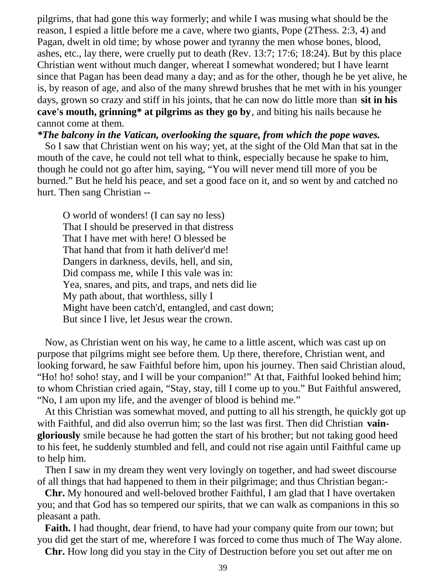pilgrims, that had gone this way formerly; and while I was musing what should be the reason, I espied a little before me a cave, where two giants, Pope (2Thess. 2:3, 4) and Pagan, dwelt in old time; by whose power and tyranny the men whose bones, blood, ashes, etc., lay there, were cruelly put to death (Rev. 13:7; 17:6; 18:24). But by this place Christian went without much danger, whereat I somewhat wondered; but I have learnt since that Pagan has been dead many a day; and as for the other, though he be yet alive, he is, by reason of age, and also of the many shrewd brushes that he met with in his younger days, grown so crazy and stiff in his joints, that he can now do little more than **sit in his cave's mouth, grinning\* at pilgrims as they go by**, and biting his nails because he cannot come at them.

#### *\*The balcony in the Vatican, overlooking the square, from which the pope waves.*

 So I saw that Christian went on his way; yet, at the sight of the Old Man that sat in the mouth of the cave, he could not tell what to think, especially because he spake to him, though he could not go after him, saying, "You will never mend till more of you be burned." But he held his peace, and set a good face on it, and so went by and catched no hurt. Then sang Christian --

 O world of wonders! (I can say no less) That I should be preserved in that distress That I have met with here! O blessed be That hand that from it hath deliver'd me! Dangers in darkness, devils, hell, and sin, Did compass me, while I this vale was in: Yea, snares, and pits, and traps, and nets did lie My path about, that worthless, silly I Might have been catch'd, entangled, and cast down; But since I live, let Jesus wear the crown.

 Now, as Christian went on his way, he came to a little ascent, which was cast up on purpose that pilgrims might see before them. Up there, therefore, Christian went, and looking forward, he saw Faithful before him, upon his journey. Then said Christian aloud, "Ho! ho! soho! stay, and I will be your companion!" At that, Faithful looked behind him; to whom Christian cried again, "Stay, stay, till I come up to you." But Faithful answered, "No, I am upon my life, and the avenger of blood is behind me."

 At this Christian was somewhat moved, and putting to all his strength, he quickly got up with Faithful, and did also overrun him; so the last was first. Then did Christian **vaingloriously** smile because he had gotten the start of his brother; but not taking good heed to his feet, he suddenly stumbled and fell, and could not rise again until Faithful came up to help him.

 Then I saw in my dream they went very lovingly on together, and had sweet discourse of all things that had happened to them in their pilgrimage; and thus Christian began:-

 **Chr.** My honoured and well-beloved brother Faithful, I am glad that I have overtaken you; and that God has so tempered our spirits, that we can walk as companions in this so pleasant a path.

 **Faith.** I had thought, dear friend, to have had your company quite from our town; but you did get the start of me, wherefore I was forced to come thus much of The Way alone.

**Chr.** How long did you stay in the City of Destruction before you set out after me on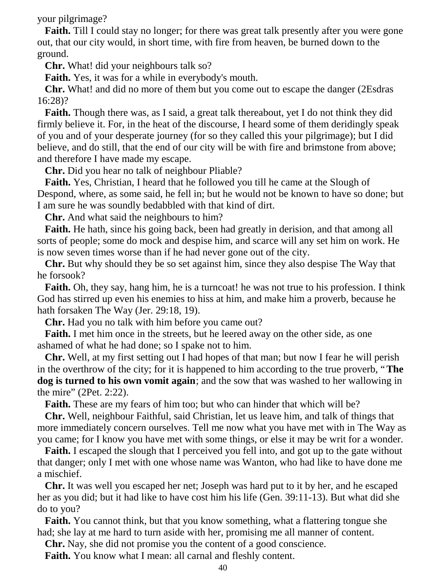your pilgrimage?

**Faith.** Till I could stay no longer; for there was great talk presently after you were gone out, that our city would, in short time, with fire from heaven, be burned down to the ground.

**Chr.** What! did your neighbours talk so?

**Faith.** Yes, it was for a while in everybody's mouth.

 **Chr.** What! and did no more of them but you come out to escape the danger (2Esdras 16:28)?

 **Faith.** Though there was, as I said, a great talk thereabout, yet I do not think they did firmly believe it. For, in the heat of the discourse, I heard some of them deridingly speak of you and of your desperate journey (for so they called this your pilgrimage); but I did believe, and do still, that the end of our city will be with fire and brimstone from above; and therefore I have made my escape.

**Chr.** Did you hear no talk of neighbour Pliable?

 **Faith.** Yes, Christian, I heard that he followed you till he came at the Slough of Despond, where, as some said, he fell in; but he would not be known to have so done; but I am sure he was soundly bedabbled with that kind of dirt.

**Chr.** And what said the neighbours to him?

 **Faith.** He hath, since his going back, been had greatly in derision, and that among all sorts of people; some do mock and despise him, and scarce will any set him on work. He is now seven times worse than if he had never gone out of the city.

 **Chr.** But why should they be so set against him, since they also despise The Way that he forsook?

**Faith.** Oh, they say, hang him, he is a turncoat! he was not true to his profession. I think God has stirred up even his enemies to hiss at him, and make him a proverb, because he hath forsaken The Way (Jer. 29:18, 19).

**Chr.** Had you no talk with him before you came out?

 **Faith.** I met him once in the streets, but he leered away on the other side, as one ashamed of what he had done; so I spake not to him.

 **Chr.** Well, at my first setting out I had hopes of that man; but now I fear he will perish in the overthrow of the city; for it is happened to him according to the true proverb, "**The dog is turned to his own vomit again**; and the sow that was washed to her wallowing in the mire" (2Pet. 2:22).

**Faith.** These are my fears of him too; but who can hinder that which will be?

 **Chr.** Well, neighbour Faithful, said Christian, let us leave him, and talk of things that more immediately concern ourselves. Tell me now what you have met with in The Way as you came; for I know you have met with some things, or else it may be writ for a wonder.

 **Faith.** I escaped the slough that I perceived you fell into, and got up to the gate without that danger; only I met with one whose name was Wanton, who had like to have done me a mischief.

 **Chr.** It was well you escaped her net; Joseph was hard put to it by her, and he escaped her as you did; but it had like to have cost him his life (Gen. 39:11-13). But what did she do to you?

 **Faith.** You cannot think, but that you know something, what a flattering tongue she had; she lay at me hard to turn aside with her, promising me all manner of content.

**Chr.** Nay, she did not promise you the content of a good conscience.

**Faith.** You know what I mean: all carnal and fleshly content.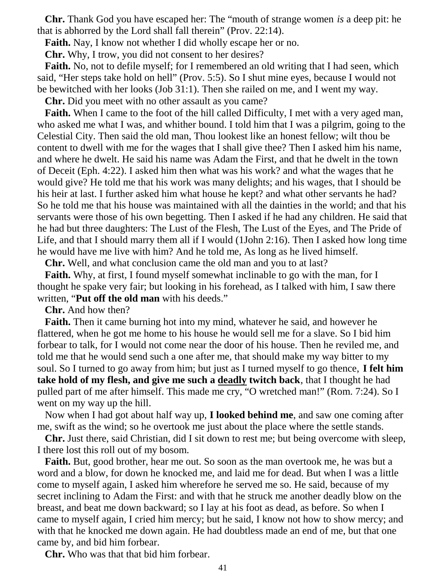**Chr.** Thank God you have escaped her: The "mouth of strange women *is* a deep pit: he that is abhorred by the Lord shall fall therein" (Prov. 22:14).

**Faith.** Nay, I know not whether I did wholly escape her or no.

**Chr.** Why, I trow, you did not consent to her desires?

**Faith.** No, not to defile myself; for I remembered an old writing that I had seen, which said, "Her steps take hold on hell" (Prov. 5:5). So I shut mine eyes, because I would not be bewitched with her looks (Job 31:1). Then she railed on me, and I went my way.

**Chr.** Did you meet with no other assault as you came?

 **Faith.** When I came to the foot of the hill called Difficulty, I met with a very aged man, who asked me what I was, and whither bound. I told him that I was a pilgrim, going to the Celestial City. Then said the old man, Thou lookest like an honest fellow; wilt thou be content to dwell with me for the wages that I shall give thee? Then I asked him his name, and where he dwelt. He said his name was Adam the First, and that he dwelt in the town of Deceit (Eph. 4:22). I asked him then what was his work? and what the wages that he would give? He told me that his work was many delights; and his wages, that I should be his heir at last. I further asked him what house he kept? and what other servants he had? So he told me that his house was maintained with all the dainties in the world; and that his servants were those of his own begetting. Then I asked if he had any children. He said that he had but three daughters: The Lust of the Flesh, The Lust of the Eyes, and The Pride of Life, and that I should marry them all if I would (1John 2:16). Then I asked how long time he would have me live with him? And he told me, As long as he lived himself.

**Chr.** Well, and what conclusion came the old man and you to at last?

 **Faith.** Why, at first, I found myself somewhat inclinable to go with the man, for I thought he spake very fair; but looking in his forehead, as I talked with him, I saw there written, "**Put off the old man** with his deeds."

**Chr.** And how then?

 **Faith.** Then it came burning hot into my mind, whatever he said, and however he flattered, when he got me home to his house he would sell me for a slave. So I bid him forbear to talk, for I would not come near the door of his house. Then he reviled me, and told me that he would send such a one after me, that should make my way bitter to my soul. So I turned to go away from him; but just as I turned myself to go thence, **I felt him take hold of my flesh, and give me such a deadly twitch back**, that I thought he had pulled part of me after himself. This made me cry, "O wretched man!" (Rom. 7:24). So I went on my way up the hill.

 Now when I had got about half way up, **I looked behind me**, and saw one coming after me, swift as the wind; so he overtook me just about the place where the settle stands.

 **Chr.** Just there, said Christian, did I sit down to rest me; but being overcome with sleep, I there lost this roll out of my bosom.

 **Faith.** But, good brother, hear me out. So soon as the man overtook me, he was but a word and a blow, for down he knocked me, and laid me for dead. But when I was a little come to myself again, I asked him wherefore he served me so. He said, because of my secret inclining to Adam the First: and with that he struck me another deadly blow on the breast, and beat me down backward; so I lay at his foot as dead, as before. So when I came to myself again, I cried him mercy; but he said, I know not how to show mercy; and with that he knocked me down again. He had doubtless made an end of me, but that one came by, and bid him forbear.

**Chr.** Who was that that bid him forbear.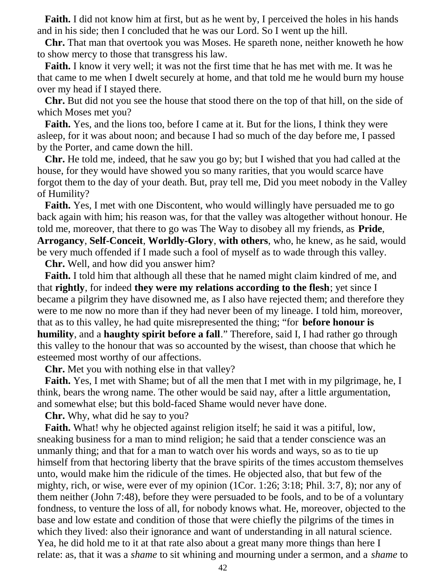**Faith.** I did not know him at first, but as he went by, I perceived the holes in his hands and in his side; then I concluded that he was our Lord. So I went up the hill.

 **Chr.** That man that overtook you was Moses. He spareth none, neither knoweth he how to show mercy to those that transgress his law.

 **Faith.** I know it very well; it was not the first time that he has met with me. It was he that came to me when I dwelt securely at home, and that told me he would burn my house over my head if I stayed there.

 **Chr.** But did not you see the house that stood there on the top of that hill, on the side of which Moses met you?

 **Faith.** Yes, and the lions too, before I came at it. But for the lions, I think they were asleep, for it was about noon; and because I had so much of the day before me, I passed by the Porter, and came down the hill.

 **Chr.** He told me, indeed, that he saw you go by; but I wished that you had called at the house, for they would have showed you so many rarities, that you would scarce have forgot them to the day of your death. But, pray tell me, Did you meet nobody in the Valley of Humility?

 **Faith.** Yes, I met with one Discontent, who would willingly have persuaded me to go back again with him; his reason was, for that the valley was altogether without honour. He told me, moreover, that there to go was The Way to disobey all my friends, as **Pride**, **Arrogancy**, **Self-Conceit**, **Worldly-Glory**, **with others**, who, he knew, as he said, would be very much offended if I made such a fool of myself as to wade through this valley.

**Chr.** Well, and how did you answer him?

 **Faith.** I told him that although all these that he named might claim kindred of me, and that **rightly**, for indeed **they were my relations according to the flesh**; yet since I became a pilgrim they have disowned me, as I also have rejected them; and therefore they were to me now no more than if they had never been of my lineage. I told him, moreover, that as to this valley, he had quite misrepresented the thing; "for **before honour is humility**, and a **haughty spirit before a fall**." Therefore, said I, I had rather go through this valley to the honour that was so accounted by the wisest, than choose that which he esteemed most worthy of our affections.

**Chr.** Met you with nothing else in that valley?

 **Faith.** Yes, I met with Shame; but of all the men that I met with in my pilgrimage, he, I think, bears the wrong name. The other would be said nay, after a little argumentation, and somewhat else; but this bold-faced Shame would never have done.

**Chr.** Why, what did he say to you?

**Faith.** What! why he objected against religion itself; he said it was a pitiful, low, sneaking business for a man to mind religion; he said that a tender conscience was an unmanly thing; and that for a man to watch over his words and ways, so as to tie up himself from that hectoring liberty that the brave spirits of the times accustom themselves unto, would make him the ridicule of the times. He objected also, that but few of the mighty, rich, or wise, were ever of my opinion (1Cor. 1:26; 3:18; Phil. 3:7, 8); nor any of them neither (John 7:48), before they were persuaded to be fools, and to be of a voluntary fondness, to venture the loss of all, for nobody knows what. He, moreover, objected to the base and low estate and condition of those that were chiefly the pilgrims of the times in which they lived: also their ignorance and want of understanding in all natural science. Yea, he did hold me to it at that rate also about a great many more things than here I relate: as, that it was a *shame* to sit whining and mourning under a sermon, and a *shame* to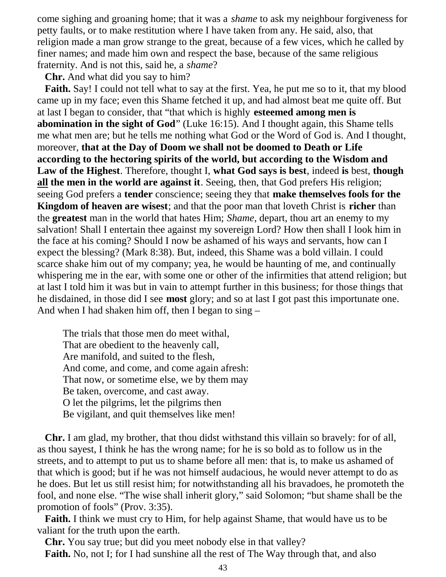come sighing and groaning home; that it was a *shame* to ask my neighbour forgiveness for petty faults, or to make restitution where I have taken from any. He said, also, that religion made a man grow strange to the great, because of a few vices, which he called by finer names; and made him own and respect the base, because of the same religious fraternity. And is not this, said he, a *shame*?

**Chr.** And what did you say to him?

 **Faith.** Say! I could not tell what to say at the first. Yea, he put me so to it, that my blood came up in my face; even this Shame fetched it up, and had almost beat me quite off. But at last I began to consider, that "that which is highly **esteemed among men is abomination in the sight of God**" (Luke 16:15). And I thought again, this Shame tells me what men are; but he tells me nothing what God or the Word of God is. And I thought, moreover, **that at the Day of Doom we shall not be doomed to Death or Life according to the hectoring spirits of the world, but according to the Wisdom and Law of the Highest**. Therefore, thought I, **what God says is best**, indeed **is** best, **though all the men in the world are against it**. Seeing, then, that God prefers His religion; seeing God prefers a **tender** conscience; seeing they that **make themselves fools for the Kingdom of heaven are wisest**; and that the poor man that loveth Christ is **richer** than the **greatest** man in the world that hates Him; *Shame*, depart, thou art an enemy to my salvation! Shall I entertain thee against my sovereign Lord? How then shall I look him in the face at his coming? Should I now be ashamed of his ways and servants, how can I expect the blessing? (Mark 8:38). But, indeed, this Shame was a bold villain. I could scarce shake him out of my company; yea, he would be haunting of me, and continually whispering me in the ear, with some one or other of the infirmities that attend religion; but at last I told him it was but in vain to attempt further in this business; for those things that he disdained, in those did I see **most** glory; and so at last I got past this importunate one. And when I had shaken him off, then I began to sing –

 The trials that those men do meet withal, That are obedient to the heavenly call, Are manifold, and suited to the flesh, And come, and come, and come again afresh: That now, or sometime else, we by them may Be taken, overcome, and cast away. O let the pilgrims, let the pilgrims then Be vigilant, and quit themselves like men!

 **Chr.** I am glad, my brother, that thou didst withstand this villain so bravely: for of all, as thou sayest, I think he has the wrong name; for he is so bold as to follow us in the streets, and to attempt to put us to shame before all men: that is, to make us ashamed of that which is good; but if he was not himself audacious, he would never attempt to do as he does. But let us still resist him; for notwithstanding all his bravadoes, he promoteth the fool, and none else. "The wise shall inherit glory," said Solomon; "but shame shall be the promotion of fools" (Prov. 3:35).

 **Faith.** I think we must cry to Him, for help against Shame, that would have us to be valiant for the truth upon the earth.

 **Chr.** You say true; but did you meet nobody else in that valley? **Faith.** No, not I; for I had sunshine all the rest of The Way through that, and also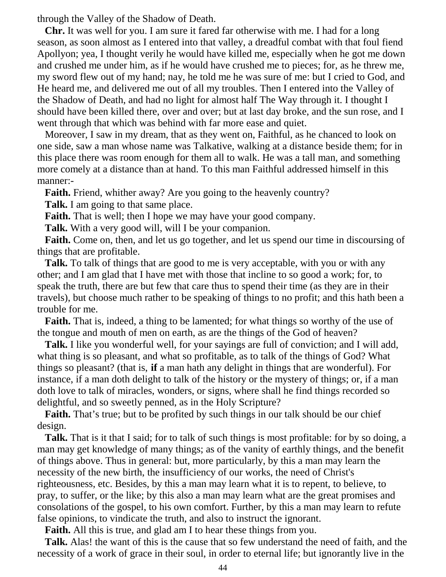through the Valley of the Shadow of Death.

 **Chr.** It was well for you. I am sure it fared far otherwise with me. I had for a long season, as soon almost as I entered into that valley, a dreadful combat with that foul fiend Apollyon; yea, I thought verily he would have killed me, especially when he got me down and crushed me under him, as if he would have crushed me to pieces; for, as he threw me, my sword flew out of my hand; nay, he told me he was sure of me: but I cried to God, and He heard me, and delivered me out of all my troubles. Then I entered into the Valley of the Shadow of Death, and had no light for almost half The Way through it. I thought I should have been killed there, over and over; but at last day broke, and the sun rose, and I went through that which was behind with far more ease and quiet.

 Moreover, I saw in my dream, that as they went on, Faithful, as he chanced to look on one side, saw a man whose name was Talkative, walking at a distance beside them; for in this place there was room enough for them all to walk. He was a tall man, and something more comely at a distance than at hand. To this man Faithful addressed himself in this manner:-

**Faith.** Friend, whither away? Are you going to the heavenly country?

**Talk.** I am going to that same place.

**Faith.** That is well; then I hope we may have your good company.

**Talk.** With a very good will, will I be your companion.

 **Faith.** Come on, then, and let us go together, and let us spend our time in discoursing of things that are profitable.

 **Talk.** To talk of things that are good to me is very acceptable, with you or with any other; and I am glad that I have met with those that incline to so good a work; for, to speak the truth, there are but few that care thus to spend their time (as they are in their travels), but choose much rather to be speaking of things to no profit; and this hath been a trouble for me.

 **Faith.** That is, indeed, a thing to be lamented; for what things so worthy of the use of the tongue and mouth of men on earth, as are the things of the God of heaven?

 **Talk.** I like you wonderful well, for your sayings are full of conviction; and I will add, what thing is so pleasant, and what so profitable, as to talk of the things of God? What things so pleasant? (that is, **if** a man hath any delight in things that are wonderful). For instance, if a man doth delight to talk of the history or the mystery of things; or, if a man doth love to talk of miracles, wonders, or signs, where shall he find things recorded so delightful, and so sweetly penned, as in the Holy Scripture?

**Faith.** That's true; but to be profited by such things in our talk should be our chief design.

 **Talk.** That is it that I said; for to talk of such things is most profitable: for by so doing, a man may get knowledge of many things; as of the vanity of earthly things, and the benefit of things above. Thus in general: but, more particularly, by this a man may learn the necessity of the new birth, the insufficiency of our works, the need of Christ's righteousness, etc. Besides, by this a man may learn what it is to repent, to believe, to pray, to suffer, or the like; by this also a man may learn what are the great promises and consolations of the gospel, to his own comfort. Further, by this a man may learn to refute false opinions, to vindicate the truth, and also to instruct the ignorant.

**Faith.** All this is true, and glad am I to hear these things from you.

 **Talk.** Alas! the want of this is the cause that so few understand the need of faith, and the necessity of a work of grace in their soul, in order to eternal life; but ignorantly live in the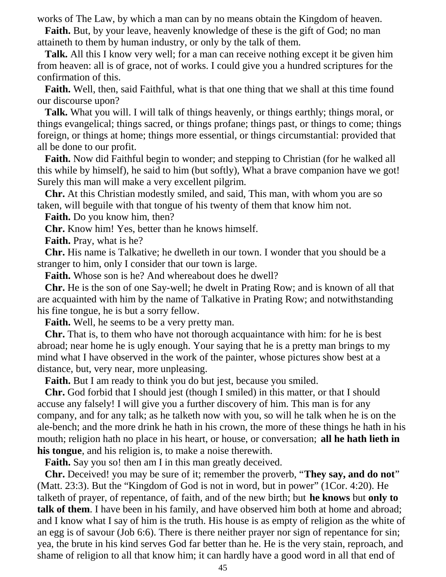works of The Law, by which a man can by no means obtain the Kingdom of heaven.

**Faith.** But, by your leave, heavenly knowledge of these is the gift of God; no man attaineth to them by human industry, or only by the talk of them.

 **Talk.** All this I know very well; for a man can receive nothing except it be given him from heaven: all is of grace, not of works. I could give you a hundred scriptures for the confirmation of this.

 **Faith.** Well, then, said Faithful, what is that one thing that we shall at this time found our discourse upon?

 **Talk.** What you will. I will talk of things heavenly, or things earthly; things moral, or things evangelical; things sacred, or things profane; things past, or things to come; things foreign, or things at home; things more essential, or things circumstantial: provided that all be done to our profit.

 **Faith.** Now did Faithful begin to wonder; and stepping to Christian (for he walked all this while by himself), he said to him (but softly), What a brave companion have we got! Surely this man will make a very excellent pilgrim.

 **Chr.** At this Christian modestly smiled, and said, This man, with whom you are so taken, will beguile with that tongue of his twenty of them that know him not.

**Faith.** Do you know him, then?

**Chr.** Know him! Yes, better than he knows himself.

**Faith.** Pray, what is he?

 **Chr.** His name is Talkative; he dwelleth in our town. I wonder that you should be a stranger to him, only I consider that our town is large.

**Faith.** Whose son is he? And whereabout does he dwell?

 **Chr.** He is the son of one Say-well; he dwelt in Prating Row; and is known of all that are acquainted with him by the name of Talkative in Prating Row; and notwithstanding his fine tongue, he is but a sorry fellow.

**Faith.** Well, he seems to be a very pretty man.

 **Chr.** That is, to them who have not thorough acquaintance with him: for he is best abroad; near home he is ugly enough. Your saying that he is a pretty man brings to my mind what I have observed in the work of the painter, whose pictures show best at a distance, but, very near, more unpleasing.

**Faith.** But I am ready to think you do but jest, because you smiled.

 **Chr.** God forbid that I should jest (though I smiled) in this matter, or that I should accuse any falsely! I will give you a further discovery of him. This man is for any company, and for any talk; as he talketh now with you, so will he talk when he is on the ale-bench; and the more drink he hath in his crown, the more of these things he hath in his mouth; religion hath no place in his heart, or house, or conversation; **all he hath lieth in his tongue**, and his religion is, to make a noise therewith.

**Faith.** Say you so! then am I in this man greatly deceived.

 **Chr.** Deceived! you may be sure of it; remember the proverb, "**They say, and do not**" (Matt. 23:3). But the "Kingdom of God is not in word, but in power" (1Cor. 4:20). He talketh of prayer, of repentance, of faith, and of the new birth; but **he knows** but **only to talk of them**. I have been in his family, and have observed him both at home and abroad; and I know what I say of him is the truth. His house is as empty of religion as the white of an egg is of savour (Job 6:6). There is there neither prayer nor sign of repentance for sin; yea, the brute in his kind serves God far better than he. He is the very stain, reproach, and shame of religion to all that know him; it can hardly have a good word in all that end of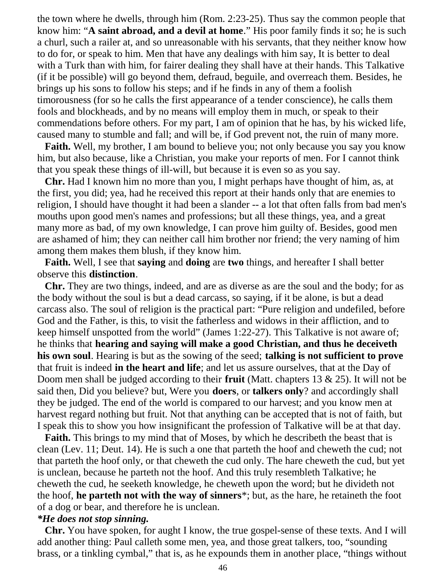the town where he dwells, through him (Rom. 2:23-25). Thus say the common people that know him: "**A saint abroad, and a devil at home**." His poor family finds it so; he is such a churl, such a railer at, and so unreasonable with his servants, that they neither know how to do for, or speak to him. Men that have any dealings with him say, It is better to deal with a Turk than with him, for fairer dealing they shall have at their hands. This Talkative (if it be possible) will go beyond them, defraud, beguile, and overreach them. Besides, he brings up his sons to follow his steps; and if he finds in any of them a foolish timorousness (for so he calls the first appearance of a tender conscience), he calls them fools and blockheads, and by no means will employ them in much, or speak to their commendations before others. For my part, I am of opinion that he has, by his wicked life, caused many to stumble and fall; and will be, if God prevent not, the ruin of many more.

 **Faith.** Well, my brother, I am bound to believe you; not only because you say you know him, but also because, like a Christian, you make your reports of men. For I cannot think that you speak these things of ill-will, but because it is even so as you say.

 **Chr.** Had I known him no more than you, I might perhaps have thought of him, as, at the first, you did; yea, had he received this report at their hands only that are enemies to religion, I should have thought it had been a slander -- a lot that often falls from bad men's mouths upon good men's names and professions; but all these things, yea, and a great many more as bad, of my own knowledge, I can prove him guilty of. Besides, good men are ashamed of him; they can neither call him brother nor friend; the very naming of him among them makes them blush, if they know him.

 **Faith.** Well, I see that **saying** and **doing** are **two** things, and hereafter I shall better observe this **distinction**.

 **Chr.** They are two things, indeed, and are as diverse as are the soul and the body; for as the body without the soul is but a dead carcass, so saying, if it be alone, is but a dead carcass also. The soul of religion is the practical part: "Pure religion and undefiled, before God and the Father, is this, to visit the fatherless and widows in their affliction, and to keep himself unspotted from the world" (James 1:22-27). This Talkative is not aware of; he thinks that **hearing and saying will make a good Christian, and thus he deceiveth his own soul**. Hearing is but as the sowing of the seed; **talking is not sufficient to prove** that fruit is indeed **in the heart and life**; and let us assure ourselves, that at the Day of Doom men shall be judged according to their **fruit** (Matt. chapters 13 & 25). It will not be said then, Did you believe? but, Were you **doers**, or **talkers only**? and accordingly shall they be judged. The end of the world is compared to our harvest; and you know men at harvest regard nothing but fruit. Not that anything can be accepted that is not of faith, but I speak this to show you how insignificant the profession of Talkative will be at that day.

 **Faith.** This brings to my mind that of Moses, by which he describeth the beast that is clean (Lev. 11; Deut. 14). He is such a one that parteth the hoof and cheweth the cud; not that parteth the hoof only, or that cheweth the cud only. The hare cheweth the cud, but yet is unclean, because he parteth not the hoof. And this truly resembleth Talkative; he cheweth the cud, he seeketh knowledge, he cheweth upon the word; but he divideth not the hoof, **he parteth not with the way of sinners**\*; but, as the hare, he retaineth the foot of a dog or bear, and therefore he is unclean.

### *\*He does not stop sinning.*

 **Chr.** You have spoken, for aught I know, the true gospel-sense of these texts. And I will add another thing: Paul calleth some men, yea, and those great talkers, too, "sounding brass, or a tinkling cymbal," that is, as he expounds them in another place, "things without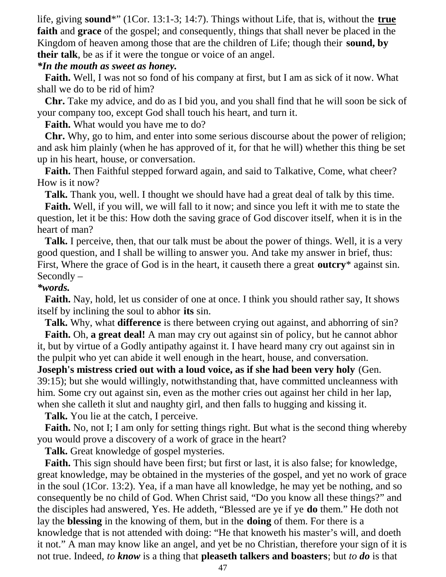life, giving **sound**\*" (1Cor. 13:1-3; 14:7). Things without Life, that is, without the **true faith** and **grace** of the gospel; and consequently, things that shall never be placed in the Kingdom of heaven among those that are the children of Life; though their **sound, by their talk**, be as if it were the tongue or voice of an angel.

## *\*In the mouth as sweet as honey.*

 **Faith.** Well, I was not so fond of his company at first, but I am as sick of it now. What shall we do to be rid of him?

 **Chr.** Take my advice, and do as I bid you, and you shall find that he will soon be sick of your company too, except God shall touch his heart, and turn it.

**Faith.** What would you have me to do?

 **Chr.** Why, go to him, and enter into some serious discourse about the power of religion; and ask him plainly (when he has approved of it, for that he will) whether this thing be set up in his heart, house, or conversation.

**Faith.** Then Faithful stepped forward again, and said to Talkative, Come, what cheer? How is it now?

**Talk.** Thank you, well. I thought we should have had a great deal of talk by this time.

 **Faith.** Well, if you will, we will fall to it now; and since you left it with me to state the question, let it be this: How doth the saving grace of God discover itself, when it is in the heart of man?

 **Talk.** I perceive, then, that our talk must be about the power of things. Well, it is a very good question, and I shall be willing to answer you. And take my answer in brief, thus: First, Where the grace of God is in the heart, it causeth there a great **outcry**\* against sin. Secondly –

*\*words.*

 **Faith.** Nay, hold, let us consider of one at once. I think you should rather say, It shows itself by inclining the soul to abhor **its** sin.

**Talk.** Why, what **difference** is there between crying out against, and abhorring of sin?

 **Faith.** Oh, **a great deal!** A man may cry out against sin of policy, but he cannot abhor it, but by virtue of a Godly antipathy against it. I have heard many cry out against sin in the pulpit who yet can abide it well enough in the heart, house, and conversation.

**Joseph's mistress cried out with a loud voice, as if she had been very holy** (Gen. 39:15); but she would willingly, notwithstanding that, have committed uncleanness with him. Some cry out against sin, even as the mother cries out against her child in her lap, when she calleth it slut and naughty girl, and then falls to hugging and kissing it.

**Talk.** You lie at the catch, I perceive.

**Faith.** No, not I; I am only for setting things right. But what is the second thing whereby you would prove a discovery of a work of grace in the heart?

**Talk.** Great knowledge of gospel mysteries.

 **Faith.** This sign should have been first; but first or last, it is also false; for knowledge, great knowledge, may be obtained in the mysteries of the gospel, and yet no work of grace in the soul (1Cor. 13:2). Yea, if a man have all knowledge, he may yet be nothing, and so consequently be no child of God. When Christ said, "Do you know all these things?" and the disciples had answered, Yes. He addeth, "Blessed are ye if ye **do** them." He doth not lay the **blessing** in the knowing of them, but in the **doing** of them. For there is a knowledge that is not attended with doing: "He that knoweth his master's will, and doeth it not." A man may know like an angel, and yet be no Christian, therefore your sign of it is not true. Indeed, *to know* is a thing that **pleaseth talkers and boasters**; but *to do* is that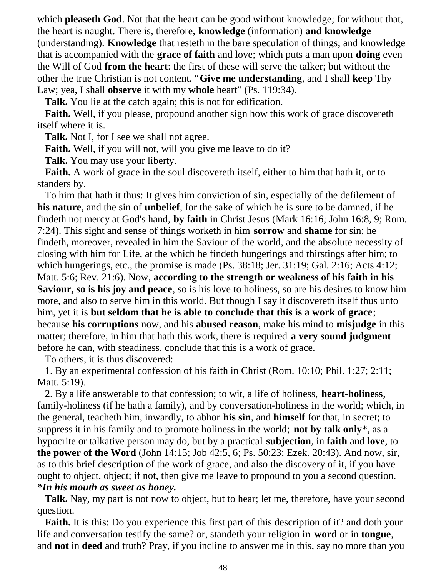which **pleaseth God**. Not that the heart can be good without knowledge; for without that, the heart is naught. There is, therefore, **knowledge** (information) **and knowledge** (understanding). **Knowledge** that resteth in the bare speculation of things; and knowledge that is accompanied with the **grace of faith** and love; which puts a man upon **doing** even the Will of God **from the heart**: the first of these will serve the talker; but without the other the true Christian is not content. "**Give me understanding**, and I shall **keep** Thy Law; yea, I shall **observe** it with my **whole** heart" (Ps. 119:34).

**Talk.** You lie at the catch again; this is not for edification.

 **Faith.** Well, if you please, propound another sign how this work of grace discovereth itself where it is.

**Talk.** Not I, for I see we shall not agree.

**Faith.** Well, if you will not, will you give me leave to do it?

**Talk.** You may use your liberty.

 **Faith.** A work of grace in the soul discovereth itself, either to him that hath it, or to standers by.

 To him that hath it thus: It gives him conviction of sin, especially of the defilement of **his nature**, and the sin of **unbelief**, for the sake of which he is sure to be damned, if he findeth not mercy at God's hand, **by faith** in Christ Jesus (Mark 16:16; John 16:8, 9; Rom. 7:24). This sight and sense of things worketh in him **sorrow** and **shame** for sin; he findeth, moreover, revealed in him the Saviour of the world, and the absolute necessity of closing with him for Life, at the which he findeth hungerings and thirstings after him; to which hungerings, etc., the promise is made (Ps. 38:18; Jer. 31:19; Gal. 2:16; Acts 4:12; Matt. 5:6; Rev. 21:6). Now, **according to the strength or weakness of his faith in his Saviour, so is his joy and peace**, so is his love to holiness, so are his desires to know him more, and also to serve him in this world. But though I say it discovereth itself thus unto him, yet it is **but seldom that he is able to conclude that this is a work of grace**; because **his corruptions** now, and his **abused reason**, make his mind to **misjudge** in this matter; therefore, in him that hath this work, there is required **a very sound judgment** before he can, with steadiness, conclude that this is a work of grace.

To others, it is thus discovered:

 1. By an experimental confession of his faith in Christ (Rom. 10:10; Phil. 1:27; 2:11; Matt. 5:19).

 2. By a life answerable to that confession; to wit, a life of holiness, **heart-holiness**, family-holiness (if he hath a family), and by conversation-holiness in the world; which, in the general, teacheth him, inwardly, to abhor **his sin**, and **himself** for that, in secret; to suppress it in his family and to promote holiness in the world; **not by talk only**\*, as a hypocrite or talkative person may do, but by a practical **subjection**, in **faith** and **love**, to **the power of the Word** (John 14:15; Job 42:5, 6; Ps. 50:23; Ezek. 20:43). And now, sir, as to this brief description of the work of grace, and also the discovery of it, if you have ought to object, object; if not, then give me leave to propound to you a second question. *\*In his mouth as sweet as honey.*

 **Talk.** Nay, my part is not now to object, but to hear; let me, therefore, have your second question.

 **Faith.** It is this: Do you experience this first part of this description of it? and doth your life and conversation testify the same? or, standeth your religion in **word** or in **tongue**, and **not** in **deed** and truth? Pray, if you incline to answer me in this, say no more than you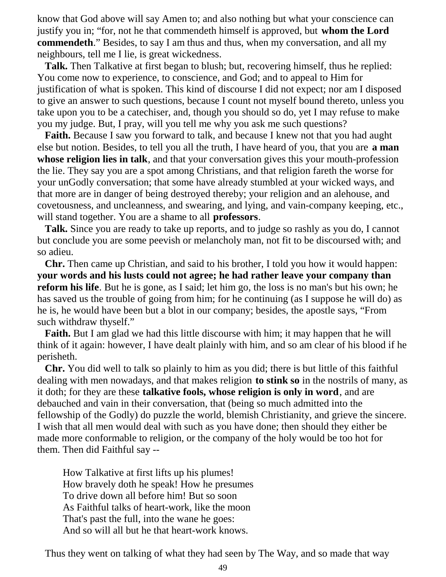know that God above will say Amen to; and also nothing but what your conscience can justify you in; "for, not he that commendeth himself is approved, but **whom the Lord commendeth**." Besides, to say I am thus and thus, when my conversation, and all my neighbours, tell me I lie, is great wickedness.

 **Talk.** Then Talkative at first began to blush; but, recovering himself, thus he replied: You come now to experience, to conscience, and God; and to appeal to Him for justification of what is spoken. This kind of discourse I did not expect; nor am I disposed to give an answer to such questions, because I count not myself bound thereto, unless you take upon you to be a catechiser, and, though you should so do, yet I may refuse to make you my judge. But, I pray, will you tell me why you ask me such questions?

**Faith.** Because I saw you forward to talk, and because I knew not that you had aught else but notion. Besides, to tell you all the truth, I have heard of you, that you are **a man whose religion lies in talk**, and that your conversation gives this your mouth-profession the lie. They say you are a spot among Christians, and that religion fareth the worse for your unGodly conversation; that some have already stumbled at your wicked ways, and that more are in danger of being destroyed thereby; your religion and an alehouse, and covetousness, and uncleanness, and swearing, and lying, and vain-company keeping, etc., will stand together. You are a shame to all **professors**.

 **Talk.** Since you are ready to take up reports, and to judge so rashly as you do, I cannot but conclude you are some peevish or melancholy man, not fit to be discoursed with; and so adieu.

 **Chr.** Then came up Christian, and said to his brother, I told you how it would happen: **your words and his lusts could not agree; he had rather leave your company than reform his life**. But he is gone, as I said; let him go, the loss is no man's but his own; he has saved us the trouble of going from him; for he continuing (as I suppose he will do) as he is, he would have been but a blot in our company; besides, the apostle says, "From such withdraw thyself."

**Faith.** But I am glad we had this little discourse with him; it may happen that he will think of it again: however, I have dealt plainly with him, and so am clear of his blood if he perisheth.

 **Chr.** You did well to talk so plainly to him as you did; there is but little of this faithful dealing with men nowadays, and that makes religion **to stink so** in the nostrils of many, as it doth; for they are these **talkative fools, whose religion is only in word**, and are debauched and vain in their conversation, that (being so much admitted into the fellowship of the Godly) do puzzle the world, blemish Christianity, and grieve the sincere. I wish that all men would deal with such as you have done; then should they either be made more conformable to religion, or the company of the holy would be too hot for them. Then did Faithful say --

 How Talkative at first lifts up his plumes! How bravely doth he speak! How he presumes To drive down all before him! But so soon As Faithful talks of heart-work, like the moon That's past the full, into the wane he goes: And so will all but he that heart-work knows.

Thus they went on talking of what they had seen by The Way, and so made that way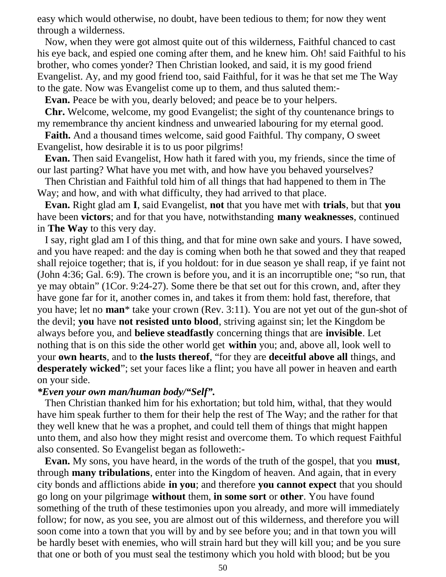easy which would otherwise, no doubt, have been tedious to them; for now they went through a wilderness.

 Now, when they were got almost quite out of this wilderness, Faithful chanced to cast his eye back, and espied one coming after them, and he knew him. Oh! said Faithful to his brother, who comes yonder? Then Christian looked, and said, it is my good friend Evangelist. Ay, and my good friend too, said Faithful, for it was he that set me The Way to the gate. Now was Evangelist come up to them, and thus saluted them:-

**Evan.** Peace be with you, dearly beloved; and peace be to your helpers.

 **Chr.** Welcome, welcome, my good Evangelist; the sight of thy countenance brings to my remembrance thy ancient kindness and unwearied labouring for my eternal good.

 **Faith.** And a thousand times welcome, said good Faithful. Thy company, O sweet Evangelist, how desirable it is to us poor pilgrims!

 **Evan.** Then said Evangelist, How hath it fared with you, my friends, since the time of our last parting? What have you met with, and how have you behaved yourselves?

 Then Christian and Faithful told him of all things that had happened to them in The Way; and how, and with what difficulty, they had arrived to that place.

 **Evan.** Right glad am **I**, said Evangelist, **not** that you have met with **trials**, but that **you** have been **victors**; and for that you have, notwithstanding **many weaknesses**, continued in **The Way** to this very day.

 I say, right glad am I of this thing, and that for mine own sake and yours. I have sowed, and you have reaped: and the day is coming when both he that sowed and they that reaped shall rejoice together; that is, if you holdout: for in due season ye shall reap, if ye faint not (John 4:36; Gal. 6:9). The crown is before you, and it is an incorruptible one; "so run, that ye may obtain" (1Cor. 9:24-27). Some there be that set out for this crown, and, after they have gone far for it, another comes in, and takes it from them: hold fast, therefore, that you have; let no **man**\* take your crown (Rev. 3:11). You are not yet out of the gun-shot of the devil; **you** have **not resisted unto blood**, striving against sin; let the Kingdom be always before you, and **believe steadfastly** concerning things that are **invisible**. Let nothing that is on this side the other world get **within** you; and, above all, look well to your **own hearts**, and to **the lusts thereof**, "for they are **deceitful above all** things, and **desperately wicked**"; set your faces like a flint; you have all power in heaven and earth on your side.

#### *\*Even your own man/human body/"Self".*

 Then Christian thanked him for his exhortation; but told him, withal, that they would have him speak further to them for their help the rest of The Way; and the rather for that they well knew that he was a prophet, and could tell them of things that might happen unto them, and also how they might resist and overcome them. To which request Faithful also consented. So Evangelist began as followeth:-

 **Evan.** My sons, you have heard, in the words of the truth of the gospel, that you **must**, through **many tribulations**, enter into the Kingdom of heaven. And again, that in every city bonds and afflictions abide **in you**; and therefore **you cannot expect** that you should go long on your pilgrimage **without** them, **in some sort** or **other**. You have found something of the truth of these testimonies upon you already, and more will immediately follow; for now, as you see, you are almost out of this wilderness, and therefore you will soon come into a town that you will by and by see before you; and in that town you will be hardly beset with enemies, who will strain hard but they will kill you; and be you sure that one or both of you must seal the testimony which you hold with blood; but be you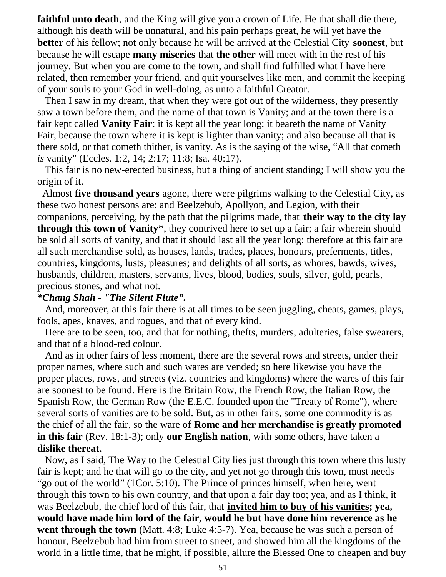**faithful unto death**, and the King will give you a crown of Life. He that shall die there, although his death will be unnatural, and his pain perhaps great, he will yet have the **better** of his fellow; not only because he will be arrived at the Celestial City **soonest**, but because he will escape **many miseries** that **the other** will meet with in the rest of his journey. But when you are come to the town, and shall find fulfilled what I have here related, then remember your friend, and quit yourselves like men, and commit the keeping of your souls to your God in well-doing, as unto a faithful Creator.

 Then I saw in my dream, that when they were got out of the wilderness, they presently saw a town before them, and the name of that town is Vanity; and at the town there is a fair kept called **Vanity Fair**: it is kept all the year long; it beareth the name of Vanity Fair, because the town where it is kept is lighter than vanity; and also because all that is there sold, or that cometh thither, is vanity. As is the saying of the wise, "All that cometh *is* vanity" (Eccles. 1:2, 14; 2:17; 11:8; Isa. 40:17).

 This fair is no new-erected business, but a thing of ancient standing; I will show you the origin of it.

 Almost **five thousand years** agone, there were pilgrims walking to the Celestial City, as these two honest persons are: and Beelzebub, Apollyon, and Legion, with their companions, perceiving, by the path that the pilgrims made, that **their way to the city lay through this town of Vanity**\*, they contrived here to set up a fair; a fair wherein should be sold all sorts of vanity, and that it should last all the year long: therefore at this fair are all such merchandise sold, as houses, lands, trades, places, honours, preferments, titles, countries, kingdoms, lusts, pleasures; and delights of all sorts, as whores, bawds, wives, husbands, children, masters, servants, lives, blood, bodies, souls, silver, gold, pearls, precious stones, and what not.

# *\*Chang Shah - "The Silent Flute".*

 And, moreover, at this fair there is at all times to be seen juggling, cheats, games, plays, fools, apes, knaves, and rogues, and that of every kind.

 Here are to be seen, too, and that for nothing, thefts, murders, adulteries, false swearers, and that of a blood-red colour.

 And as in other fairs of less moment, there are the several rows and streets, under their proper names, where such and such wares are vended; so here likewise you have the proper places, rows, and streets (viz. countries and kingdoms) where the wares of this fair are soonest to be found. Here is the Britain Row, the French Row, the Italian Row, the Spanish Row, the German Row (the E.E.C. founded upon the "Treaty of Rome"), where several sorts of vanities are to be sold. But, as in other fairs, some one commodity is as the chief of all the fair, so the ware of **Rome and her merchandise is greatly promoted in this fair** (Rev. 18:1-3); only **our English nation**, with some others, have taken a **dislike thereat**.

 Now, as I said, The Way to the Celestial City lies just through this town where this lusty fair is kept; and he that will go to the city, and yet not go through this town, must needs "go out of the world" (1Cor. 5:10). The Prince of princes himself, when here, went through this town to his own country, and that upon a fair day too; yea, and as I think, it was Beelzebub, the chief lord of this fair, that **invited him to buy of his vanities; yea, would have made him lord of the fair, would he but have done him reverence as he went through the town** (Matt. 4:8; Luke 4:5-7). Yea, because he was such a person of honour, Beelzebub had him from street to street, and showed him all the kingdoms of the world in a little time, that he might, if possible, allure the Blessed One to cheapen and buy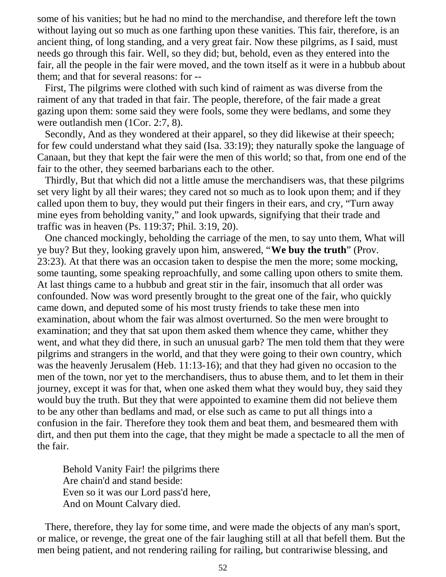some of his vanities; but he had no mind to the merchandise, and therefore left the town without laying out so much as one farthing upon these vanities. This fair, therefore, is an ancient thing, of long standing, and a very great fair. Now these pilgrims, as I said, must needs go through this fair. Well, so they did; but, behold, even as they entered into the fair, all the people in the fair were moved, and the town itself as it were in a hubbub about them; and that for several reasons: for --

 First, The pilgrims were clothed with such kind of raiment as was diverse from the raiment of any that traded in that fair. The people, therefore, of the fair made a great gazing upon them: some said they were fools, some they were bedlams, and some they were outlandish men (1Cor. 2:7, 8).

 Secondly, And as they wondered at their apparel, so they did likewise at their speech; for few could understand what they said (Isa. 33:19); they naturally spoke the language of Canaan, but they that kept the fair were the men of this world; so that, from one end of the fair to the other, they seemed barbarians each to the other.

 Thirdly, But that which did not a little amuse the merchandisers was, that these pilgrims set very light by all their wares; they cared not so much as to look upon them; and if they called upon them to buy, they would put their fingers in their ears, and cry, "Turn away mine eyes from beholding vanity," and look upwards, signifying that their trade and traffic was in heaven (Ps. 119:37; Phil. 3:19, 20).

 One chanced mockingly, beholding the carriage of the men, to say unto them, What will ye buy? But they, looking gravely upon him, answered, "**We buy the truth**" (Prov. 23:23). At that there was an occasion taken to despise the men the more; some mocking, some taunting, some speaking reproachfully, and some calling upon others to smite them. At last things came to a hubbub and great stir in the fair, insomuch that all order was confounded. Now was word presently brought to the great one of the fair, who quickly came down, and deputed some of his most trusty friends to take these men into examination, about whom the fair was almost overturned. So the men were brought to examination; and they that sat upon them asked them whence they came, whither they went, and what they did there, in such an unusual garb? The men told them that they were pilgrims and strangers in the world, and that they were going to their own country, which was the heavenly Jerusalem (Heb. 11:13-16); and that they had given no occasion to the men of the town, nor yet to the merchandisers, thus to abuse them, and to let them in their journey, except it was for that, when one asked them what they would buy, they said they would buy the truth. But they that were appointed to examine them did not believe them to be any other than bedlams and mad, or else such as came to put all things into a confusion in the fair. Therefore they took them and beat them, and besmeared them with dirt, and then put them into the cage, that they might be made a spectacle to all the men of the fair.

 Behold Vanity Fair! the pilgrims there Are chain'd and stand beside: Even so it was our Lord pass'd here, And on Mount Calvary died.

 There, therefore, they lay for some time, and were made the objects of any man's sport, or malice, or revenge, the great one of the fair laughing still at all that befell them. But the men being patient, and not rendering railing for railing, but contrariwise blessing, and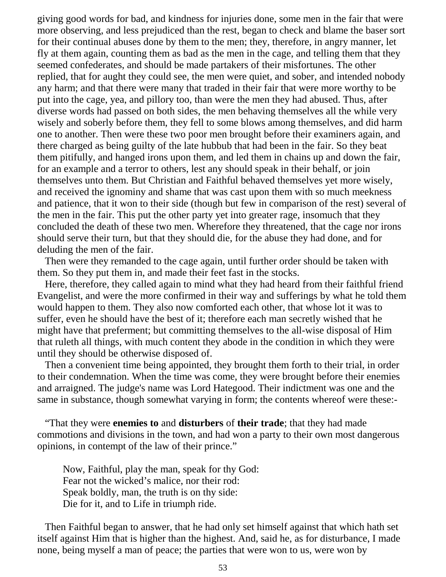giving good words for bad, and kindness for injuries done, some men in the fair that were more observing, and less prejudiced than the rest, began to check and blame the baser sort for their continual abuses done by them to the men; they, therefore, in angry manner, let fly at them again, counting them as bad as the men in the cage, and telling them that they seemed confederates, and should be made partakers of their misfortunes. The other replied, that for aught they could see, the men were quiet, and sober, and intended nobody any harm; and that there were many that traded in their fair that were more worthy to be put into the cage, yea, and pillory too, than were the men they had abused. Thus, after diverse words had passed on both sides, the men behaving themselves all the while very wisely and soberly before them, they fell to some blows among themselves, and did harm one to another. Then were these two poor men brought before their examiners again, and there charged as being guilty of the late hubbub that had been in the fair. So they beat them pitifully, and hanged irons upon them, and led them in chains up and down the fair, for an example and a terror to others, lest any should speak in their behalf, or join themselves unto them. But Christian and Faithful behaved themselves yet more wisely, and received the ignominy and shame that was cast upon them with so much meekness and patience, that it won to their side (though but few in comparison of the rest) several of the men in the fair. This put the other party yet into greater rage, insomuch that they concluded the death of these two men. Wherefore they threatened, that the cage nor irons should serve their turn, but that they should die, for the abuse they had done, and for deluding the men of the fair.

 Then were they remanded to the cage again, until further order should be taken with them. So they put them in, and made their feet fast in the stocks.

 Here, therefore, they called again to mind what they had heard from their faithful friend Evangelist, and were the more confirmed in their way and sufferings by what he told them would happen to them. They also now comforted each other, that whose lot it was to suffer, even he should have the best of it; therefore each man secretly wished that he might have that preferment; but committing themselves to the all-wise disposal of Him that ruleth all things, with much content they abode in the condition in which they were until they should be otherwise disposed of.

 Then a convenient time being appointed, they brought them forth to their trial, in order to their condemnation. When the time was come, they were brought before their enemies and arraigned. The judge's name was Lord Hategood. Their indictment was one and the same in substance, though somewhat varying in form; the contents whereof were these:-

 "That they were **enemies to** and **disturbers** of **their trade**; that they had made commotions and divisions in the town, and had won a party to their own most dangerous opinions, in contempt of the law of their prince."

 Now, Faithful, play the man, speak for thy God: Fear not the wicked's malice, nor their rod: Speak boldly, man, the truth is on thy side: Die for it, and to Life in triumph ride.

 Then Faithful began to answer, that he had only set himself against that which hath set itself against Him that is higher than the highest. And, said he, as for disturbance, I made none, being myself a man of peace; the parties that were won to us, were won by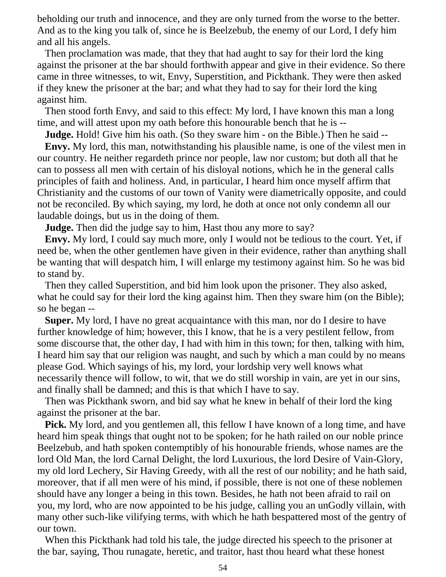beholding our truth and innocence, and they are only turned from the worse to the better. And as to the king you talk of, since he is Beelzebub, the enemy of our Lord, I defy him and all his angels.

 Then proclamation was made, that they that had aught to say for their lord the king against the prisoner at the bar should forthwith appear and give in their evidence. So there came in three witnesses, to wit, Envy, Superstition, and Pickthank. They were then asked if they knew the prisoner at the bar; and what they had to say for their lord the king against him.

 Then stood forth Envy, and said to this effect: My lord, I have known this man a long time, and will attest upon my oath before this honourable bench that he is --

**Judge.** Hold! Give him his oath. (So they sware him - on the Bible.) Then he said --

 **Envy.** My lord, this man, notwithstanding his plausible name, is one of the vilest men in our country. He neither regardeth prince nor people, law nor custom; but doth all that he can to possess all men with certain of his disloyal notions, which he in the general calls principles of faith and holiness. And, in particular, I heard him once myself affirm that Christianity and the customs of our town of Vanity were diametrically opposite, and could not be reconciled. By which saying, my lord, he doth at once not only condemn all our laudable doings, but us in the doing of them.

**Judge.** Then did the judge say to him, Hast thou any more to say?

 **Envy.** My lord, I could say much more, only I would not be tedious to the court. Yet, if need be, when the other gentlemen have given in their evidence, rather than anything shall be wanting that will despatch him, I will enlarge my testimony against him. So he was bid to stand by.

 Then they called Superstition, and bid him look upon the prisoner. They also asked, what he could say for their lord the king against him. Then they sware him (on the Bible); so he began --

 **Super.** My lord, I have no great acquaintance with this man, nor do I desire to have further knowledge of him; however, this I know, that he is a very pestilent fellow, from some discourse that, the other day, I had with him in this town; for then, talking with him, I heard him say that our religion was naught, and such by which a man could by no means please God. Which sayings of his, my lord, your lordship very well knows what necessarily thence will follow, to wit, that we do still worship in vain, are yet in our sins, and finally shall be damned; and this is that which I have to say.

 Then was Pickthank sworn, and bid say what he knew in behalf of their lord the king against the prisoner at the bar.

**Pick.** My lord, and you gentlemen all, this fellow I have known of a long time, and have heard him speak things that ought not to be spoken; for he hath railed on our noble prince Beelzebub, and hath spoken contemptibly of his honourable friends, whose names are the lord Old Man, the lord Carnal Delight, the lord Luxurious, the lord Desire of Vain-Glory, my old lord Lechery, Sir Having Greedy, with all the rest of our nobility; and he hath said, moreover, that if all men were of his mind, if possible, there is not one of these noblemen should have any longer a being in this town. Besides, he hath not been afraid to rail on you, my lord, who are now appointed to be his judge, calling you an unGodly villain, with many other such-like vilifying terms, with which he hath bespattered most of the gentry of our town.

 When this Pickthank had told his tale, the judge directed his speech to the prisoner at the bar, saying, Thou runagate, heretic, and traitor, hast thou heard what these honest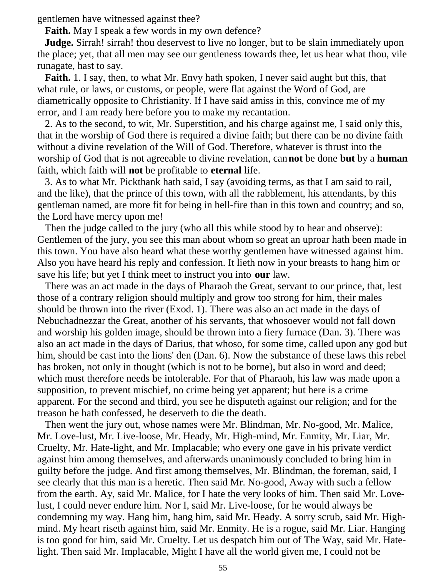gentlemen have witnessed against thee?

**Faith.** May I speak a few words in my own defence?

**Judge.** Sirrah! sirrah! thou deservest to live no longer, but to be slain immediately upon the place; yet, that all men may see our gentleness towards thee, let us hear what thou, vile runagate, hast to say.

 **Faith.** 1. I say, then, to what Mr. Envy hath spoken, I never said aught but this, that what rule, or laws, or customs, or people, were flat against the Word of God, are diametrically opposite to Christianity. If I have said amiss in this, convince me of my error, and I am ready here before you to make my recantation.

 2. As to the second, to wit, Mr. Superstition, and his charge against me, I said only this, that in the worship of God there is required a divine faith; but there can be no divine faith without a divine revelation of the Will of God. Therefore, whatever is thrust into the worship of God that is not agreeable to divine revelation, can**not** be done **but** by a **human** faith, which faith will **not** be profitable to **eternal** life.

 3. As to what Mr. Pickthank hath said, I say (avoiding terms, as that I am said to rail, and the like), that the prince of this town, with all the rabblement, his attendants, by this gentleman named, are more fit for being in hell-fire than in this town and country; and so, the Lord have mercy upon me!

 Then the judge called to the jury (who all this while stood by to hear and observe): Gentlemen of the jury, you see this man about whom so great an uproar hath been made in this town. You have also heard what these worthy gentlemen have witnessed against him. Also you have heard his reply and confession. It lieth now in your breasts to hang him or save his life; but yet I think meet to instruct you into **our** law.

 There was an act made in the days of Pharaoh the Great, servant to our prince, that, lest those of a contrary religion should multiply and grow too strong for him, their males should be thrown into the river (Exod. 1). There was also an act made in the days of Nebuchadnezzar the Great, another of his servants, that whosoever would not fall down and worship his golden image, should be thrown into a fiery furnace (Dan. 3). There was also an act made in the days of Darius, that whoso, for some time, called upon any god but him, should be cast into the lions' den (Dan. 6). Now the substance of these laws this rebel has broken, not only in thought (which is not to be borne), but also in word and deed; which must therefore needs be intolerable. For that of Pharaoh, his law was made upon a supposition, to prevent mischief, no crime being yet apparent; but here is a crime apparent. For the second and third, you see he disputeth against our religion; and for the treason he hath confessed, he deserveth to die the death.

 Then went the jury out, whose names were Mr. Blindman, Mr. No-good, Mr. Malice, Mr. Love-lust, Mr. Live-loose, Mr. Heady, Mr. High-mind, Mr. Enmity, Mr. Liar, Mr. Cruelty, Mr. Hate-light, and Mr. Implacable; who every one gave in his private verdict against him among themselves, and afterwards unanimously concluded to bring him in guilty before the judge. And first among themselves, Mr. Blindman, the foreman, said, I see clearly that this man is a heretic. Then said Mr. No-good, Away with such a fellow from the earth. Ay, said Mr. Malice, for I hate the very looks of him. Then said Mr. Lovelust, I could never endure him. Nor I, said Mr. Live-loose, for he would always be condemning my way. Hang him, hang him, said Mr. Heady. A sorry scrub, said Mr. Highmind. My heart riseth against him, said Mr. Enmity. He is a rogue, said Mr. Liar. Hanging is too good for him, said Mr. Cruelty. Let us despatch him out of The Way, said Mr. Hatelight. Then said Mr. Implacable, Might I have all the world given me, I could not be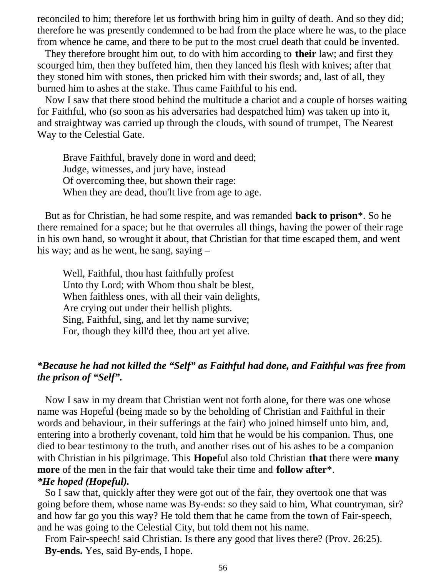reconciled to him; therefore let us forthwith bring him in guilty of death. And so they did; therefore he was presently condemned to be had from the place where he was, to the place from whence he came, and there to be put to the most cruel death that could be invented.

 They therefore brought him out, to do with him according to **their** law; and first they scourged him, then they buffeted him, then they lanced his flesh with knives; after that they stoned him with stones, then pricked him with their swords; and, last of all, they burned him to ashes at the stake. Thus came Faithful to his end.

 Now I saw that there stood behind the multitude a chariot and a couple of horses waiting for Faithful, who (so soon as his adversaries had despatched him) was taken up into it, and straightway was carried up through the clouds, with sound of trumpet, The Nearest Way to the Celestial Gate.

 Brave Faithful, bravely done in word and deed; Judge, witnesses, and jury have, instead Of overcoming thee, but shown their rage: When they are dead, thou'lt live from age to age.

 But as for Christian, he had some respite, and was remanded **back to prison**\*. So he there remained for a space; but he that overrules all things, having the power of their rage in his own hand, so wrought it about, that Christian for that time escaped them, and went his way; and as he went, he sang, saying –

 Well, Faithful, thou hast faithfully profest Unto thy Lord; with Whom thou shalt be blest, When faithless ones, with all their vain delights, Are crying out under their hellish plights. Sing, Faithful, sing, and let thy name survive; For, though they kill'd thee, thou art yet alive.

## *\*Because he had not killed the "Self" as Faithful had done, and Faithful was free from the prison of "Self".*

 Now I saw in my dream that Christian went not forth alone, for there was one whose name was Hopeful (being made so by the beholding of Christian and Faithful in their words and behaviour, in their sufferings at the fair) who joined himself unto him, and, entering into a brotherly covenant, told him that he would be his companion. Thus, one died to bear testimony to the truth, and another rises out of his ashes to be a companion with Christian in his pilgrimage. This **Hope**ful also told Christian **that** there were **many more** of the men in the fair that would take their time and **follow after**\*. *\*He hoped (Hopeful).*

 So I saw that, quickly after they were got out of the fair, they overtook one that was going before them, whose name was By-ends: so they said to him, What countryman, sir? and how far go you this way? He told them that he came from the town of Fair-speech, and he was going to the Celestial City, but told them not his name.

 From Fair-speech! said Christian. Is there any good that lives there? (Prov. 26:25). **By-ends.** Yes, said By-ends, I hope.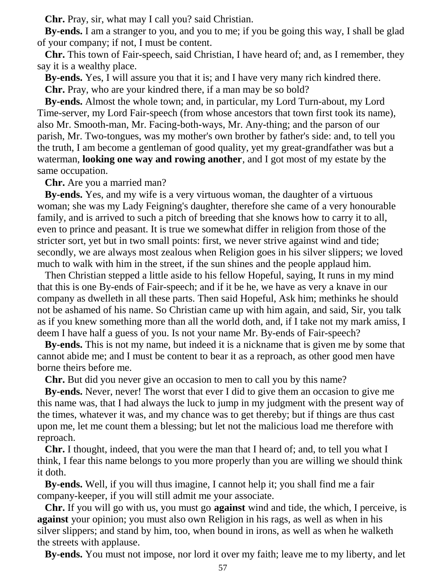**Chr.** Pray, sir, what may I call you? said Christian.

 **By-ends.** I am a stranger to you, and you to me; if you be going this way, I shall be glad of your company; if not, I must be content.

 **Chr.** This town of Fair-speech, said Christian, I have heard of; and, as I remember, they say it is a wealthy place.

 **By-ends.** Yes, I will assure you that it is; and I have very many rich kindred there. **Chr.** Pray, who are your kindred there, if a man may be so bold?

 **By-ends.** Almost the whole town; and, in particular, my Lord Turn-about, my Lord Time-server, my Lord Fair-speech (from whose ancestors that town first took its name), also Mr. Smooth-man, Mr. Facing-both-ways, Mr. Any-thing; and the parson of our parish, Mr. Two-tongues, was my mother's own brother by father's side: and, to tell you the truth, I am become a gentleman of good quality, yet my great-grandfather was but a waterman, **looking one way and rowing another**, and I got most of my estate by the same occupation.

**Chr.** Are you a married man?

 **By-ends.** Yes, and my wife is a very virtuous woman, the daughter of a virtuous woman; she was my Lady Feigning's daughter, therefore she came of a very honourable family, and is arrived to such a pitch of breeding that she knows how to carry it to all, even to prince and peasant. It is true we somewhat differ in religion from those of the stricter sort, yet but in two small points: first, we never strive against wind and tide; secondly, we are always most zealous when Religion goes in his silver slippers; we loved much to walk with him in the street, if the sun shines and the people applaud him.

 Then Christian stepped a little aside to his fellow Hopeful, saying, It runs in my mind that this is one By-ends of Fair-speech; and if it be he, we have as very a knave in our company as dwelleth in all these parts. Then said Hopeful, Ask him; methinks he should not be ashamed of his name. So Christian came up with him again, and said, Sir, you talk as if you knew something more than all the world doth, and, if I take not my mark amiss, I deem I have half a guess of you. Is not your name Mr. By-ends of Fair-speech?

 **By-ends.** This is not my name, but indeed it is a nickname that is given me by some that cannot abide me; and I must be content to bear it as a reproach, as other good men have borne theirs before me.

**Chr.** But did you never give an occasion to men to call you by this name?

 **By-ends.** Never, never! The worst that ever I did to give them an occasion to give me this name was, that I had always the luck to jump in my judgment with the present way of the times, whatever it was, and my chance was to get thereby; but if things are thus cast upon me, let me count them a blessing; but let not the malicious load me therefore with reproach.

 **Chr.** I thought, indeed, that you were the man that I heard of; and, to tell you what I think, I fear this name belongs to you more properly than you are willing we should think it doth.

 **By-ends.** Well, if you will thus imagine, I cannot help it; you shall find me a fair company-keeper, if you will still admit me your associate.

 **Chr.** If you will go with us, you must go **against** wind and tide, the which, I perceive, is **against** your opinion; you must also own Religion in his rags, as well as when in his silver slippers; and stand by him, too, when bound in irons, as well as when he walketh the streets with applause.

**By-ends.** You must not impose, nor lord it over my faith; leave me to my liberty, and let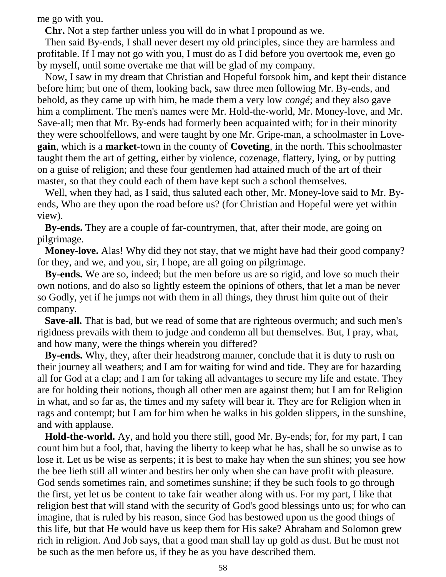me go with you.

**Chr.** Not a step farther unless you will do in what I propound as we.

 Then said By-ends, I shall never desert my old principles, since they are harmless and profitable. If I may not go with you, I must do as I did before you overtook me, even go by myself, until some overtake me that will be glad of my company.

 Now, I saw in my dream that Christian and Hopeful forsook him, and kept their distance before him; but one of them, looking back, saw three men following Mr. By-ends, and behold, as they came up with him, he made them a very low *congé*; and they also gave him a compliment. The men's names were Mr. Hold-the-world, Mr. Money-love, and Mr. Save-all; men that Mr. By-ends had formerly been acquainted with; for in their minority they were schoolfellows, and were taught by one Mr. Gripe-man, a schoolmaster in Love**gain**, which is a **market**-town in the county of **Coveting**, in the north. This schoolmaster taught them the art of getting, either by violence, cozenage, flattery, lying, or by putting on a guise of religion; and these four gentlemen had attained much of the art of their master, so that they could each of them have kept such a school themselves.

 Well, when they had, as I said, thus saluted each other, Mr. Money-love said to Mr. Byends, Who are they upon the road before us? (for Christian and Hopeful were yet within view).

 **By-ends.** They are a couple of far-countrymen, that, after their mode, are going on pilgrimage.

**Money-love.** Alas! Why did they not stay, that we might have had their good company? for they, and we, and you, sir, I hope, are all going on pilgrimage.

 **By-ends.** We are so, indeed; but the men before us are so rigid, and love so much their own notions, and do also so lightly esteem the opinions of others, that let a man be never so Godly, yet if he jumps not with them in all things, they thrust him quite out of their company.

 **Save-all.** That is bad, but we read of some that are righteous overmuch; and such men's rigidness prevails with them to judge and condemn all but themselves. But, I pray, what, and how many, were the things wherein you differed?

 **By-ends.** Why, they, after their headstrong manner, conclude that it is duty to rush on their journey all weathers; and I am for waiting for wind and tide. They are for hazarding all for God at a clap; and I am for taking all advantages to secure my life and estate. They are for holding their notions, though all other men are against them; but I am for Religion in what, and so far as, the times and my safety will bear it. They are for Religion when in rags and contempt; but I am for him when he walks in his golden slippers, in the sunshine, and with applause.

 **Hold-the-world.** Ay, and hold you there still, good Mr. By-ends; for, for my part, I can count him but a fool, that, having the liberty to keep what he has, shall be so unwise as to lose it. Let us be wise as serpents; it is best to make hay when the sun shines; you see how the bee lieth still all winter and bestirs her only when she can have profit with pleasure. God sends sometimes rain, and sometimes sunshine; if they be such fools to go through the first, yet let us be content to take fair weather along with us. For my part, I like that religion best that will stand with the security of God's good blessings unto us; for who can imagine, that is ruled by his reason, since God has bestowed upon us the good things of this life, but that He would have us keep them for His sake? Abraham and Solomon grew rich in religion. And Job says, that a good man shall lay up gold as dust. But he must not be such as the men before us, if they be as you have described them.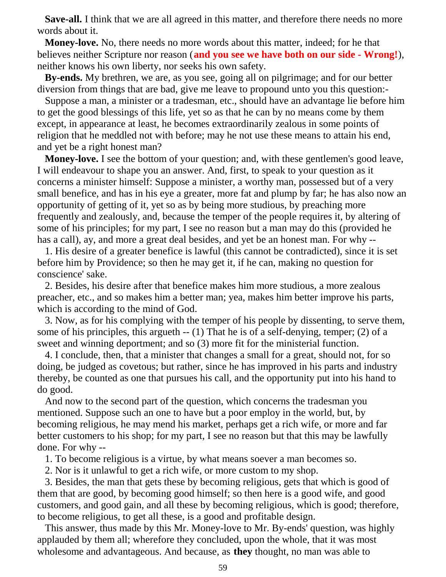**Save-all.** I think that we are all agreed in this matter, and therefore there needs no more words about it.

 **Money-love.** No, there needs no more words about this matter, indeed; for he that believes neither Scripture nor reason (**and you see we have both on our side - Wrong!**), neither knows his own liberty, nor seeks his own safety.

 **By-ends.** My brethren, we are, as you see, going all on pilgrimage; and for our better diversion from things that are bad, give me leave to propound unto you this question:-

 Suppose a man, a minister or a tradesman, etc., should have an advantage lie before him to get the good blessings of this life, yet so as that he can by no means come by them except, in appearance at least, he becomes extraordinarily zealous in some points of religion that he meddled not with before; may he not use these means to attain his end, and yet be a right honest man?

 **Money-love.** I see the bottom of your question; and, with these gentlemen's good leave, I will endeavour to shape you an answer. And, first, to speak to your question as it concerns a minister himself: Suppose a minister, a worthy man, possessed but of a very small benefice, and has in his eye a greater, more fat and plump by far; he has also now an opportunity of getting of it, yet so as by being more studious, by preaching more frequently and zealously, and, because the temper of the people requires it, by altering of some of his principles; for my part, I see no reason but a man may do this (provided he has a call), ay, and more a great deal besides, and yet be an honest man. For why --

 1. His desire of a greater benefice is lawful (this cannot be contradicted), since it is set before him by Providence; so then he may get it, if he can, making no question for conscience' sake.

 2. Besides, his desire after that benefice makes him more studious, a more zealous preacher, etc., and so makes him a better man; yea, makes him better improve his parts, which is according to the mind of God.

 3. Now, as for his complying with the temper of his people by dissenting, to serve them, some of his principles, this argueth -- (1) That he is of a self-denying, temper; (2) of a sweet and winning deportment; and so (3) more fit for the ministerial function.

 4. I conclude, then, that a minister that changes a small for a great, should not, for so doing, be judged as covetous; but rather, since he has improved in his parts and industry thereby, be counted as one that pursues his call, and the opportunity put into his hand to do good.

 And now to the second part of the question, which concerns the tradesman you mentioned. Suppose such an one to have but a poor employ in the world, but, by becoming religious, he may mend his market, perhaps get a rich wife, or more and far better customers to his shop; for my part, I see no reason but that this may be lawfully done. For why --

1. To become religious is a virtue, by what means soever a man becomes so.

2. Nor is it unlawful to get a rich wife, or more custom to my shop.

 3. Besides, the man that gets these by becoming religious, gets that which is good of them that are good, by becoming good himself; so then here is a good wife, and good customers, and good gain, and all these by becoming religious, which is good; therefore, to become religious, to get all these, is a good and profitable design.

 This answer, thus made by this Mr. Money-love to Mr. By-ends' question, was highly applauded by them all; wherefore they concluded, upon the whole, that it was most wholesome and advantageous. And because, as **they** thought, no man was able to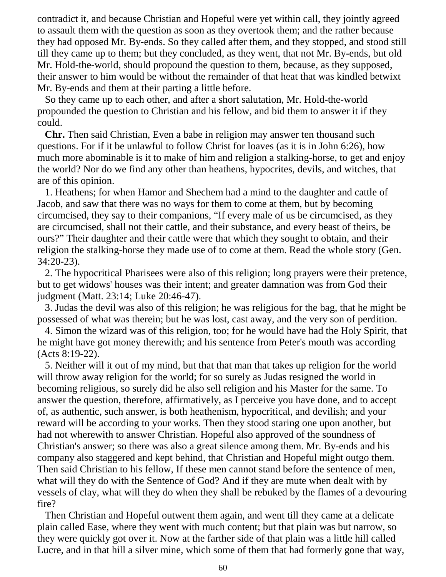contradict it, and because Christian and Hopeful were yet within call, they jointly agreed to assault them with the question as soon as they overtook them; and the rather because they had opposed Mr. By-ends. So they called after them, and they stopped, and stood still till they came up to them; but they concluded, as they went, that not Mr. By-ends, but old Mr. Hold-the-world, should propound the question to them, because, as they supposed, their answer to him would be without the remainder of that heat that was kindled betwixt Mr. By-ends and them at their parting a little before.

 So they came up to each other, and after a short salutation, Mr. Hold-the-world propounded the question to Christian and his fellow, and bid them to answer it if they could.

 **Chr.** Then said Christian, Even a babe in religion may answer ten thousand such questions. For if it be unlawful to follow Christ for loaves (as it is in John 6:26), how much more abominable is it to make of him and religion a stalking-horse, to get and enjoy the world? Nor do we find any other than heathens, hypocrites, devils, and witches, that are of this opinion.

 1. Heathens; for when Hamor and Shechem had a mind to the daughter and cattle of Jacob, and saw that there was no ways for them to come at them, but by becoming circumcised, they say to their companions, "If every male of us be circumcised, as they are circumcised, shall not their cattle, and their substance, and every beast of theirs, be ours?" Their daughter and their cattle were that which they sought to obtain, and their religion the stalking-horse they made use of to come at them. Read the whole story (Gen. 34:20-23).

 2. The hypocritical Pharisees were also of this religion; long prayers were their pretence, but to get widows' houses was their intent; and greater damnation was from God their judgment (Matt. 23:14; Luke 20:46-47).

 3. Judas the devil was also of this religion; he was religious for the bag, that he might be possessed of what was therein; but he was lost, cast away, and the very son of perdition.

 4. Simon the wizard was of this religion, too; for he would have had the Holy Spirit, that he might have got money therewith; and his sentence from Peter's mouth was according (Acts 8:19-22).

 5. Neither will it out of my mind, but that that man that takes up religion for the world will throw away religion for the world; for so surely as Judas resigned the world in becoming religious, so surely did he also sell religion and his Master for the same. To answer the question, therefore, affirmatively, as I perceive you have done, and to accept of, as authentic, such answer, is both heathenism, hypocritical, and devilish; and your reward will be according to your works. Then they stood staring one upon another, but had not wherewith to answer Christian. Hopeful also approved of the soundness of Christian's answer; so there was also a great silence among them. Mr. By-ends and his company also staggered and kept behind, that Christian and Hopeful might outgo them. Then said Christian to his fellow, If these men cannot stand before the sentence of men, what will they do with the Sentence of God? And if they are mute when dealt with by vessels of clay, what will they do when they shall be rebuked by the flames of a devouring fire?

 Then Christian and Hopeful outwent them again, and went till they came at a delicate plain called Ease, where they went with much content; but that plain was but narrow, so they were quickly got over it. Now at the farther side of that plain was a little hill called Lucre, and in that hill a silver mine, which some of them that had formerly gone that way,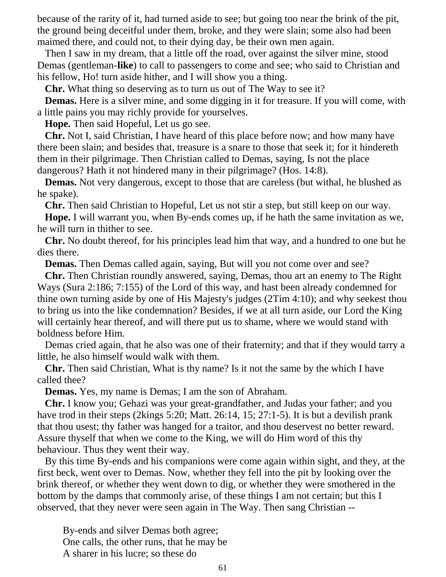because of the rarity of it, had turned aside to see; but going too near the brink of the pit, the ground being deceitful under them, broke, and they were slain; some also had been maimed there, and could not, to their dying day, be their own men again.

 Then I saw in my dream, that a little off the road, over against the silver mine, stood Demas (gentleman-**like**) to call to passengers to come and see; who said to Christian and his fellow, Ho! turn aside hither, and I will show you a thing.

**Chr.** What thing so deserving as to turn us out of The Way to see it?

 **Demas.** Here is a silver mine, and some digging in it for treasure. If you will come, with a little pains you may richly provide for yourselves.

**Hope.** Then said Hopeful, Let us go see.

 **Chr.** Not I, said Christian, I have heard of this place before now; and how many have there been slain; and besides that, treasure is a snare to those that seek it; for it hindereth them in their pilgrimage. Then Christian called to Demas, saying, Is not the place dangerous? Hath it not hindered many in their pilgrimage? (Hos. 14:8).

 **Demas.** Not very dangerous, except to those that are careless (but withal, he blushed as he spake).

**Chr.** Then said Christian to Hopeful, Let us not stir a step, but still keep on our way.

 **Hope.** I will warrant you, when By-ends comes up, if he hath the same invitation as we, he will turn in thither to see.

 **Chr.** No doubt thereof, for his principles lead him that way, and a hundred to one but he dies there.

**Demas.** Then Demas called again, saying, But will you not come over and see?

 **Chr.** Then Christian roundly answered, saying, Demas, thou art an enemy to The Right Ways (Sura 2:186; 7:155) of the Lord of this way, and hast been already condemned for thine own turning aside by one of His Majesty's judges (2Tim 4:10); and why seekest thou to bring us into the like condemnation? Besides, if we at all turn aside, our Lord the King will certainly hear thereof, and will there put us to shame, where we would stand with boldness before Him.

 Demas cried again, that he also was one of their fraternity; and that if they would tarry a little, he also himself would walk with them.

 **Chr.** Then said Christian, What is thy name? Is it not the same by the which I have called thee?

**Demas.** Yes, my name is Demas; I am the son of Abraham.

 **Chr.** I know you; Gehazi was your great-grandfather, and Judas your father; and you have trod in their steps (2kings 5:20; Matt. 26:14, 15; 27:1-5). It is but a devilish prank that thou usest; thy father was hanged for a traitor, and thou deservest no better reward. Assure thyself that when we come to the King, we will do Him word of this thy behaviour. Thus they went their way.

 By this time By-ends and his companions were come again within sight, and they, at the first beck, went over to Demas. Now, whether they fell into the pit by looking over the brink thereof, or whether they went down to dig, or whether they were smothered in the bottom by the damps that commonly arise, of these things I am not certain; but this I observed, that they never were seen again in The Way. Then sang Christian --

 By-ends and silver Demas both agree; One calls, the other runs, that he may be A sharer in his lucre; so these do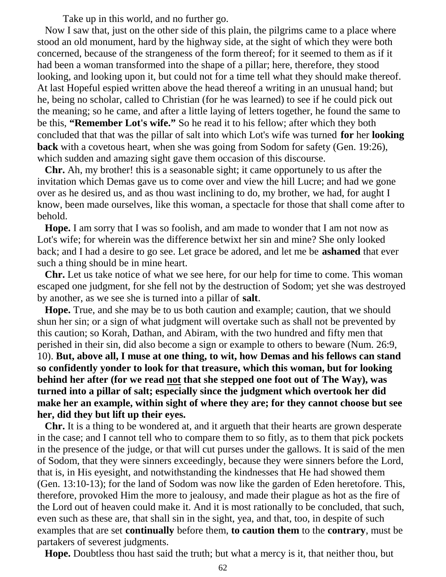Take up in this world, and no further go.

 Now I saw that, just on the other side of this plain, the pilgrims came to a place where stood an old monument, hard by the highway side, at the sight of which they were both concerned, because of the strangeness of the form thereof; for it seemed to them as if it had been a woman transformed into the shape of a pillar; here, therefore, they stood looking, and looking upon it, but could not for a time tell what they should make thereof. At last Hopeful espied written above the head thereof a writing in an unusual hand; but he, being no scholar, called to Christian (for he was learned) to see if he could pick out the meaning; so he came, and after a little laying of letters together, he found the same to be this, **"Remember Lot's wife."** So he read it to his fellow; after which they both concluded that that was the pillar of salt into which Lot's wife was turned **for** her **looking back** with a covetous heart, when she was going from Sodom for safety (Gen. 19:26), which sudden and amazing sight gave them occasion of this discourse.

 **Chr.** Ah, my brother! this is a seasonable sight; it came opportunely to us after the invitation which Demas gave us to come over and view the hill Lucre; and had we gone over as he desired us, and as thou wast inclining to do, my brother, we had, for aught I know, been made ourselves, like this woman, a spectacle for those that shall come after to behold.

 **Hope.** I am sorry that I was so foolish, and am made to wonder that I am not now as Lot's wife; for wherein was the difference betwixt her sin and mine? She only looked back; and I had a desire to go see. Let grace be adored, and let me be **ashamed** that ever such a thing should be in mine heart.

 **Chr.** Let us take notice of what we see here, for our help for time to come. This woman escaped one judgment, for she fell not by the destruction of Sodom; yet she was destroyed by another, as we see she is turned into a pillar of **salt**.

 **Hope.** True, and she may be to us both caution and example; caution, that we should shun her sin; or a sign of what judgment will overtake such as shall not be prevented by this caution; so Korah, Dathan, and Abiram, with the two hundred and fifty men that perished in their sin, did also become a sign or example to others to beware (Num. 26:9, 10). **But, above all, I muse at one thing, to wit, how Demas and his fellows can stand so confidently yonder to look for that treasure, which this woman, but for looking behind her after (for we read not that she stepped one foot out of The Way), was turned into a pillar of salt; especially since the judgment which overtook her did make her an example, within sight of where they are; for they cannot choose but see her, did they but lift up their eyes.**

 **Chr.** It is a thing to be wondered at, and it argueth that their hearts are grown desperate in the case; and I cannot tell who to compare them to so fitly, as to them that pick pockets in the presence of the judge, or that will cut purses under the gallows. It is said of the men of Sodom, that they were sinners exceedingly, because they were sinners before the Lord, that is, in His eyesight, and notwithstanding the kindnesses that He had showed them (Gen. 13:10-13); for the land of Sodom was now like the garden of Eden heretofore. This, therefore, provoked Him the more to jealousy, and made their plague as hot as the fire of the Lord out of heaven could make it. And it is most rationally to be concluded, that such, even such as these are, that shall sin in the sight, yea, and that, too, in despite of such examples that are set **continually** before them, **to caution them** to the **contrary**, must be partakers of severest judgments.

**Hope.** Doubtless thou hast said the truth; but what a mercy is it, that neither thou, but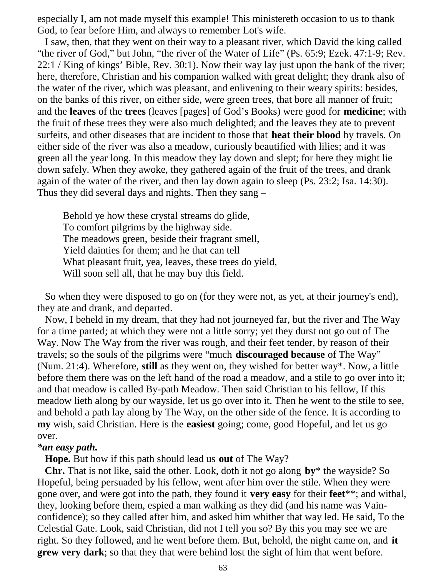especially I, am not made myself this example! This ministereth occasion to us to thank God, to fear before Him, and always to remember Lot's wife.

 I saw, then, that they went on their way to a pleasant river, which David the king called "the river of God," but John, "the river of the Water of Life" (Ps. 65:9; Ezek. 47:1-9; Rev. 22:1 / King of kings' Bible, Rev. 30:1). Now their way lay just upon the bank of the river; here, therefore, Christian and his companion walked with great delight; they drank also of the water of the river, which was pleasant, and enlivening to their weary spirits: besides, on the banks of this river, on either side, were green trees, that bore all manner of fruit; and the **leaves** of the **trees** (leaves [pages] of God's Books) were good for **medicine**; with the fruit of these trees they were also much delighted; and the leaves they ate to prevent surfeits, and other diseases that are incident to those that **heat their blood** by travels. On either side of the river was also a meadow, curiously beautified with lilies; and it was green all the year long. In this meadow they lay down and slept; for here they might lie down safely. When they awoke, they gathered again of the fruit of the trees, and drank again of the water of the river, and then lay down again to sleep (Ps. 23:2; Isa. 14:30). Thus they did several days and nights. Then they sang –

 Behold ye how these crystal streams do glide, To comfort pilgrims by the highway side. The meadows green, beside their fragrant smell, Yield dainties for them; and he that can tell What pleasant fruit, yea, leaves, these trees do yield, Will soon sell all, that he may buy this field.

 So when they were disposed to go on (for they were not, as yet, at their journey's end), they ate and drank, and departed.

 Now, I beheld in my dream, that they had not journeyed far, but the river and The Way for a time parted; at which they were not a little sorry; yet they durst not go out of The Way. Now The Way from the river was rough, and their feet tender, by reason of their travels; so the souls of the pilgrims were "much **discouraged because** of The Way" (Num. 21:4). Wherefore, **still** as they went on, they wished for better way\*. Now, a little before them there was on the left hand of the road a meadow, and a stile to go over into it; and that meadow is called By-path Meadow. Then said Christian to his fellow, If this meadow lieth along by our wayside, let us go over into it. Then he went to the stile to see, and behold a path lay along by The Way, on the other side of the fence. It is according to **my** wish, said Christian. Here is the **easiest** going; come, good Hopeful, and let us go over.

#### *\*an easy path.*

**Hope.** But how if this path should lead us **out** of The Way?

 **Chr.** That is not like, said the other. Look, doth it not go along **by**\* the wayside? So Hopeful, being persuaded by his fellow, went after him over the stile. When they were gone over, and were got into the path, they found it **very easy** for their **feet**\*\*; and withal, they, looking before them, espied a man walking as they did (and his name was Vainconfidence); so they called after him, and asked him whither that way led. He said, To the Celestial Gate. Look, said Christian, did not I tell you so? By this you may see we are right. So they followed, and he went before them. But, behold, the night came on, and **it grew very dark**; so that they that were behind lost the sight of him that went before.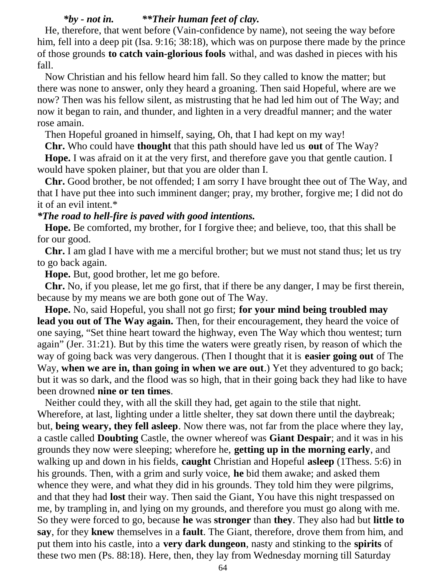## *\*by - not in. \*\*Their human feet of clay.*

 He, therefore, that went before (Vain-confidence by name), not seeing the way before him, fell into a deep pit (Isa. 9:16; 38:18), which was on purpose there made by the prince of those grounds **to catch vain-glorious fools** withal, and was dashed in pieces with his fall.

 Now Christian and his fellow heard him fall. So they called to know the matter; but there was none to answer, only they heard a groaning. Then said Hopeful, where are we now? Then was his fellow silent, as mistrusting that he had led him out of The Way; and now it began to rain, and thunder, and lighten in a very dreadful manner; and the water rose amain.

Then Hopeful groaned in himself, saying, Oh, that I had kept on my way!

**Chr.** Who could have **thought** that this path should have led us **out** of The Way?

 **Hope.** I was afraid on it at the very first, and therefore gave you that gentle caution. I would have spoken plainer, but that you are older than I.

 **Chr.** Good brother, be not offended; I am sorry I have brought thee out of The Way, and that I have put thee into such imminent danger; pray, my brother, forgive me; I did not do it of an evil intent.\*

## *\*The road to hell-fire is paved with good intentions.*

 **Hope.** Be comforted, my brother, for I forgive thee; and believe, too, that this shall be for our good.

 **Chr.** I am glad I have with me a merciful brother; but we must not stand thus; let us try to go back again.

**Hope.** But, good brother, let me go before.

 **Chr.** No, if you please, let me go first, that if there be any danger, I may be first therein, because by my means we are both gone out of The Way.

 **Hope.** No, said Hopeful, you shall not go first; **for your mind being troubled may lead you out of The Way again.** Then, for their encouragement, they heard the voice of one saying, "Set thine heart toward the highway, even The Way which thou wentest; turn again" (Jer. 31:21). But by this time the waters were greatly risen, by reason of which the way of going back was very dangerous. (Then I thought that it is **easier going out** of The Way, **when we are in, than going in when we are out**.) Yet they adventured to go back; but it was so dark, and the flood was so high, that in their going back they had like to have been drowned **nine or ten times**.

 Neither could they, with all the skill they had, get again to the stile that night. Wherefore, at last, lighting under a little shelter, they sat down there until the daybreak; but, **being weary, they fell asleep**. Now there was, not far from the place where they lay, a castle called **Doubting** Castle, the owner whereof was **Giant Despair**; and it was in his grounds they now were sleeping; wherefore he, **getting up in the morning early**, and walking up and down in his fields, **caught** Christian and Hopeful **asleep** (1Thess. 5:6) in his grounds. Then, with a grim and surly voice, **he** bid them awake; and asked them whence they were, and what they did in his grounds. They told him they were pilgrims, and that they had **lost** their way. Then said the Giant, You have this night trespassed on me, by trampling in, and lying on my grounds, and therefore you must go along with me. So they were forced to go, because **he** was **stronger** than **they**. They also had but **little to say**, for they **knew** themselves in a **fault**. The Giant, therefore, drove them from him, and put them into his castle, into a **very dark dungeon**, nasty and stinking to the **spirits** of these two men (Ps. 88:18). Here, then, they lay from Wednesday morning till Saturday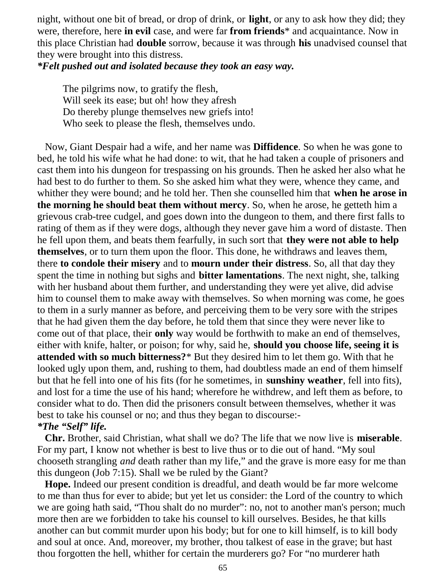night, without one bit of bread, or drop of drink, or **light**, or any to ask how they did; they were, therefore, here **in evil** case, and were far **from friends**\* and acquaintance. Now in this place Christian had **double** sorrow, because it was through **his** unadvised counsel that they were brought into this distress.

*\*Felt pushed out and isolated because they took an easy way.*

 The pilgrims now, to gratify the flesh, Will seek its ease; but oh! how they afresh Do thereby plunge themselves new griefs into! Who seek to please the flesh, themselves undo.

 Now, Giant Despair had a wife, and her name was **Diffidence**. So when he was gone to bed, he told his wife what he had done: to wit, that he had taken a couple of prisoners and cast them into his dungeon for trespassing on his grounds. Then he asked her also what he had best to do further to them. So she asked him what they were, whence they came, and whither they were bound; and he told her. Then she counselled him that **when he arose in the morning he should beat them without mercy**. So, when he arose, he getteth him a grievous crab-tree cudgel, and goes down into the dungeon to them, and there first falls to rating of them as if they were dogs, although they never gave him a word of distaste. Then he fell upon them, and beats them fearfully, in such sort that **they were not able to help themselves**, or to turn them upon the floor. This done, he withdraws and leaves them, there **to condole their misery** and to **mourn under their distress**. So, all that day they spent the time in nothing but sighs and **bitter lamentations**. The next night, she, talking with her husband about them further, and understanding they were yet alive, did advise him to counsel them to make away with themselves. So when morning was come, he goes to them in a surly manner as before, and perceiving them to be very sore with the stripes that he had given them the day before, he told them that since they were never like to come out of that place, their **only** way would be forthwith to make an end of themselves, either with knife, halter, or poison; for why, said he, **should you choose life, seeing it is attended with so much bitterness?**\* But they desired him to let them go. With that he looked ugly upon them, and, rushing to them, had doubtless made an end of them himself but that he fell into one of his fits (for he sometimes, in **sunshiny weather**, fell into fits), and lost for a time the use of his hand; wherefore he withdrew, and left them as before, to consider what to do. Then did the prisoners consult between themselves, whether it was best to take his counsel or no; and thus they began to discourse:-

# *\*The "Self" life.*

 **Chr.** Brother, said Christian, what shall we do? The life that we now live is **miserable**. For my part, I know not whether is best to live thus or to die out of hand. "My soul chooseth strangling *and* death rather than my life," and the grave is more easy for me than this dungeon (Job 7:15). Shall we be ruled by the Giant?

 **Hope.** Indeed our present condition is dreadful, and death would be far more welcome to me than thus for ever to abide; but yet let us consider: the Lord of the country to which we are going hath said, "Thou shalt do no murder": no, not to another man's person; much more then are we forbidden to take his counsel to kill ourselves. Besides, he that kills another can but commit murder upon his body; but for one to kill himself, is to kill body and soul at once. And, moreover, my brother, thou talkest of ease in the grave; but hast thou forgotten the hell, whither for certain the murderers go? For "no murderer hath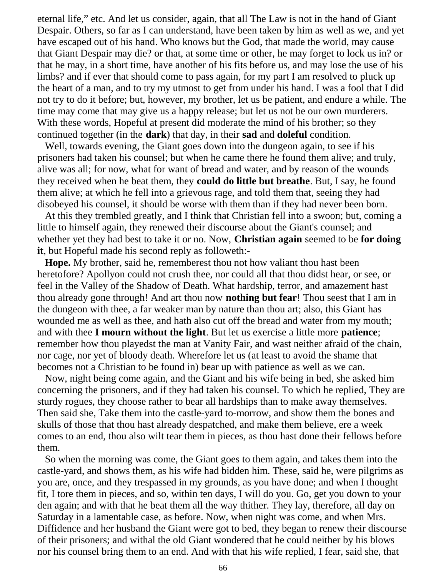eternal life," etc. And let us consider, again, that all The Law is not in the hand of Giant Despair. Others, so far as I can understand, have been taken by him as well as we, and yet have escaped out of his hand. Who knows but the God, that made the world, may cause that Giant Despair may die? or that, at some time or other, he may forget to lock us in? or that he may, in a short time, have another of his fits before us, and may lose the use of his limbs? and if ever that should come to pass again, for my part I am resolved to pluck up the heart of a man, and to try my utmost to get from under his hand. I was a fool that I did not try to do it before; but, however, my brother, let us be patient, and endure a while. The time may come that may give us a happy release; but let us not be our own murderers. With these words, Hopeful at present did moderate the mind of his brother; so they continued together (in the **dark**) that day, in their **sad** and **doleful** condition.

 Well, towards evening, the Giant goes down into the dungeon again, to see if his prisoners had taken his counsel; but when he came there he found them alive; and truly, alive was all; for now, what for want of bread and water, and by reason of the wounds they received when he beat them, they **could do little but breathe**. But, I say, he found them alive; at which he fell into a grievous rage, and told them that, seeing they had disobeyed his counsel, it should be worse with them than if they had never been born.

 At this they trembled greatly, and I think that Christian fell into a swoon; but, coming a little to himself again, they renewed their discourse about the Giant's counsel; and whether yet they had best to take it or no. Now, **Christian again** seemed to be **for doing it**, but Hopeful made his second reply as followeth:-

 **Hope.** My brother, said he, rememberest thou not how valiant thou hast been heretofore? Apollyon could not crush thee, nor could all that thou didst hear, or see, or feel in the Valley of the Shadow of Death. What hardship, terror, and amazement hast thou already gone through! And art thou now **nothing but fear**! Thou seest that I am in the dungeon with thee, a far weaker man by nature than thou art; also, this Giant has wounded me as well as thee, and hath also cut off the bread and water from my mouth; and with thee **I mourn without the light**. But let us exercise a little more **patience**; remember how thou playedst the man at Vanity Fair, and wast neither afraid of the chain, nor cage, nor yet of bloody death. Wherefore let us (at least to avoid the shame that becomes not a Christian to be found in) bear up with patience as well as we can.

 Now, night being come again, and the Giant and his wife being in bed, she asked him concerning the prisoners, and if they had taken his counsel. To which he replied, They are sturdy rogues, they choose rather to bear all hardships than to make away themselves. Then said she, Take them into the castle-yard to-morrow, and show them the bones and skulls of those that thou hast already despatched, and make them believe, ere a week comes to an end, thou also wilt tear them in pieces, as thou hast done their fellows before them.

 So when the morning was come, the Giant goes to them again, and takes them into the castle-yard, and shows them, as his wife had bidden him. These, said he, were pilgrims as you are, once, and they trespassed in my grounds, as you have done; and when I thought fit, I tore them in pieces, and so, within ten days, I will do you. Go, get you down to your den again; and with that he beat them all the way thither. They lay, therefore, all day on Saturday in a lamentable case, as before. Now, when night was come, and when Mrs. Diffidence and her husband the Giant were got to bed, they began to renew their discourse of their prisoners; and withal the old Giant wondered that he could neither by his blows nor his counsel bring them to an end. And with that his wife replied, I fear, said she, that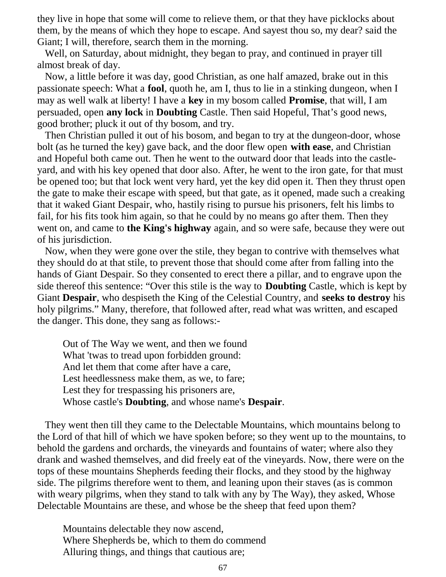they live in hope that some will come to relieve them, or that they have picklocks about them, by the means of which they hope to escape. And sayest thou so, my dear? said the Giant; I will, therefore, search them in the morning.

 Well, on Saturday, about midnight, they began to pray, and continued in prayer till almost break of day.

 Now, a little before it was day, good Christian, as one half amazed, brake out in this passionate speech: What a **fool**, quoth he, am I, thus to lie in a stinking dungeon, when I may as well walk at liberty! I have a **key** in my bosom called **Promise**, that will, I am persuaded, open **any lock** in **Doubting** Castle. Then said Hopeful, That's good news, good brother; pluck it out of thy bosom, and try.

 Then Christian pulled it out of his bosom, and began to try at the dungeon-door, whose bolt (as he turned the key) gave back, and the door flew open **with ease**, and Christian and Hopeful both came out. Then he went to the outward door that leads into the castleyard, and with his key opened that door also. After, he went to the iron gate, for that must be opened too; but that lock went very hard, yet the key did open it. Then they thrust open the gate to make their escape with speed, but that gate, as it opened, made such a creaking that it waked Giant Despair, who, hastily rising to pursue his prisoners, felt his limbs to fail, for his fits took him again, so that he could by no means go after them. Then they went on, and came to **the King's highway** again, and so were safe, because they were out of his jurisdiction.

 Now, when they were gone over the stile, they began to contrive with themselves what they should do at that stile, to prevent those that should come after from falling into the hands of Giant Despair. So they consented to erect there a pillar, and to engrave upon the side thereof this sentence: "Over this stile is the way to **Doubting** Castle, which is kept by Giant **Despair**, who despiseth the King of the Celestial Country, and **seeks to destroy** his holy pilgrims." Many, therefore, that followed after, read what was written, and escaped the danger. This done, they sang as follows:-

 Out of The Way we went, and then we found What 'twas to tread upon forbidden ground: And let them that come after have a care, Lest heedlessness make them, as we, to fare; Lest they for trespassing his prisoners are, Whose castle's **Doubting**, and whose name's **Despair**.

 They went then till they came to the Delectable Mountains, which mountains belong to the Lord of that hill of which we have spoken before; so they went up to the mountains, to behold the gardens and orchards, the vineyards and fountains of water; where also they drank and washed themselves, and did freely eat of the vineyards. Now, there were on the tops of these mountains Shepherds feeding their flocks, and they stood by the highway side. The pilgrims therefore went to them, and leaning upon their staves (as is common with weary pilgrims, when they stand to talk with any by The Way), they asked, Whose Delectable Mountains are these, and whose be the sheep that feed upon them?

 Mountains delectable they now ascend, Where Shepherds be, which to them do commend Alluring things, and things that cautious are;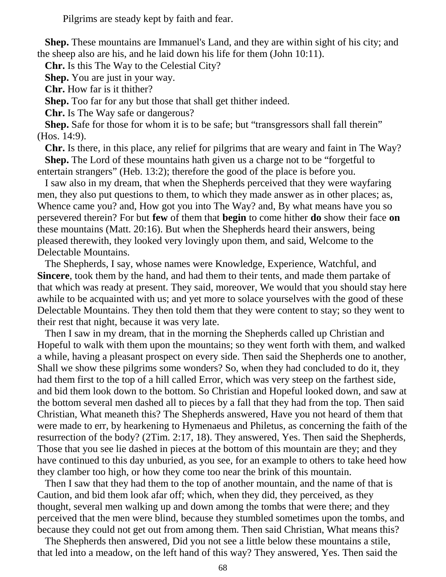Pilgrims are steady kept by faith and fear.

 **Shep.** These mountains are Immanuel's Land, and they are within sight of his city; and the sheep also are his, and he laid down his life for them (John 10:11).

**Chr.** Is this The Way to the Celestial City?

**Shep.** You are just in your way.

**Chr.** How far is it thither?

**Shep.** Too far for any but those that shall get thither indeed.

**Chr.** Is The Way safe or dangerous?

**Shep.** Safe for those for whom it is to be safe; but "transgressors shall fall therein" (Hos. 14:9).

 **Chr.** Is there, in this place, any relief for pilgrims that are weary and faint in The Way? **Shep.** The Lord of these mountains hath given us a charge not to be "forgetful to entertain strangers" (Heb. 13:2); therefore the good of the place is before you.

 I saw also in my dream, that when the Shepherds perceived that they were wayfaring men, they also put questions to them, to which they made answer as in other places; as, Whence came you? and, How got you into The Way? and, By what means have you so persevered therein? For but **few** of them that **begin** to come hither **do** show their face **on** these mountains (Matt. 20:16). But when the Shepherds heard their answers, being pleased therewith, they looked very lovingly upon them, and said, Welcome to the Delectable Mountains.

 The Shepherds, I say, whose names were Knowledge, Experience, Watchful, and **Sincere**, took them by the hand, and had them to their tents, and made them partake of that which was ready at present. They said, moreover, We would that you should stay here awhile to be acquainted with us; and yet more to solace yourselves with the good of these Delectable Mountains. They then told them that they were content to stay; so they went to their rest that night, because it was very late.

 Then I saw in my dream, that in the morning the Shepherds called up Christian and Hopeful to walk with them upon the mountains; so they went forth with them, and walked a while, having a pleasant prospect on every side. Then said the Shepherds one to another, Shall we show these pilgrims some wonders? So, when they had concluded to do it, they had them first to the top of a hill called Error, which was very steep on the farthest side, and bid them look down to the bottom. So Christian and Hopeful looked down, and saw at the bottom several men dashed all to pieces by a fall that they had from the top. Then said Christian, What meaneth this? The Shepherds answered, Have you not heard of them that were made to err, by hearkening to Hymenaeus and Philetus, as concerning the faith of the resurrection of the body? (2Tim. 2:17, 18). They answered, Yes. Then said the Shepherds, Those that you see lie dashed in pieces at the bottom of this mountain are they; and they have continued to this day unburied, as you see, for an example to others to take heed how they clamber too high, or how they come too near the brink of this mountain.

 Then I saw that they had them to the top of another mountain, and the name of that is Caution, and bid them look afar off; which, when they did, they perceived, as they thought, several men walking up and down among the tombs that were there; and they perceived that the men were blind, because they stumbled sometimes upon the tombs, and because they could not get out from among them. Then said Christian, What means this?

 The Shepherds then answered, Did you not see a little below these mountains a stile, that led into a meadow, on the left hand of this way? They answered, Yes. Then said the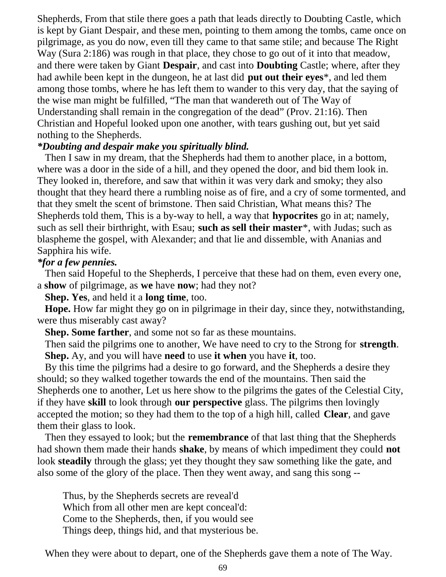Shepherds, From that stile there goes a path that leads directly to Doubting Castle, which is kept by Giant Despair, and these men, pointing to them among the tombs, came once on pilgrimage, as you do now, even till they came to that same stile; and because The Right Way (Sura 2:186) was rough in that place, they chose to go out of it into that meadow, and there were taken by Giant **Despair**, and cast into **Doubting** Castle; where, after they had awhile been kept in the dungeon, he at last did **put out their eyes**\*, and led them among those tombs, where he has left them to wander to this very day, that the saying of the wise man might be fulfilled, "The man that wandereth out of The Way of Understanding shall remain in the congregation of the dead" (Prov. 21:16). Then Christian and Hopeful looked upon one another, with tears gushing out, but yet said nothing to the Shepherds.

## *\*Doubting and despair make you spiritually blind.*

 Then I saw in my dream, that the Shepherds had them to another place, in a bottom, where was a door in the side of a hill, and they opened the door, and bid them look in. They looked in, therefore, and saw that within it was very dark and smoky; they also thought that they heard there a rumbling noise as of fire, and a cry of some tormented, and that they smelt the scent of brimstone. Then said Christian, What means this? The Shepherds told them, This is a by-way to hell, a way that **hypocrites** go in at; namely, such as sell their birthright, with Esau; **such as sell their master**\*, with Judas; such as blaspheme the gospel, with Alexander; and that lie and dissemble, with Ananias and Sapphira his wife.

## *\*for a few pennies.*

 Then said Hopeful to the Shepherds, I perceive that these had on them, even every one, a **show** of pilgrimage, as **we** have **now**; had they not?

**Shep. Yes**, and held it a **long time**, too.

 **Hope.** How far might they go on in pilgrimage in their day, since they, notwithstanding, were thus miserably cast away?

**Shep. Some farther**, and some not so far as these mountains.

 Then said the pilgrims one to another, We have need to cry to the Strong for **strength**. **Shep.** Ay, and you will have **need** to use **it when** you have **it**, too.

 By this time the pilgrims had a desire to go forward, and the Shepherds a desire they should; so they walked together towards the end of the mountains. Then said the Shepherds one to another, Let us here show to the pilgrims the gates of the Celestial City, if they have **skill** to look through **our perspective** glass. The pilgrims then lovingly accepted the motion; so they had them to the top of a high hill, called **Clear**, and gave them their glass to look.

 Then they essayed to look; but the **remembrance** of that last thing that the Shepherds had shown them made their hands **shake**, by means of which impediment they could **not** look **steadily** through the glass; yet they thought they saw something like the gate, and also some of the glory of the place. Then they went away, and sang this song --

 Thus, by the Shepherds secrets are reveal'd Which from all other men are kept conceal'd: Come to the Shepherds, then, if you would see Things deep, things hid, and that mysterious be.

When they were about to depart, one of the Shepherds gave them a note of The Way.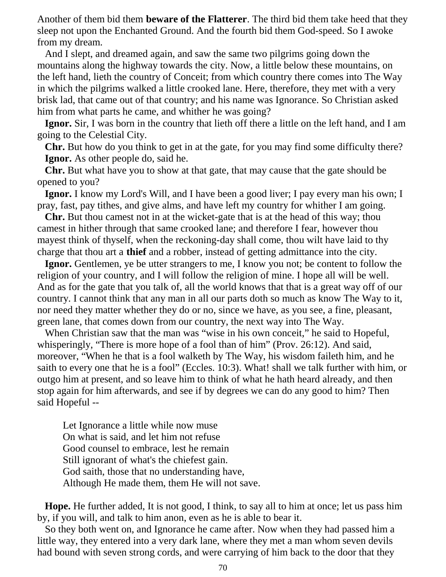Another of them bid them **beware of the Flatterer**. The third bid them take heed that they sleep not upon the Enchanted Ground. And the fourth bid them God-speed. So I awoke from my dream.

 And I slept, and dreamed again, and saw the same two pilgrims going down the mountains along the highway towards the city. Now, a little below these mountains, on the left hand, lieth the country of Conceit; from which country there comes into The Way in which the pilgrims walked a little crooked lane. Here, therefore, they met with a very brisk lad, that came out of that country; and his name was Ignorance. So Christian asked him from what parts he came, and whither he was going?

 **Ignor.** Sir, I was born in the country that lieth off there a little on the left hand, and I am going to the Celestial City.

 **Chr.** But how do you think to get in at the gate, for you may find some difficulty there? **Ignor.** As other people do, said he.

 **Chr.** But what have you to show at that gate, that may cause that the gate should be opened to you?

 **Ignor.** I know my Lord's Will, and I have been a good liver; I pay every man his own; I pray, fast, pay tithes, and give alms, and have left my country for whither I am going.

 **Chr.** But thou camest not in at the wicket-gate that is at the head of this way; thou camest in hither through that same crooked lane; and therefore I fear, however thou mayest think of thyself, when the reckoning-day shall come, thou wilt have laid to thy charge that thou art a **thief** and a robber, instead of getting admittance into the city.

 **Ignor.** Gentlemen, ye be utter strangers to me, I know you not; be content to follow the religion of your country, and I will follow the religion of mine. I hope all will be well. And as for the gate that you talk of, all the world knows that that is a great way off of our country. I cannot think that any man in all our parts doth so much as know The Way to it, nor need they matter whether they do or no, since we have, as you see, a fine, pleasant, green lane, that comes down from our country, the next way into The Way.

When Christian saw that the man was "wise in his own conceit," he said to Hopeful, whisperingly, "There is more hope of a fool than of him" (Prov. 26:12). And said, moreover, "When he that is a fool walketh by The Way, his wisdom faileth him, and he saith to every one that he is a fool" (Eccles. 10:3). What! shall we talk further with him, or outgo him at present, and so leave him to think of what he hath heard already, and then stop again for him afterwards, and see if by degrees we can do any good to him? Then said Hopeful --

 Let Ignorance a little while now muse On what is said, and let him not refuse Good counsel to embrace, lest he remain Still ignorant of what's the chiefest gain. God saith, those that no understanding have, Although He made them, them He will not save.

 **Hope.** He further added, It is not good, I think, to say all to him at once; let us pass him by, if you will, and talk to him anon, even as he is able to bear it.

 So they both went on, and Ignorance he came after. Now when they had passed him a little way, they entered into a very dark lane, where they met a man whom seven devils had bound with seven strong cords, and were carrying of him back to the door that they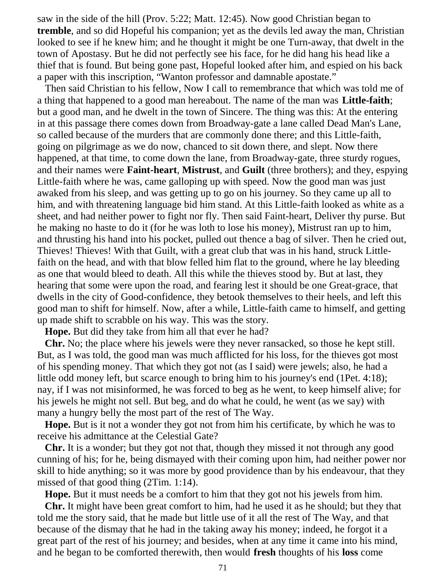saw in the side of the hill (Prov. 5:22; Matt. 12:45). Now good Christian began to **tremble**, and so did Hopeful his companion; yet as the devils led away the man, Christian looked to see if he knew him; and he thought it might be one Turn-away, that dwelt in the town of Apostasy. But he did not perfectly see his face, for he did hang his head like a thief that is found. But being gone past, Hopeful looked after him, and espied on his back a paper with this inscription, "Wanton professor and damnable apostate."

 Then said Christian to his fellow, Now I call to remembrance that which was told me of a thing that happened to a good man hereabout. The name of the man was **Little-faith**; but a good man, and he dwelt in the town of Sincere. The thing was this: At the entering in at this passage there comes down from Broadway-gate a lane called Dead Man's Lane, so called because of the murders that are commonly done there; and this Little-faith, going on pilgrimage as we do now, chanced to sit down there, and slept. Now there happened, at that time, to come down the lane, from Broadway-gate, three sturdy rogues, and their names were **Faint-heart**, **Mistrust**, and **Guilt** (three brothers); and they, espying Little-faith where he was, came galloping up with speed. Now the good man was just awaked from his sleep, and was getting up to go on his journey. So they came up all to him, and with threatening language bid him stand. At this Little-faith looked as white as a sheet, and had neither power to fight nor fly. Then said Faint-heart, Deliver thy purse. But he making no haste to do it (for he was loth to lose his money), Mistrust ran up to him, and thrusting his hand into his pocket, pulled out thence a bag of silver. Then he cried out, Thieves! Thieves! With that Guilt, with a great club that was in his hand, struck Littlefaith on the head, and with that blow felled him flat to the ground, where he lay bleeding as one that would bleed to death. All this while the thieves stood by. But at last, they hearing that some were upon the road, and fearing lest it should be one Great-grace, that dwells in the city of Good-confidence, they betook themselves to their heels, and left this good man to shift for himself. Now, after a while, Little-faith came to himself, and getting up made shift to scrabble on his way. This was the story.

**Hope.** But did they take from him all that ever he had?

 **Chr.** No; the place where his jewels were they never ransacked, so those he kept still. But, as I was told, the good man was much afflicted for his loss, for the thieves got most of his spending money. That which they got not (as I said) were jewels; also, he had a little odd money left, but scarce enough to bring him to his journey's end (1Pet. 4:18); nay, if I was not misinformed, he was forced to beg as he went, to keep himself alive; for his jewels he might not sell. But beg, and do what he could, he went (as we say) with many a hungry belly the most part of the rest of The Way.

 **Hope.** But is it not a wonder they got not from him his certificate, by which he was to receive his admittance at the Celestial Gate?

 **Chr.** It is a wonder; but they got not that, though they missed it not through any good cunning of his; for he, being dismayed with their coming upon him, had neither power nor skill to hide anything; so it was more by good providence than by his endeavour, that they missed of that good thing (2Tim. 1:14).

**Hope.** But it must needs be a comfort to him that they got not his jewels from him.

 **Chr.** It might have been great comfort to him, had he used it as he should; but they that told me the story said, that he made but little use of it all the rest of The Way, and that because of the dismay that he had in the taking away his money; indeed, he forgot it a great part of the rest of his journey; and besides, when at any time it came into his mind, and he began to be comforted therewith, then would **fresh** thoughts of his **loss** come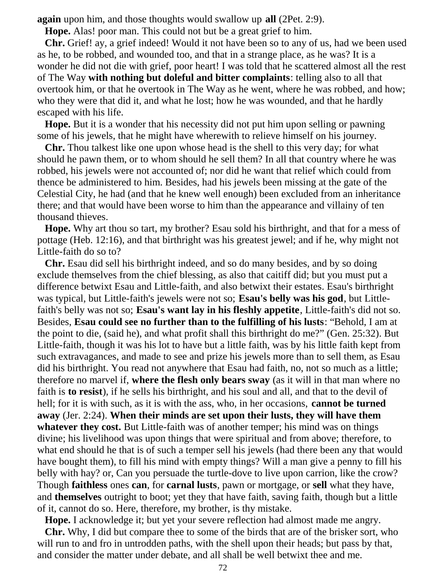**again** upon him, and those thoughts would swallow up **all** (2Pet. 2:9).

**Hope.** Alas! poor man. This could not but be a great grief to him.

 **Chr.** Grief! ay, a grief indeed! Would it not have been so to any of us, had we been used as he, to be robbed, and wounded too, and that in a strange place, as he was? It is a wonder he did not die with grief, poor heart! I was told that he scattered almost all the rest of The Way **with nothing but doleful and bitter complaints**: telling also to all that overtook him, or that he overtook in The Way as he went, where he was robbed, and how; who they were that did it, and what he lost; how he was wounded, and that he hardly escaped with his life.

 **Hope.** But it is a wonder that his necessity did not put him upon selling or pawning some of his jewels, that he might have wherewith to relieve himself on his journey.

 **Chr.** Thou talkest like one upon whose head is the shell to this very day; for what should he pawn them, or to whom should he sell them? In all that country where he was robbed, his jewels were not accounted of; nor did he want that relief which could from thence be administered to him. Besides, had his jewels been missing at the gate of the Celestial City, he had (and that he knew well enough) been excluded from an inheritance there; and that would have been worse to him than the appearance and villainy of ten thousand thieves.

 **Hope.** Why art thou so tart, my brother? Esau sold his birthright, and that for a mess of pottage (Heb. 12:16), and that birthright was his greatest jewel; and if he, why might not Little-faith do so to?

 **Chr.** Esau did sell his birthright indeed, and so do many besides, and by so doing exclude themselves from the chief blessing, as also that caitiff did; but you must put a difference betwixt Esau and Little-faith, and also betwixt their estates. Esau's birthright was typical, but Little-faith's jewels were not so; **Esau's belly was his god**, but Littlefaith's belly was not so; **Esau's want lay in his fleshly appetite**, Little-faith's did not so. Besides, **Esau could see no further than to the fulfilling of his lusts**: "Behold, I am at the point to die, (said he), and what profit shall this birthright do me?" (Gen. 25:32). But Little-faith, though it was his lot to have but a little faith, was by his little faith kept from such extravagances, and made to see and prize his jewels more than to sell them, as Esau did his birthright. You read not anywhere that Esau had faith, no, not so much as a little; therefore no marvel if, **where the flesh only bears sway** (as it will in that man where no faith is **to resist**), if he sells his birthright, and his soul and all, and that to the devil of hell; for it is with such, as it is with the ass, who, in her occasions, **cannot be turned away** (Jer. 2:24). **When their minds are set upon their lusts, they will have them whatever they cost.** But Little-faith was of another temper; his mind was on things divine; his livelihood was upon things that were spiritual and from above; therefore, to what end should he that is of such a temper sell his jewels (had there been any that would have bought them), to fill his mind with empty things? Will a man give a penny to fill his belly with hay? or, Can you persuade the turtle-dove to live upon carrion, like the crow? Though **faithless** ones **can**, for **carnal lusts**, pawn or mortgage, or **sell** what they have, and **themselves** outright to boot; yet they that have faith, saving faith, though but a little of it, cannot do so. Here, therefore, my brother, is thy mistake.

**Hope.** I acknowledge it; but yet your severe reflection had almost made me angry.

 **Chr.** Why, I did but compare thee to some of the birds that are of the brisker sort, who will run to and fro in untrodden paths, with the shell upon their heads; but pass by that, and consider the matter under debate, and all shall be well betwixt thee and me.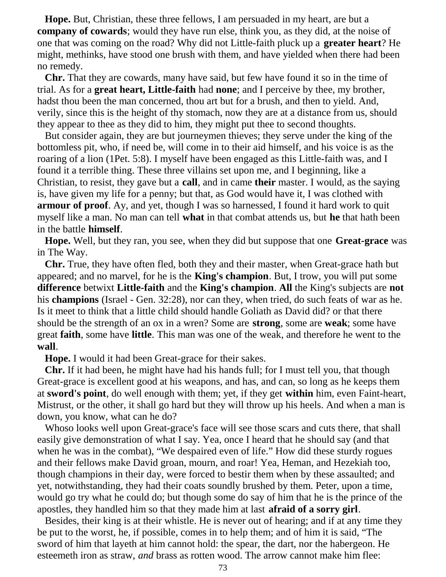**Hope.** But, Christian, these three fellows, I am persuaded in my heart, are but a **company of cowards**; would they have run else, think you, as they did, at the noise of one that was coming on the road? Why did not Little-faith pluck up a **greater heart**? He might, methinks, have stood one brush with them, and have yielded when there had been no remedy.

 **Chr.** That they are cowards, many have said, but few have found it so in the time of trial. As for a **great heart, Little-faith** had **none**; and I perceive by thee, my brother, hadst thou been the man concerned, thou art but for a brush, and then to yield. And, verily, since this is the height of thy stomach, now they are at a distance from us, should they appear to thee as they did to him, they might put thee to second thoughts.

 But consider again, they are but journeymen thieves; they serve under the king of the bottomless pit, who, if need be, will come in to their aid himself, and his voice is as the roaring of a lion (1Pet. 5:8). I myself have been engaged as this Little-faith was, and I found it a terrible thing. These three villains set upon me, and I beginning, like a Christian, to resist, they gave but a **call**, and in came **their** master. I would, as the saying is, have given my life for a penny; but that, as God would have it, I was clothed with **armour of proof.** Ay, and yet, though I was so harnessed, I found it hard work to quit myself like a man. No man can tell **what** in that combat attends us, but **he** that hath been in the battle **himself**.

 **Hope.** Well, but they ran, you see, when they did but suppose that one **Great-grace** was in The Way.

 **Chr.** True, they have often fled, both they and their master, when Great-grace hath but appeared; and no marvel, for he is the **King's champion**. But, I trow, you will put some **difference** betwixt **Little-faith** and the **King's champion**. **All** the King's subjects are **not** his **champions** (Israel - Gen. 32:28), nor can they, when tried, do such feats of war as he. Is it meet to think that a little child should handle Goliath as David did? or that there should be the strength of an ox in a wren? Some are **strong**, some are **weak**; some have great **faith**, some have **little**. This man was one of the weak, and therefore he went to the **wall**.

**Hope.** I would it had been Great-grace for their sakes.

 **Chr.** If it had been, he might have had his hands full; for I must tell you, that though Great-grace is excellent good at his weapons, and has, and can, so long as he keeps them at **sword's point**, do well enough with them; yet, if they get **within** him, even Faint-heart, Mistrust, or the other, it shall go hard but they will throw up his heels. And when a man is down, you know, what can he do?

 Whoso looks well upon Great-grace's face will see those scars and cuts there, that shall easily give demonstration of what I say. Yea, once I heard that he should say (and that when he was in the combat), "We despaired even of life." How did these sturdy rogues and their fellows make David groan, mourn, and roar! Yea, Heman, and Hezekiah too, though champions in their day, were forced to bestir them when by these assaulted; and yet, notwithstanding, they had their coats soundly brushed by them. Peter, upon a time, would go try what he could do; but though some do say of him that he is the prince of the apostles, they handled him so that they made him at last **afraid of a sorry girl**.

 Besides, their king is at their whistle. He is never out of hearing; and if at any time they be put to the worst, he, if possible, comes in to help them; and of him it is said, "The sword of him that layeth at him cannot hold: the spear, the dart, nor the habergeon. He esteemeth iron as straw, *and* brass as rotten wood. The arrow cannot make him flee: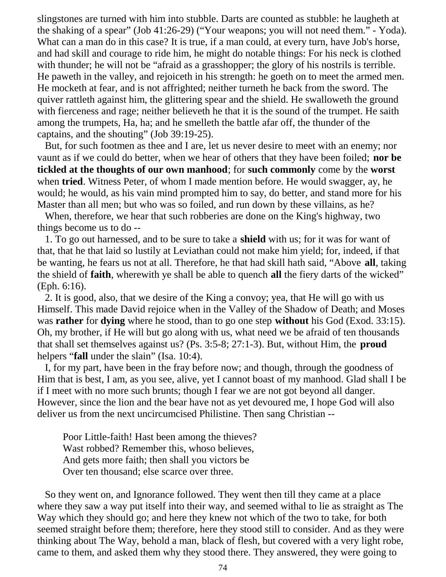slingstones are turned with him into stubble. Darts are counted as stubble: he laugheth at the shaking of a spear" (Job 41:26-29) ("Your weapons; you will not need them." - Yoda). What can a man do in this case? It is true, if a man could, at every turn, have Job's horse, and had skill and courage to ride him, he might do notable things: For his neck is clothed with thunder; he will not be "afraid as a grasshopper; the glory of his nostrils is terrible. He paweth in the valley, and rejoiceth in his strength: he goeth on to meet the armed men. He mocketh at fear, and is not affrighted; neither turneth he back from the sword. The quiver rattleth against him, the glittering spear and the shield. He swalloweth the ground with fierceness and rage; neither believeth he that it is the sound of the trumpet. He saith among the trumpets, Ha, ha; and he smelleth the battle afar off, the thunder of the captains, and the shouting" (Job 39:19-25).

 But, for such footmen as thee and I are, let us never desire to meet with an enemy; nor vaunt as if we could do better, when we hear of others that they have been foiled; **nor be tickled at the thoughts of our own manhood**; for **such commonly** come by the **worst** when **tried**. Witness Peter, of whom I made mention before. He would swagger, ay, he would; he would, as his vain mind prompted him to say, do better, and stand more for his Master than all men; but who was so foiled, and run down by these villains, as he?

 When, therefore, we hear that such robberies are done on the King's highway, two things become us to do --

 1. To go out harnessed, and to be sure to take a **shield** with us; for it was for want of that, that he that laid so lustily at Leviathan could not make him yield; for, indeed, if that be wanting, he fears us not at all. Therefore, he that had skill hath said, "Above **all**, taking the shield of **faith**, wherewith ye shall be able to quench **all** the fiery darts of the wicked" (Eph. 6:16).

 2. It is good, also, that we desire of the King a convoy; yea, that He will go with us Himself. This made David rejoice when in the Valley of the Shadow of Death; and Moses was **rather** for **dying** where he stood, than to go one step **without** his God (Exod. 33:15). Oh, my brother, if He will but go along with us, what need we be afraid of ten thousands that shall set themselves against us? (Ps. 3:5-8; 27:1-3). But, without Him, the **proud** helpers "**fall** under the slain" (Isa. 10:4).

 I, for my part, have been in the fray before now; and though, through the goodness of Him that is best, I am, as you see, alive, yet I cannot boast of my manhood. Glad shall I be if I meet with no more such brunts; though I fear we are not got beyond all danger. However, since the lion and the bear have not as yet devoured me, I hope God will also deliver us from the next uncircumcised Philistine. Then sang Christian --

 Poor Little-faith! Hast been among the thieves? Wast robbed? Remember this, whoso believes, And gets more faith; then shall you victors be Over ten thousand; else scarce over three.

 So they went on, and Ignorance followed. They went then till they came at a place where they saw a way put itself into their way, and seemed withal to lie as straight as The Way which they should go; and here they knew not which of the two to take, for both seemed straight before them; therefore, here they stood still to consider. And as they were thinking about The Way, behold a man, black of flesh, but covered with a very light robe, came to them, and asked them why they stood there. They answered, they were going to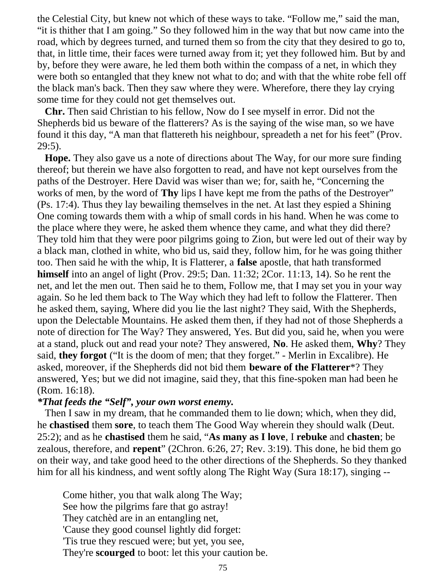the Celestial City, but knew not which of these ways to take. "Follow me," said the man, "it is thither that I am going." So they followed him in the way that but now came into the road, which by degrees turned, and turned them so from the city that they desired to go to, that, in little time, their faces were turned away from it; yet they followed him. But by and by, before they were aware, he led them both within the compass of a net, in which they were both so entangled that they knew not what to do; and with that the white robe fell off the black man's back. Then they saw where they were. Wherefore, there they lay crying some time for they could not get themselves out.

 **Chr.** Then said Christian to his fellow, Now do I see myself in error. Did not the Shepherds bid us beware of the flatterers? As is the saying of the wise man, so we have found it this day, "A man that flattereth his neighbour, spreadeth a net for his feet" (Prov. 29:5).

 **Hope.** They also gave us a note of directions about The Way, for our more sure finding thereof; but therein we have also forgotten to read, and have not kept ourselves from the paths of the Destroyer. Here David was wiser than we; for, saith he, "Concerning the works of men, by the word of **Thy** lips I have kept me from the paths of the Destroyer" (Ps. 17:4). Thus they lay bewailing themselves in the net. At last they espied a Shining One coming towards them with a whip of small cords in his hand. When he was come to the place where they were, he asked them whence they came, and what they did there? They told him that they were poor pilgrims going to Zion, but were led out of their way by a black man, clothed in white, who bid us, said they, follow him, for he was going thither too. Then said he with the whip, It is Flatterer, a **false** apostle, that hath transformed **himself** into an angel of light (Prov. 29:5; Dan. 11:32; 2Cor. 11:13, 14). So he rent the net, and let the men out. Then said he to them, Follow me, that I may set you in your way again. So he led them back to The Way which they had left to follow the Flatterer. Then he asked them, saying, Where did you lie the last night? They said, With the Shepherds, upon the Delectable Mountains. He asked them then, if they had not of those Shepherds a note of direction for The Way? They answered, Yes. But did you, said he, when you were at a stand, pluck out and read your note? They answered, **No**. He asked them, **Why**? They said, **they forgot** ("It is the doom of men; that they forget." - Merlin in Excalibre). He asked, moreover, if the Shepherds did not bid them **beware of the Flatterer**\*? They answered, Yes; but we did not imagine, said they, that this fine-spoken man had been he (Rom. 16:18).

## *\*That feeds the "Self", your own worst enemy.*

 Then I saw in my dream, that he commanded them to lie down; which, when they did, he **chastised** them **sore**, to teach them The Good Way wherein they should walk (Deut. 25:2); and as he **chastised** them he said, "**As many as I love**, I **rebuke** and **chasten**; be zealous, therefore, and **repent**" (2Chron. 6:26, 27; Rev. 3:19). This done, he bid them go on their way, and take good heed to the other directions of the Shepherds. So they thanked him for all his kindness, and went softly along The Right Way (Sura 18:17), singing --

 Come hither, you that walk along The Way; See how the pilgrims fare that go astray! They catchèd are in an entangling net, 'Cause they good counsel lightly did forget: 'Tis true they rescued were; but yet, you see, They're **scourged** to boot: let this your caution be.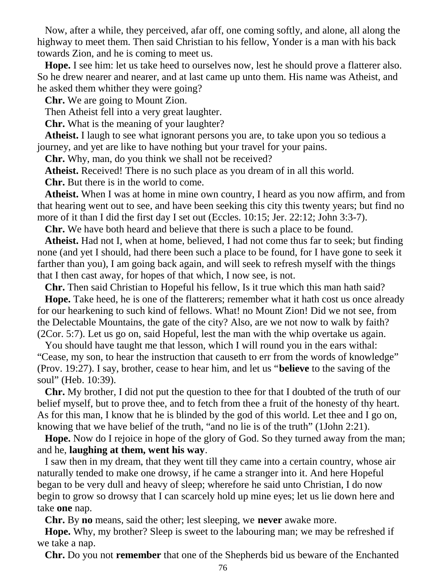Now, after a while, they perceived, afar off, one coming softly, and alone, all along the highway to meet them. Then said Christian to his fellow, Yonder is a man with his back towards Zion, and he is coming to meet us.

 **Hope.** I see him: let us take heed to ourselves now, lest he should prove a flatterer also. So he drew nearer and nearer, and at last came up unto them. His name was Atheist, and he asked them whither they were going?

**Chr.** We are going to Mount Zion.

Then Atheist fell into a very great laughter.

**Chr.** What is the meaning of your laughter?

 **Atheist.** I laugh to see what ignorant persons you are, to take upon you so tedious a journey, and yet are like to have nothing but your travel for your pains.

**Chr.** Why, man, do you think we shall not be received?

**Atheist.** Received! There is no such place as you dream of in all this world.

**Chr.** But there is in the world to come.

 **Atheist.** When I was at home in mine own country, I heard as you now affirm, and from that hearing went out to see, and have been seeking this city this twenty years; but find no more of it than I did the first day I set out (Eccles. 10:15; Jer. 22:12; John 3:3-7).

**Chr.** We have both heard and believe that there is such a place to be found.

 **Atheist.** Had not I, when at home, believed, I had not come thus far to seek; but finding none (and yet I should, had there been such a place to be found, for I have gone to seek it farther than you), I am going back again, and will seek to refresh myself with the things that I then cast away, for hopes of that which, I now see, is not.

**Chr.** Then said Christian to Hopeful his fellow, Is it true which this man hath said?

 **Hope.** Take heed, he is one of the flatterers; remember what it hath cost us once already for our hearkening to such kind of fellows. What! no Mount Zion! Did we not see, from the Delectable Mountains, the gate of the city? Also, are we not now to walk by faith? (2Cor. 5:7). Let us go on, said Hopeful, lest the man with the whip overtake us again.

 You should have taught me that lesson, which I will round you in the ears withal: "Cease, my son, to hear the instruction that causeth to err from the words of knowledge" (Prov. 19:27). I say, brother, cease to hear him, and let us "**believe** to the saving of the soul" (Heb. 10:39).

 **Chr.** My brother, I did not put the question to thee for that I doubted of the truth of our belief myself, but to prove thee, and to fetch from thee a fruit of the honesty of thy heart. As for this man, I know that he is blinded by the god of this world. Let thee and I go on, knowing that we have belief of the truth, "and no lie is of the truth" (1John 2:21).

 **Hope.** Now do I rejoice in hope of the glory of God. So they turned away from the man; and he, **laughing at them, went his way**.

 I saw then in my dream, that they went till they came into a certain country, whose air naturally tended to make one drowsy, if he came a stranger into it. And here Hopeful began to be very dull and heavy of sleep; wherefore he said unto Christian, I do now begin to grow so drowsy that I can scarcely hold up mine eyes; let us lie down here and take **one** nap.

**Chr.** By **no** means, said the other; lest sleeping, we **never** awake more.

 **Hope.** Why, my brother? Sleep is sweet to the labouring man; we may be refreshed if we take a nap.

**Chr.** Do you not **remember** that one of the Shepherds bid us beware of the Enchanted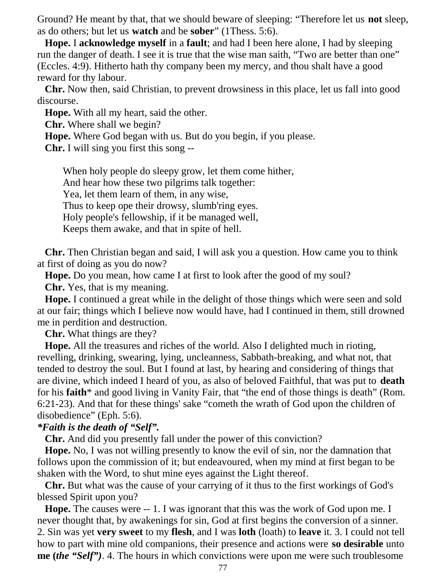Ground? He meant by that, that we should beware of sleeping: "Therefore let us **not** sleep, as do others; but let us **watch** and be **sober**" (1Thess. 5:6).

 **Hope.** I **acknowledge myself** in a **fault**; and had I been here alone, I had by sleeping run the danger of death. I see it is true that the wise man saith, "Two are better than one" (Eccles. 4:9). Hitherto hath thy company been my mercy, and thou shalt have a good reward for thy labour.

 **Chr.** Now then, said Christian, to prevent drowsiness in this place, let us fall into good discourse.

**Hope.** With all my heart, said the other.

**Chr.** Where shall we begin?

**Hope.** Where God began with us. But do you begin, if you please.

**Chr.** I will sing you first this song --

 When holy people do sleepy grow, let them come hither, And hear how these two pilgrims talk together: Yea, let them learn of them, in any wise, Thus to keep ope their drowsy, slumb'ring eyes. Holy people's fellowship, if it be managed well, Keeps them awake, and that in spite of hell.

 **Chr.** Then Christian began and said, I will ask you a question. How came you to think at first of doing as you do now?

**Hope.** Do you mean, how came I at first to look after the good of my soul?

**Chr.** Yes, that is my meaning.

 **Hope.** I continued a great while in the delight of those things which were seen and sold at our fair; things which I believe now would have, had I continued in them, still drowned me in perdition and destruction.

**Chr.** What things are they?

 **Hope.** All the treasures and riches of the world. Also I delighted much in rioting, revelling, drinking, swearing, lying, uncleanness, Sabbath-breaking, and what not, that tended to destroy the soul. But I found at last, by hearing and considering of things that are divine, which indeed I heard of you, as also of beloved Faithful, that was put to **death** for his **faith**\* and good living in Vanity Fair, that "the end of those things is death" (Rom. 6:21-23). And that for these things' sake "cometh the wrath of God upon the children of disobedience" (Eph. 5:6).

## *\*Faith is the death of "Self".*

**Chr.** And did you presently fall under the power of this conviction?

 **Hope.** No, I was not willing presently to know the evil of sin, nor the damnation that follows upon the commission of it; but endeavoured, when my mind at first began to be shaken with the Word, to shut mine eyes against the Light thereof.

 **Chr.** But what was the cause of your carrying of it thus to the first workings of God's blessed Spirit upon you?

 **Hope.** The causes were -- 1. I was ignorant that this was the work of God upon me. I never thought that, by awakenings for sin, God at first begins the conversion of a sinner. 2. Sin was yet **very sweet** to my **flesh**, and I was **loth** (loath) to **leave** it. 3. I could not tell how to part with mine old companions, their presence and actions were **so desirable** unto **me (***the "Self")*. 4. The hours in which convictions were upon me were such troublesome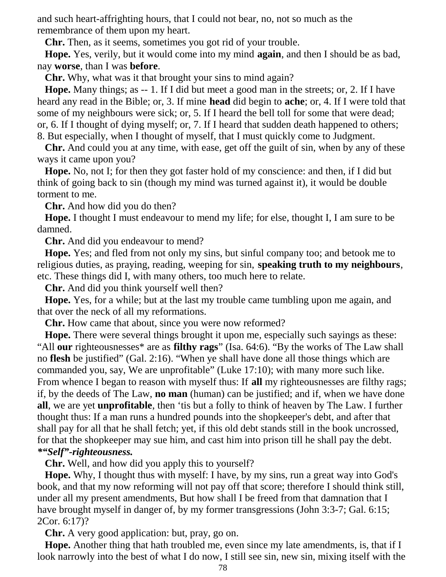and such heart-affrighting hours, that I could not bear, no, not so much as the remembrance of them upon my heart.

**Chr.** Then, as it seems, sometimes you got rid of your trouble.

 **Hope.** Yes, verily, but it would come into my mind **again**, and then I should be as bad, nay **worse**, than I was **before**.

**Chr.** Why, what was it that brought your sins to mind again?

 **Hope.** Many things; as -- 1. If I did but meet a good man in the streets; or, 2. If I have heard any read in the Bible; or, 3. If mine **head** did begin to **ache**; or, 4. If I were told that some of my neighbours were sick; or, 5. If I heard the bell toll for some that were dead; or, 6. If I thought of dying myself; or, 7. If I heard that sudden death happened to others; 8. But especially, when I thought of myself, that I must quickly come to Judgment.

 **Chr.** And could you at any time, with ease, get off the guilt of sin, when by any of these ways it came upon you?

 **Hope.** No, not I; for then they got faster hold of my conscience: and then, if I did but think of going back to sin (though my mind was turned against it), it would be double torment to me.

**Chr.** And how did you do then?

 **Hope.** I thought I must endeavour to mend my life; for else, thought I, I am sure to be damned.

**Chr.** And did you endeavour to mend?

 **Hope.** Yes; and fled from not only my sins, but sinful company too; and betook me to religious duties, as praying, reading, weeping for sin, **speaking truth to my neighbours**, etc. These things did I, with many others, too much here to relate.

**Chr.** And did you think yourself well then?

 **Hope.** Yes, for a while; but at the last my trouble came tumbling upon me again, and that over the neck of all my reformations.

**Chr.** How came that about, since you were now reformed?

 **Hope.** There were several things brought it upon me, especially such sayings as these: "All **our** righteousnesses\* are as **filthy rags**" (Isa. 64:6). "By the works of The Law shall no **flesh** be justified" (Gal. 2:16). "When ye shall have done all those things which are commanded you, say, We are unprofitable" (Luke 17:10); with many more such like. From whence I began to reason with myself thus: If **all** my righteousnesses are filthy rags; if, by the deeds of The Law, **no man** (human) can be justified; and if, when we have done **all**, we are yet **unprofitable**, then 'tis but a folly to think of heaven by The Law. I further thought thus: If a man runs a hundred pounds into the shopkeeper's debt, and after that shall pay for all that he shall fetch; yet, if this old debt stands still in the book uncrossed, for that the shopkeeper may sue him, and cast him into prison till he shall pay the debt. *\*"Self"-righteousness.*

**Chr.** Well, and how did you apply this to yourself?

 **Hope.** Why, I thought thus with myself: I have, by my sins, run a great way into God's book, and that my now reforming will not pay off that score; therefore I should think still, under all my present amendments, But how shall I be freed from that damnation that I have brought myself in danger of, by my former transgressions (John 3:3-7; Gal. 6:15; 2Cor. 6:17)?

**Chr.** A very good application: but, pray, go on.

 **Hope.** Another thing that hath troubled me, even since my late amendments, is, that if I look narrowly into the best of what I do now, I still see sin, new sin, mixing itself with the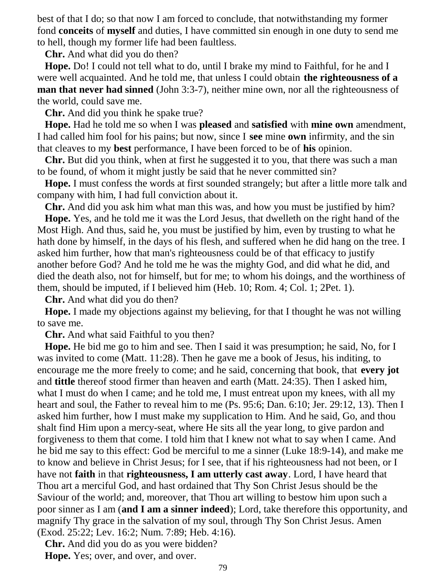best of that I do; so that now I am forced to conclude, that notwithstanding my former fond **conceits** of **myself** and duties, I have committed sin enough in one duty to send me to hell, though my former life had been faultless.

**Chr.** And what did you do then?

 **Hope.** Do! I could not tell what to do, until I brake my mind to Faithful, for he and I were well acquainted. And he told me, that unless I could obtain **the righteousness of a man that never had sinned** (John 3:3-7), neither mine own, nor all the righteousness of the world, could save me.

**Chr.** And did you think he spake true?

 **Hope.** Had he told me so when I was **pleased** and **satisfied** with **mine own** amendment, I had called him fool for his pains; but now, since I **see** mine **own** infirmity, and the sin that cleaves to my **best** performance, I have been forced to be of **his** opinion.

 **Chr.** But did you think, when at first he suggested it to you, that there was such a man to be found, of whom it might justly be said that he never committed sin?

 **Hope.** I must confess the words at first sounded strangely; but after a little more talk and company with him, I had full conviction about it.

**Chr.** And did you ask him what man this was, and how you must be justified by him?

 **Hope.** Yes, and he told me it was the Lord Jesus, that dwelleth on the right hand of the Most High. And thus, said he, you must be justified by him, even by trusting to what he hath done by himself, in the days of his flesh, and suffered when he did hang on the tree. I asked him further, how that man's righteousness could be of that efficacy to justify another before God? And he told me he was the mighty God, and did what he did, and died the death also, not for himself, but for me; to whom his doings, and the worthiness of them, should be imputed, if I believed him (Heb. 10; Rom. 4; Col. 1; 2Pet. 1).

**Chr.** And what did you do then?

 **Hope.** I made my objections against my believing, for that I thought he was not willing to save me.

**Chr.** And what said Faithful to you then?

 **Hope.** He bid me go to him and see. Then I said it was presumption; he said, No, for I was invited to come (Matt. 11:28). Then he gave me a book of Jesus, his inditing, to encourage me the more freely to come; and he said, concerning that book, that **every jot** and **tittle** thereof stood firmer than heaven and earth (Matt. 24:35). Then I asked him, what I must do when I came; and he told me, I must entreat upon my knees, with all my heart and soul, the Father to reveal him to me (Ps. 95:6; Dan. 6:10; Jer. 29:12, 13). Then I asked him further, how I must make my supplication to Him. And he said, Go, and thou shalt find Him upon a mercy-seat, where He sits all the year long, to give pardon and forgiveness to them that come. I told him that I knew not what to say when I came. And he bid me say to this effect: God be merciful to me a sinner (Luke 18:9-14), and make me to know and believe in Christ Jesus; for I see, that if his righteousness had not been, or I have not **faith** in that **righteousness, I am utterly cast away**. Lord, I have heard that Thou art a merciful God, and hast ordained that Thy Son Christ Jesus should be the Saviour of the world; and, moreover, that Thou art willing to bestow him upon such a poor sinner as I am (**and I am a sinner indeed**); Lord, take therefore this opportunity, and magnify Thy grace in the salvation of my soul, through Thy Son Christ Jesus. Amen (Exod. 25:22; Lev. 16:2; Num. 7:89; Heb. 4:16).

 **Chr.** And did you do as you were bidden? **Hope.** Yes; over, and over, and over.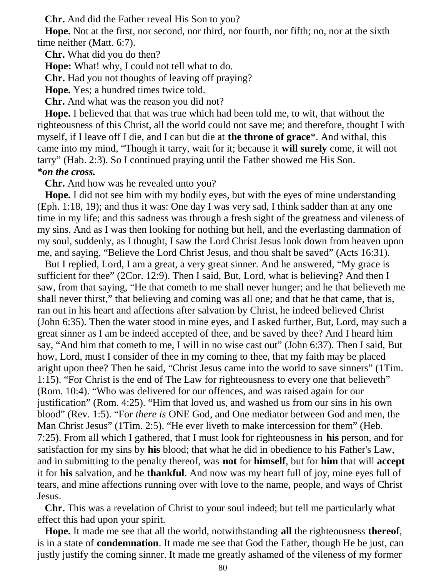**Chr.** And did the Father reveal His Son to you?

 **Hope.** Not at the first, nor second, nor third, nor fourth, nor fifth; no, nor at the sixth time neither (Matt. 6:7).

**Chr.** What did you do then?

**Hope:** What! why, I could not tell what to do.

**Chr.** Had you not thoughts of leaving off praying?

**Hope.** Yes; a hundred times twice told.

**Chr.** And what was the reason you did not?

 **Hope.** I believed that that was true which had been told me, to wit, that without the righteousness of this Christ, all the world could not save me; and therefore, thought I with myself, if I leave off I die, and I can but die at **the throne of grace**\*. And withal, this came into my mind, "Though it tarry, wait for it; because it **will surely** come, it will not tarry" (Hab. 2:3). So I continued praying until the Father showed me His Son. *\*on the cross.*

**Chr.** And how was he revealed unto you?

 **Hope.** I did not see him with my bodily eyes, but with the eyes of mine understanding (Eph. 1:18, 19); and thus it was: One day I was very sad, I think sadder than at any one time in my life; and this sadness was through a fresh sight of the greatness and vileness of my sins. And as I was then looking for nothing but hell, and the everlasting damnation of my soul, suddenly, as I thought, I saw the Lord Christ Jesus look down from heaven upon me, and saying, "Believe the Lord Christ Jesus, and thou shalt be saved" (Acts 16:31).

 But I replied, Lord, I am a great, a very great sinner. And he answered, "My grace is sufficient for thee" (2Cor. 12:9). Then I said, But, Lord, what is believing? And then I saw, from that saying, "He that cometh to me shall never hunger; and he that believeth me shall never thirst," that believing and coming was all one; and that he that came, that is, ran out in his heart and affections after salvation by Christ, he indeed believed Christ (John 6:35). Then the water stood in mine eyes, and I asked further, But, Lord, may such a great sinner as I am be indeed accepted of thee, and be saved by thee? And I heard him say, "And him that cometh to me, I will in no wise cast out" (John 6:37). Then I said, But how, Lord, must I consider of thee in my coming to thee, that my faith may be placed aright upon thee? Then he said, "Christ Jesus came into the world to save sinners" (1Tim. 1:15). "For Christ is the end of The Law for righteousness to every one that believeth" (Rom. 10:4). "Who was delivered for our offences, and was raised again for our justification" (Rom. 4:25). "Him that loved us, and washed us from our sins in his own blood" (Rev. 1:5). "For *there is* ONE God, and One mediator between God and men, the Man Christ Jesus" (1Tim. 2:5). "He ever liveth to make intercession for them" (Heb. 7:25). From all which I gathered, that I must look for righteousness in **his** person, and for satisfaction for my sins by **his** blood; that what he did in obedience to his Father's Law, and in submitting to the penalty thereof, was **not** for **himself**, but for **him** that will **accept** it for **his** salvation, and be **thankful**. And now was my heart full of joy, mine eyes full of tears, and mine affections running over with love to the name, people, and ways of Christ Jesus.

 **Chr.** This was a revelation of Christ to your soul indeed; but tell me particularly what effect this had upon your spirit.

 **Hope.** It made me see that all the world, notwithstanding **all** the righteousness **thereof**, is in a state of **condemnation**. It made me see that God the Father, though He be just, can justly justify the coming sinner. It made me greatly ashamed of the vileness of my former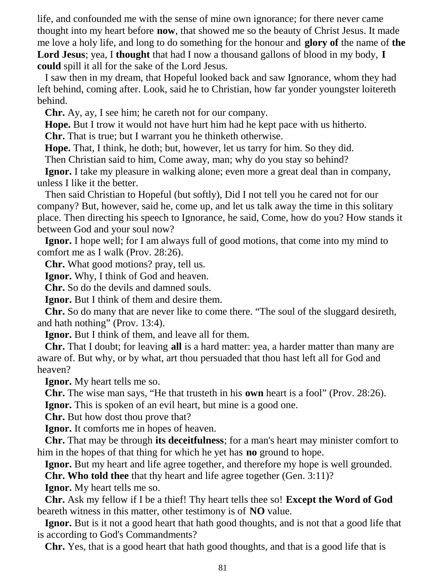life, and confounded me with the sense of mine own ignorance; for there never came thought into my heart before **now**, that showed me so the beauty of Christ Jesus. It made me love a holy life, and long to do something for the honour and **glory of** the name of **the Lord Jesus**; yea, I **thought** that had I now a thousand gallons of blood in my body, **I could** spill it all for the sake of the Lord Jesus.

 I saw then in my dream, that Hopeful looked back and saw Ignorance, whom they had left behind, coming after. Look, said he to Christian, how far yonder youngster loitereth behind.

**Chr.** Ay, ay, I see him; he careth not for our company.

**Hope.** But I trow it would not have hurt him had he kept pace with us hitherto.

**Chr.** That is true; but I warrant you he thinketh otherwise.

**Hope.** That, I think, he doth; but, however, let us tarry for him. So they did.

Then Christian said to him, Come away, man; why do you stay so behind?

 **Ignor.** I take my pleasure in walking alone; even more a great deal than in company, unless I like it the better.

 Then said Christian to Hopeful (but softly), Did I not tell you he cared not for our company? But, however, said he, come up, and let us talk away the time in this solitary place. Then directing his speech to Ignorance, he said, Come, how do you? How stands it between God and your soul now?

 **Ignor.** I hope well; for I am always full of good motions, that come into my mind to comfort me as I walk (Prov. 28:26).

**Chr.** What good motions? pray, tell us.

**Ignor.** Why, I think of God and heaven.

**Chr.** So do the devils and damned souls.

**Ignor.** But I think of them and desire them.

 **Chr.** So do many that are never like to come there. "The soul of the sluggard desireth, and hath nothing" (Prov. 13:4).

**Ignor.** But I think of them, and leave all for them.

 **Chr.** That I doubt; for leaving **all** is a hard matter: yea, a harder matter than many are aware of. But why, or by what, art thou persuaded that thou hast left all for God and heaven?

**Ignor.** My heart tells me so.

**Chr.** The wise man says, "He that trusteth in his **own** heart is a fool" (Prov. 28:26).

**Ignor.** This is spoken of an evil heart, but mine is a good one.

**Chr.** But how dost thou prove that?

**Ignor.** It comforts me in hopes of heaven.

 **Chr.** That may be through **its deceitfulness**; for a man's heart may minister comfort to him in the hopes of that thing for which he yet has **no** ground to hope.

**Ignor.** But my heart and life agree together, and therefore my hope is well grounded.

**Chr. Who told thee** that thy heart and life agree together (Gen. 3:11)?

**Ignor.** My heart tells me so.

 **Chr.** Ask my fellow if I be a thief! Thy heart tells thee so! **Except the Word of God** beareth witness in this matter, other testimony is of **NO** value.

 **Ignor.** But is it not a good heart that hath good thoughts, and is not that a good life that is according to God's Commandments?

**Chr.** Yes, that is a good heart that hath good thoughts, and that is a good life that is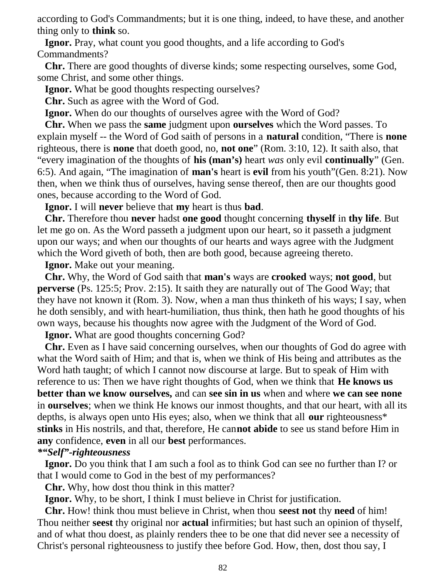according to God's Commandments; but it is one thing, indeed, to have these, and another thing only to **think** so.

 **Ignor.** Pray, what count you good thoughts, and a life according to God's Commandments?

 **Chr.** There are good thoughts of diverse kinds; some respecting ourselves, some God, some Christ, and some other things.

**Ignor.** What be good thoughts respecting ourselves?

**Chr.** Such as agree with the Word of God.

**Ignor.** When do our thoughts of ourselves agree with the Word of God?

 **Chr.** When we pass the **same** judgment upon **ourselves** which the Word passes. To explain myself -- the Word of God saith of persons in a **natural** condition, "There is **none** righteous, there is **none** that doeth good, no, **not one**" (Rom. 3:10, 12). It saith also, that "every imagination of the thoughts of **his (man's)** heart *was* only evil **continually**" (Gen. 6:5). And again, "The imagination of **man's** heart is **evil** from his youth"(Gen. 8:21). Now then, when we think thus of ourselves, having sense thereof, then are our thoughts good ones, because according to the Word of God.

**Ignor.** I will **never** believe that **my** heart is thus **bad**.

 **Chr.** Therefore thou **never** hadst **one good** thought concerning **thyself** in **thy life**. But let me go on. As the Word passeth a judgment upon our heart, so it passeth a judgment upon our ways; and when our thoughts of our hearts and ways agree with the Judgment which the Word giveth of both, then are both good, because agreeing thereto.

**Ignor.** Make out your meaning.

 **Chr.** Why, the Word of God saith that **man's** ways are **crooked** ways; **not good**, but **perverse** (Ps. 125:5; Prov. 2:15). It saith they are naturally out of The Good Way; that they have not known it (Rom. 3). Now, when a man thus thinketh of his ways; I say, when he doth sensibly, and with heart-humiliation, thus think, then hath he good thoughts of his own ways, because his thoughts now agree with the Judgment of the Word of God.

**Ignor.** What are good thoughts concerning God?

 **Chr.** Even as I have said concerning ourselves, when our thoughts of God do agree with what the Word saith of Him; and that is, when we think of His being and attributes as the Word hath taught; of which I cannot now discourse at large. But to speak of Him with reference to us: Then we have right thoughts of God, when we think that **He knows us better than we know ourselves,** and can **see sin in us** when and where **we can see none** in **ourselves**; when we think He knows our inmost thoughts, and that our heart, with all its depths, is always open unto His eyes; also, when we think that all **our** righteousness\* **stinks** in His nostrils, and that, therefore, He can**not abide** to see us stand before Him in **any** confidence, **even** in all our **best** performances.

## *\*"Self"-righteousness*

 **Ignor.** Do you think that I am such a fool as to think God can see no further than I? or that I would come to God in the best of my performances?

**Chr.** Why, how dost thou think in this matter?

**Ignor.** Why, to be short, I think I must believe in Christ for justification.

 **Chr.** How! think thou must believe in Christ, when thou **seest not** thy **need** of him! Thou neither **seest** thy original nor **actual** infirmities; but hast such an opinion of thyself, and of what thou doest, as plainly renders thee to be one that did never see a necessity of Christ's personal righteousness to justify thee before God. How, then, dost thou say, I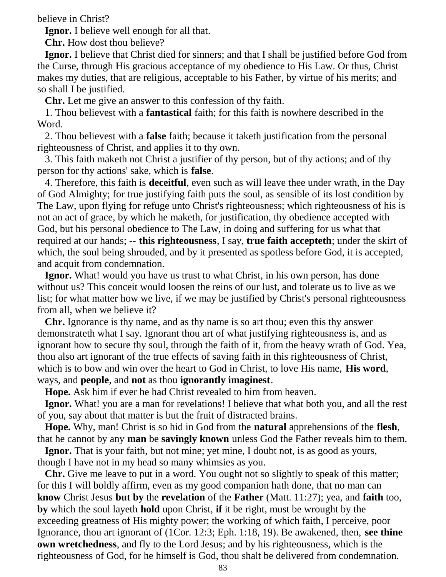believe in Christ?

**Ignor.** I believe well enough for all that.

**Chr.** How dost thou believe?

 **Ignor.** I believe that Christ died for sinners; and that I shall be justified before God from the Curse, through His gracious acceptance of my obedience to His Law. Or thus, Christ makes my duties, that are religious, acceptable to his Father, by virtue of his merits; and so shall I be justified.

**Chr.** Let me give an answer to this confession of thy faith.

 1. Thou believest with a **fantastical** faith; for this faith is nowhere described in the Word.

 2. Thou believest with a **false** faith; because it taketh justification from the personal righteousness of Christ, and applies it to thy own.

 3. This faith maketh not Christ a justifier of thy person, but of thy actions; and of thy person for thy actions' sake, which is **false**.

 4. Therefore, this faith is **deceitful**, even such as will leave thee under wrath, in the Day of God Almighty; for true justifying faith puts the soul, as sensible of its lost condition by The Law, upon flying for refuge unto Christ's righteousness; which righteousness of his is not an act of grace, by which he maketh, for justification, thy obedience accepted with God, but his personal obedience to The Law, in doing and suffering for us what that required at our hands; -- **this righteousness**, I say, **true faith accepteth**; under the skirt of which, the soul being shrouded, and by it presented as spotless before God, it is accepted, and acquit from condemnation.

**Ignor.** What! would you have us trust to what Christ, in his own person, has done without us? This conceit would loosen the reins of our lust, and tolerate us to live as we list; for what matter how we live, if we may be justified by Christ's personal righteousness from all, when we believe it?

 **Chr.** Ignorance is thy name, and as thy name is so art thou; even this thy answer demonstrateth what I say. Ignorant thou art of what justifying righteousness is, and as ignorant how to secure thy soul, through the faith of it, from the heavy wrath of God. Yea, thou also art ignorant of the true effects of saving faith in this righteousness of Christ, which is to bow and win over the heart to God in Christ, to love His name, **His word**, ways, and **people**, and **not** as thou **ignorantly imaginest**.

**Hope.** Ask him if ever he had Christ revealed to him from heaven.

 **Ignor.** What! you are a man for revelations! I believe that what both you, and all the rest of you, say about that matter is but the fruit of distracted brains.

 **Hope.** Why, man! Christ is so hid in God from the **natural** apprehensions of the **flesh**, that he cannot by any **man** be **savingly known** unless God the Father reveals him to them.

 **Ignor.** That is your faith, but not mine; yet mine, I doubt not, is as good as yours, though I have not in my head so many whimsies as you.

 **Chr.** Give me leave to put in a word. You ought not so slightly to speak of this matter; for this I will boldly affirm, even as my good companion hath done, that no man can **know** Christ Jesus **but by** the **revelation** of the **Father** (Matt. 11:27); yea, and **faith** too, **by** which the soul layeth **hold** upon Christ, **if** it be right, must be wrought by the exceeding greatness of His mighty power; the working of which faith, I perceive, poor Ignorance, thou art ignorant of (1Cor. 12:3; Eph. 1:18, 19). Be awakened, then, **see thine own wretchedness**, and fly to the Lord Jesus; and by his righteousness, which is the righteousness of God, for he himself is God, thou shalt be delivered from condemnation.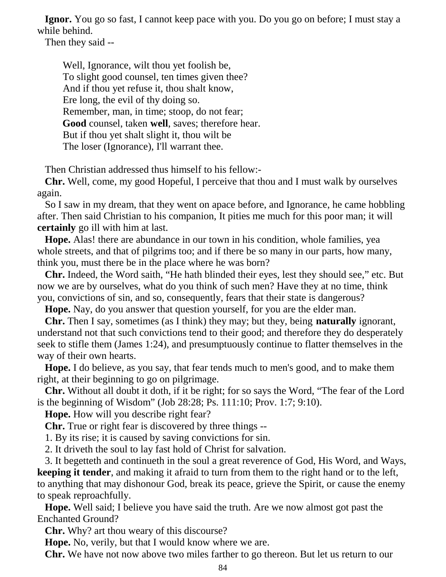**Ignor.** You go so fast, I cannot keep pace with you. Do you go on before; I must stay a while behind.

Then they said --

 Well, Ignorance, wilt thou yet foolish be, To slight good counsel, ten times given thee? And if thou yet refuse it, thou shalt know, Ere long, the evil of thy doing so. Remember, man, in time; stoop, do not fear; **Good** counsel, taken **well**, saves; therefore hear. But if thou yet shalt slight it, thou wilt be The loser (Ignorance), I'll warrant thee.

Then Christian addressed thus himself to his fellow:-

 **Chr.** Well, come, my good Hopeful, I perceive that thou and I must walk by ourselves again.

 So I saw in my dream, that they went on apace before, and Ignorance, he came hobbling after. Then said Christian to his companion, It pities me much for this poor man; it will **certainly** go ill with him at last.

 **Hope.** Alas! there are abundance in our town in his condition, whole families, yea whole streets, and that of pilgrims too; and if there be so many in our parts, how many, think you, must there be in the place where he was born?

 **Chr.** Indeed, the Word saith, "He hath blinded their eyes, lest they should see," etc. But now we are by ourselves, what do you think of such men? Have they at no time, think you, convictions of sin, and so, consequently, fears that their state is dangerous?

**Hope.** Nay, do you answer that question yourself, for you are the elder man.

 **Chr.** Then I say, sometimes (as I think) they may; but they, being **naturally** ignorant, understand not that such convictions tend to their good; and therefore they do desperately seek to stifle them (James 1:24), and presumptuously continue to flatter themselves in the way of their own hearts.

 **Hope.** I do believe, as you say, that fear tends much to men's good, and to make them right, at their beginning to go on pilgrimage.

 **Chr.** Without all doubt it doth, if it be right; for so says the Word, "The fear of the Lord is the beginning of Wisdom" (Job 28:28; Ps. 111:10; Prov. 1:7; 9:10).

**Hope.** How will you describe right fear?

**Chr.** True or right fear is discovered by three things --

1. By its rise; it is caused by saving convictions for sin.

2. It driveth the soul to lay fast hold of Christ for salvation.

 3. It begetteth and continueth in the soul a great reverence of God, His Word, and Ways, **keeping it tender**, and making it afraid to turn from them to the right hand or to the left, to anything that may dishonour God, break its peace, grieve the Spirit, or cause the enemy to speak reproachfully.

 **Hope.** Well said; I believe you have said the truth. Are we now almost got past the Enchanted Ground?

**Chr.** Why? art thou weary of this discourse?

**Hope.** No, verily, but that I would know where we are.

**Chr.** We have not now above two miles farther to go thereon. But let us return to our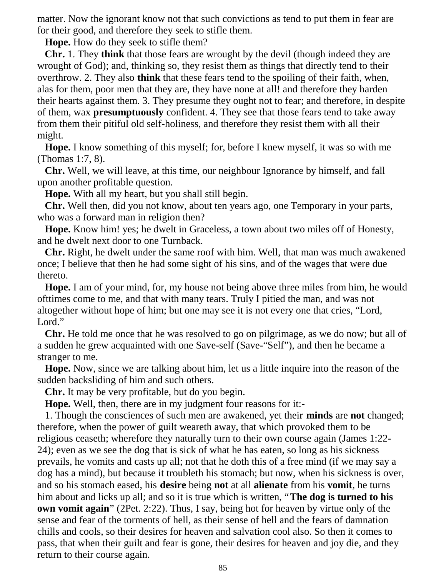matter. Now the ignorant know not that such convictions as tend to put them in fear are for their good, and therefore they seek to stifle them.

**Hope.** How do they seek to stifle them?

 **Chr.** 1. They **think** that those fears are wrought by the devil (though indeed they are wrought of God); and, thinking so, they resist them as things that directly tend to their overthrow. 2. They also **think** that these fears tend to the spoiling of their faith, when, alas for them, poor men that they are, they have none at all! and therefore they harden their hearts against them. 3. They presume they ought not to fear; and therefore, in despite of them, wax **presumptuously** confident. 4. They see that those fears tend to take away from them their pitiful old self-holiness, and therefore they resist them with all their might.

 **Hope.** I know something of this myself; for, before I knew myself, it was so with me (Thomas 1:7, 8).

 **Chr.** Well, we will leave, at this time, our neighbour Ignorance by himself, and fall upon another profitable question.

**Hope.** With all my heart, but you shall still begin.

 **Chr.** Well then, did you not know, about ten years ago, one Temporary in your parts, who was a forward man in religion then?

 **Hope.** Know him! yes; he dwelt in Graceless, a town about two miles off of Honesty, and he dwelt next door to one Turnback.

 **Chr.** Right, he dwelt under the same roof with him. Well, that man was much awakened once; I believe that then he had some sight of his sins, and of the wages that were due thereto.

 **Hope.** I am of your mind, for, my house not being above three miles from him, he would ofttimes come to me, and that with many tears. Truly I pitied the man, and was not altogether without hope of him; but one may see it is not every one that cries, "Lord, Lord."

 **Chr.** He told me once that he was resolved to go on pilgrimage, as we do now; but all of a sudden he grew acquainted with one Save-self (Save-"Self"), and then he became a stranger to me.

 **Hope.** Now, since we are talking about him, let us a little inquire into the reason of the sudden backsliding of him and such others.

**Chr.** It may be very profitable, but do you begin.

**Hope.** Well, then, there are in my judgment four reasons for it:-

 1. Though the consciences of such men are awakened, yet their **minds** are **not** changed; therefore, when the power of guilt weareth away, that which provoked them to be religious ceaseth; wherefore they naturally turn to their own course again (James 1:22- 24); even as we see the dog that is sick of what he has eaten, so long as his sickness prevails, he vomits and casts up all; not that he doth this of a free mind (if we may say a dog has a mind), but because it troubleth his stomach; but now, when his sickness is over, and so his stomach eased, his **desire** being **not** at all **alienate** from his **vomit**, he turns him about and licks up all; and so it is true which is written, "**The dog is turned to his own vomit again**" (2Pet. 2:22). Thus, I say, being hot for heaven by virtue only of the sense and fear of the torments of hell, as their sense of hell and the fears of damnation chills and cools, so their desires for heaven and salvation cool also. So then it comes to pass, that when their guilt and fear is gone, their desires for heaven and joy die, and they return to their course again.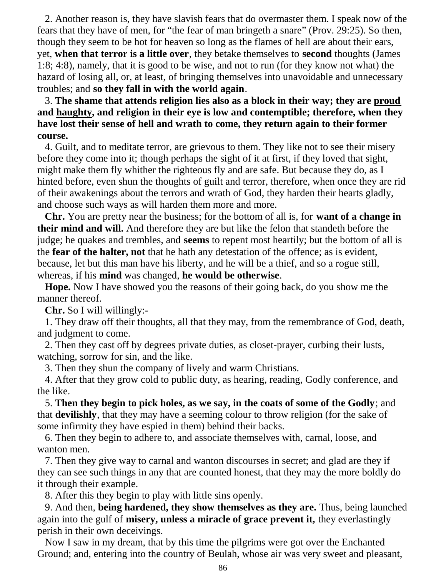2. Another reason is, they have slavish fears that do overmaster them. I speak now of the fears that they have of men, for "the fear of man bringeth a snare" (Prov. 29:25). So then, though they seem to be hot for heaven so long as the flames of hell are about their ears, yet, **when that terror is a little over**, they betake themselves to **second** thoughts (James 1:8; 4:8), namely, that it is good to be wise, and not to run (for they know not what) the hazard of losing all, or, at least, of bringing themselves into unavoidable and unnecessary troubles; and **so they fall in with the world again**.

 3. **The shame that attends religion lies also as a block in their way; they are proud and haughty, and religion in their eye is low and contemptible; therefore, when they have lost their sense of hell and wrath to come, they return again to their former course.**

 4. Guilt, and to meditate terror, are grievous to them. They like not to see their misery before they come into it; though perhaps the sight of it at first, if they loved that sight, might make them fly whither the righteous fly and are safe. But because they do, as I hinted before, even shun the thoughts of guilt and terror, therefore, when once they are rid of their awakenings about the terrors and wrath of God, they harden their hearts gladly, and choose such ways as will harden them more and more.

 **Chr.** You are pretty near the business; for the bottom of all is, for **want of a change in their mind and will.** And therefore they are but like the felon that standeth before the judge; he quakes and trembles, and **seems** to repent most heartily; but the bottom of all is the **fear of the halter, not** that he hath any detestation of the offence; as is evident, because, let but this man have his liberty, and he will be a thief, and so a rogue still, whereas, if his **mind** was changed, **he would be otherwise**.

 **Hope.** Now I have showed you the reasons of their going back, do you show me the manner thereof.

**Chr.** So I will willingly:-

 1. They draw off their thoughts, all that they may, from the remembrance of God, death, and judgment to come.

 2. Then they cast off by degrees private duties, as closet-prayer, curbing their lusts, watching, sorrow for sin, and the like.

3. Then they shun the company of lively and warm Christians.

 4. After that they grow cold to public duty, as hearing, reading, Godly conference, and the like.

 5. **Then they begin to pick holes, as we say, in the coats of some of the Godly**; and that **devilishly**, that they may have a seeming colour to throw religion (for the sake of some infirmity they have espied in them) behind their backs.

 6. Then they begin to adhere to, and associate themselves with, carnal, loose, and wanton men.

 7. Then they give way to carnal and wanton discourses in secret; and glad are they if they can see such things in any that are counted honest, that they may the more boldly do it through their example.

8. After this they begin to play with little sins openly.

 9. And then, **being hardened, they show themselves as they are.** Thus, being launched again into the gulf of **misery, unless a miracle of grace prevent it,** they everlastingly perish in their own deceivings.

 Now I saw in my dream, that by this time the pilgrims were got over the Enchanted Ground; and, entering into the country of Beulah, whose air was very sweet and pleasant,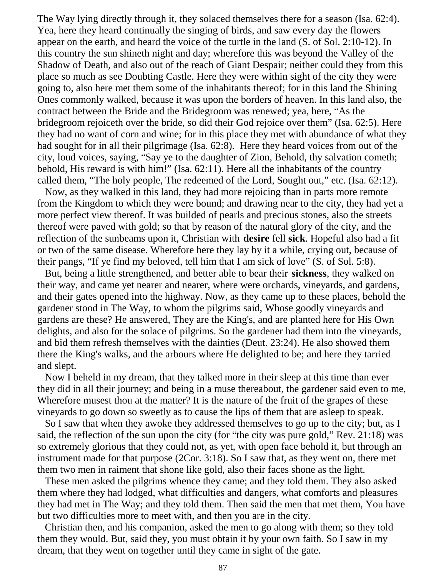The Way lying directly through it, they solaced themselves there for a season (Isa. 62:4). Yea, here they heard continually the singing of birds, and saw every day the flowers appear on the earth, and heard the voice of the turtle in the land (S. of Sol. 2:10-12). In this country the sun shineth night and day; wherefore this was beyond the Valley of the Shadow of Death, and also out of the reach of Giant Despair; neither could they from this place so much as see Doubting Castle. Here they were within sight of the city they were going to, also here met them some of the inhabitants thereof; for in this land the Shining Ones commonly walked, because it was upon the borders of heaven. In this land also, the contract between the Bride and the Bridegroom was renewed; yea, here, "As the bridegroom rejoiceth over the bride, so did their God rejoice over them" (Isa. 62:5). Here they had no want of corn and wine; for in this place they met with abundance of what they had sought for in all their pilgrimage (Isa. 62:8). Here they heard voices from out of the city, loud voices, saying, "Say ye to the daughter of Zion, Behold, thy salvation cometh; behold, His reward is with him!" (Isa. 62:11). Here all the inhabitants of the country called them, "The holy people, The redeemed of the Lord, Sought out," etc. (Isa. 62:12).

 Now, as they walked in this land, they had more rejoicing than in parts more remote from the Kingdom to which they were bound; and drawing near to the city, they had yet a more perfect view thereof. It was builded of pearls and precious stones, also the streets thereof were paved with gold; so that by reason of the natural glory of the city, and the reflection of the sunbeams upon it, Christian with **desire** fell **sick**. Hopeful also had a fit or two of the same disease. Wherefore here they lay by it a while, crying out, because of their pangs, "If ye find my beloved, tell him that I am sick of love" (S. of Sol. 5:8).

 But, being a little strengthened, and better able to bear their **sickness**, they walked on their way, and came yet nearer and nearer, where were orchards, vineyards, and gardens, and their gates opened into the highway. Now, as they came up to these places, behold the gardener stood in The Way, to whom the pilgrims said, Whose goodly vineyards and gardens are these? He answered, They are the King's, and are planted here for His Own delights, and also for the solace of pilgrims. So the gardener had them into the vineyards, and bid them refresh themselves with the dainties (Deut. 23:24). He also showed them there the King's walks, and the arbours where He delighted to be; and here they tarried and slept.

 Now I beheld in my dream, that they talked more in their sleep at this time than ever they did in all their journey; and being in a muse thereabout, the gardener said even to me, Wherefore musest thou at the matter? It is the nature of the fruit of the grapes of these vineyards to go down so sweetly as to cause the lips of them that are asleep to speak.

 So I saw that when they awoke they addressed themselves to go up to the city; but, as I said, the reflection of the sun upon the city (for "the city was pure gold," Rev. 21:18) was so extremely glorious that they could not, as yet, with open face behold it, but through an instrument made for that purpose (2Cor. 3:18). So I saw that, as they went on, there met them two men in raiment that shone like gold, also their faces shone as the light.

 These men asked the pilgrims whence they came; and they told them. They also asked them where they had lodged, what difficulties and dangers, what comforts and pleasures they had met in The Way; and they told them. Then said the men that met them, You have but two difficulties more to meet with, and then you are in the city.

 Christian then, and his companion, asked the men to go along with them; so they told them they would. But, said they, you must obtain it by your own faith. So I saw in my dream, that they went on together until they came in sight of the gate.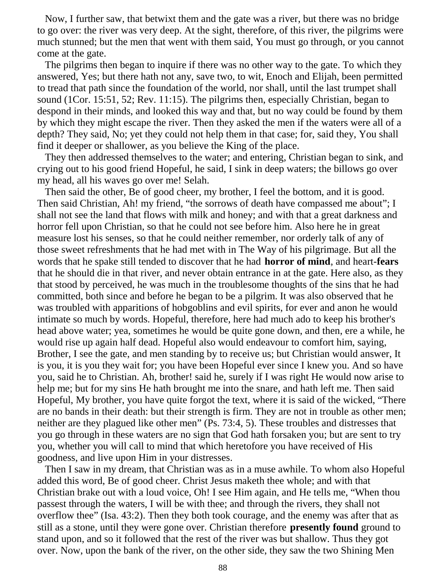Now, I further saw, that betwixt them and the gate was a river, but there was no bridge to go over: the river was very deep. At the sight, therefore, of this river, the pilgrims were much stunned; but the men that went with them said, You must go through, or you cannot come at the gate.

 The pilgrims then began to inquire if there was no other way to the gate. To which they answered, Yes; but there hath not any, save two, to wit, Enoch and Elijah, been permitted to tread that path since the foundation of the world, nor shall, until the last trumpet shall sound (1Cor. 15:51, 52; Rev. 11:15). The pilgrims then, especially Christian, began to despond in their minds, and looked this way and that, but no way could be found by them by which they might escape the river. Then they asked the men if the waters were all of a depth? They said, No; yet they could not help them in that case; for, said they, You shall find it deeper or shallower, as you believe the King of the place.

 They then addressed themselves to the water; and entering, Christian began to sink, and crying out to his good friend Hopeful, he said, I sink in deep waters; the billows go over my head, all his waves go over me! Selah.

 Then said the other, Be of good cheer, my brother, I feel the bottom, and it is good. Then said Christian, Ah! my friend, "the sorrows of death have compassed me about"; I shall not see the land that flows with milk and honey; and with that a great darkness and horror fell upon Christian, so that he could not see before him. Also here he in great measure lost his senses, so that he could neither remember, nor orderly talk of any of those sweet refreshments that he had met with in The Way of his pilgrimage. But all the words that he spake still tended to discover that he had **horror of mind**, and heart-**fears** that he should die in that river, and never obtain entrance in at the gate. Here also, as they that stood by perceived, he was much in the troublesome thoughts of the sins that he had committed, both since and before he began to be a pilgrim. It was also observed that he was troubled with apparitions of hobgoblins and evil spirits, for ever and anon he would intimate so much by words. Hopeful, therefore, here had much ado to keep his brother's head above water; yea, sometimes he would be quite gone down, and then, ere a while, he would rise up again half dead. Hopeful also would endeavour to comfort him, saying, Brother, I see the gate, and men standing by to receive us; but Christian would answer, It is you, it is you they wait for; you have been Hopeful ever since I knew you. And so have you, said he to Christian. Ah, brother! said he, surely if I was right He would now arise to help me; but for my sins He hath brought me into the snare, and hath left me. Then said Hopeful, My brother, you have quite forgot the text, where it is said of the wicked, "There are no bands in their death: but their strength is firm. They are not in trouble as other men; neither are they plagued like other men" (Ps. 73:4, 5). These troubles and distresses that you go through in these waters are no sign that God hath forsaken you; but are sent to try you, whether you will call to mind that which heretofore you have received of His goodness, and live upon Him in your distresses.

 Then I saw in my dream, that Christian was as in a muse awhile. To whom also Hopeful added this word, Be of good cheer. Christ Jesus maketh thee whole; and with that Christian brake out with a loud voice, Oh! I see Him again, and He tells me, "When thou passest through the waters, I will be with thee; and through the rivers, they shall not overflow thee" (Isa. 43:2). Then they both took courage, and the enemy was after that as still as a stone, until they were gone over. Christian therefore **presently found** ground to stand upon, and so it followed that the rest of the river was but shallow. Thus they got over. Now, upon the bank of the river, on the other side, they saw the two Shining Men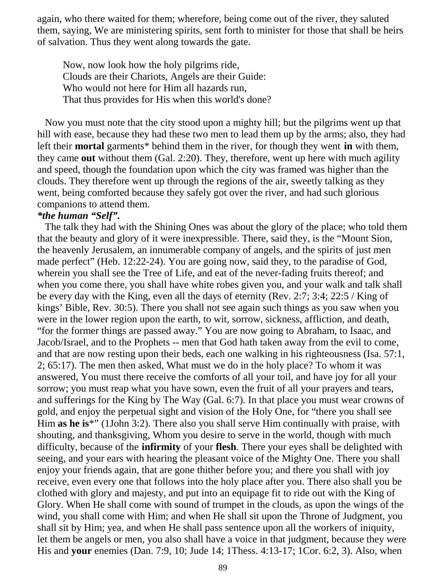again, who there waited for them; wherefore, being come out of the river, they saluted them, saying, We are ministering spirits, sent forth to minister for those that shall be heirs of salvation. Thus they went along towards the gate.

 Now, now look how the holy pilgrims ride, Clouds are their Chariots, Angels are their Guide: Who would not here for Him all hazards run, That thus provides for His when this world's done?

 Now you must note that the city stood upon a mighty hill; but the pilgrims went up that hill with ease, because they had these two men to lead them up by the arms; also, they had left their **mortal** garments\* behind them in the river, for though they went **in** with them, they came **out** without them (Gal. 2:20). They, therefore, went up here with much agility and speed, though the foundation upon which the city was framed was higher than the clouds. They therefore went up through the regions of the air, sweetly talking as they went, being comforted because they safely got over the river, and had such glorious companions to attend them.

#### *\*the human "Self".*

 The talk they had with the Shining Ones was about the glory of the place; who told them that the beauty and glory of it were inexpressible. There, said they, is the "Mount Sion, the heavenly Jerusalem, an innumerable company of angels, and the spirits of just men made perfect" (Heb. 12:22-24). You are going now, said they, to the paradise of God, wherein you shall see the Tree of Life, and eat of the never-fading fruits thereof; and when you come there, you shall have white robes given you, and your walk and talk shall be every day with the King, even all the days of eternity (Rev. 2:7; 3:4; 22:5 / King of kings' Bible, Rev. 30:5). There you shall not see again such things as you saw when you were in the lower region upon the earth, to wit, sorrow, sickness, affliction, and death, "for the former things are passed away." You are now going to Abraham, to Isaac, and Jacob/Israel, and to the Prophets -- men that God hath taken away from the evil to come, and that are now resting upon their beds, each one walking in his righteousness (Isa. 57:1, 2; 65:17). The men then asked, What must we do in the holy place? To whom it was answered, You must there receive the comforts of all your toil, and have joy for all your sorrow; you must reap what you have sown, even the fruit of all your prayers and tears, and sufferings for the King by The Way (Gal. 6:7). In that place you must wear crowns of gold, and enjoy the perpetual sight and vision of the Holy One, for "there you shall see Him **as he is**\*" (1John 3:2). There also you shall serve Him continually with praise, with shouting, and thanksgiving, Whom you desire to serve in the world, though with much difficulty, because of the **infirmity** of your **flesh**. There your eyes shall be delighted with seeing, and your ears with hearing the pleasant voice of the Mighty One. There you shall enjoy your friends again, that are gone thither before you; and there you shall with joy receive, even every one that follows into the holy place after you. There also shall you be clothed with glory and majesty, and put into an equipage fit to ride out with the King of Glory. When He shall come with sound of trumpet in the clouds, as upon the wings of the wind, you shall come with Him; and when He shall sit upon the Throne of Judgment, you shall sit by Him; yea, and when He shall pass sentence upon all the workers of iniquity, let them be angels or men, you also shall have a voice in that judgment, because they were His and **your** enemies (Dan. 7:9, 10; Jude 14; 1Thess. 4:13-17; 1Cor. 6:2, 3). Also, when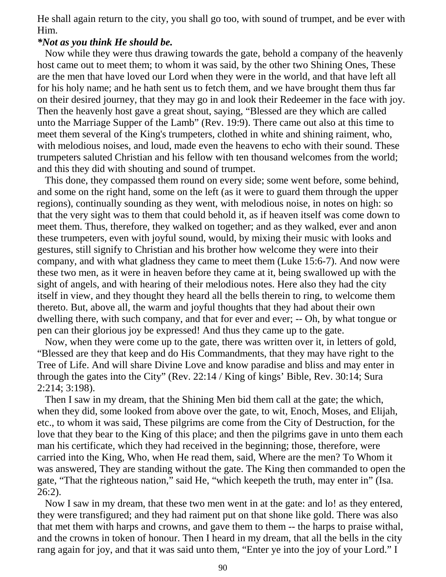He shall again return to the city, you shall go too, with sound of trumpet, and be ever with Him.

#### *\*Not as you think He should be.*

 Now while they were thus drawing towards the gate, behold a company of the heavenly host came out to meet them; to whom it was said, by the other two Shining Ones, These are the men that have loved our Lord when they were in the world, and that have left all for his holy name; and he hath sent us to fetch them, and we have brought them thus far on their desired journey, that they may go in and look their Redeemer in the face with joy. Then the heavenly host gave a great shout, saying, "Blessed are they which are called unto the Marriage Supper of the Lamb" (Rev. 19:9). There came out also at this time to meet them several of the King's trumpeters, clothed in white and shining raiment, who, with melodious noises, and loud, made even the heavens to echo with their sound. These trumpeters saluted Christian and his fellow with ten thousand welcomes from the world; and this they did with shouting and sound of trumpet.

 This done, they compassed them round on every side; some went before, some behind, and some on the right hand, some on the left (as it were to guard them through the upper regions), continually sounding as they went, with melodious noise, in notes on high: so that the very sight was to them that could behold it, as if heaven itself was come down to meet them. Thus, therefore, they walked on together; and as they walked, ever and anon these trumpeters, even with joyful sound, would, by mixing their music with looks and gestures, still signify to Christian and his brother how welcome they were into their company, and with what gladness they came to meet them (Luke 15:6-7). And now were these two men, as it were in heaven before they came at it, being swallowed up with the sight of angels, and with hearing of their melodious notes. Here also they had the city itself in view, and they thought they heard all the bells therein to ring, to welcome them thereto. But, above all, the warm and joyful thoughts that they had about their own dwelling there, with such company, and that for ever and ever; -- Oh, by what tongue or pen can their glorious joy be expressed! And thus they came up to the gate.

 Now, when they were come up to the gate, there was written over it, in letters of gold, "Blessed are they that keep and do His Commandments, that they may have right to the Tree of Life. And will share Divine Love and know paradise and bliss and may enter in through the gates into the City" (Rev. 22:14 / King of kings' Bible, Rev. 30:14; Sura 2:214; 3:198).

 Then I saw in my dream, that the Shining Men bid them call at the gate; the which, when they did, some looked from above over the gate, to wit, Enoch, Moses, and Elijah, etc., to whom it was said, These pilgrims are come from the City of Destruction, for the love that they bear to the King of this place; and then the pilgrims gave in unto them each man his certificate, which they had received in the beginning; those, therefore, were carried into the King, Who, when He read them, said, Where are the men? To Whom it was answered, They are standing without the gate. The King then commanded to open the gate, "That the righteous nation," said He, "which keepeth the truth, may enter in" (Isa. 26:2).

 Now I saw in my dream, that these two men went in at the gate: and lo! as they entered, they were transfigured; and they had raiment put on that shone like gold. There was also that met them with harps and crowns, and gave them to them -- the harps to praise withal, and the crowns in token of honour. Then I heard in my dream, that all the bells in the city rang again for joy, and that it was said unto them, "Enter ye into the joy of your Lord." I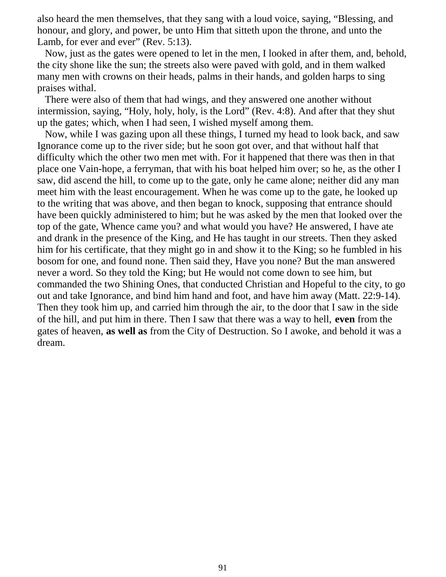also heard the men themselves, that they sang with a loud voice, saying, "Blessing, and honour, and glory, and power, be unto Him that sitteth upon the throne, and unto the Lamb, for ever and ever" (Rev. 5:13).

 Now, just as the gates were opened to let in the men, I looked in after them, and, behold, the city shone like the sun; the streets also were paved with gold, and in them walked many men with crowns on their heads, palms in their hands, and golden harps to sing praises withal.

 There were also of them that had wings, and they answered one another without intermission, saying, "Holy, holy, holy, is the Lord" (Rev. 4:8). And after that they shut up the gates; which, when I had seen, I wished myself among them.

 Now, while I was gazing upon all these things, I turned my head to look back, and saw Ignorance come up to the river side; but he soon got over, and that without half that difficulty which the other two men met with. For it happened that there was then in that place one Vain-hope, a ferryman, that with his boat helped him over; so he, as the other I saw, did ascend the hill, to come up to the gate, only he came alone; neither did any man meet him with the least encouragement. When he was come up to the gate, he looked up to the writing that was above, and then began to knock, supposing that entrance should have been quickly administered to him; but he was asked by the men that looked over the top of the gate, Whence came you? and what would you have? He answered, I have ate and drank in the presence of the King, and He has taught in our streets. Then they asked him for his certificate, that they might go in and show it to the King; so he fumbled in his bosom for one, and found none. Then said they, Have you none? But the man answered never a word. So they told the King; but He would not come down to see him, but commanded the two Shining Ones, that conducted Christian and Hopeful to the city, to go out and take Ignorance, and bind him hand and foot, and have him away (Matt. 22:9-14). Then they took him up, and carried him through the air, to the door that I saw in the side of the hill, and put him in there. Then I saw that there was a way to hell, **even** from the gates of heaven, **as well as** from the City of Destruction. So I awoke, and behold it was a dream.